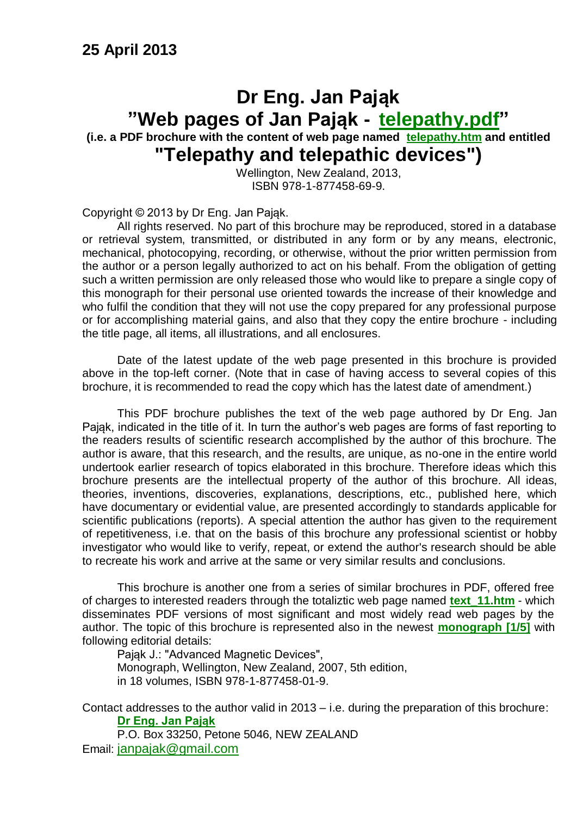#### **25 April 2013**

#### **Dr Eng. Jan Pająk "Web pages of Jan Pająk - [telepathy.pdf"](http://tornado.zxq.net/telepathy.pdf) (i.e. a PDF brochure with the content of web page named [telepathy.htm](http://tornado.zxq.net/telepathy.htm) and entitled**

**"Telepathy and telepathic devices")**

Wellington, New Zealand, 2013, ISBN 978-1-877458-69-9.

Copyright © 2013 by Dr Eng. Jan Pająk.

All rights reserved. No part of this brochure may be reproduced, stored in a database or retrieval system, transmitted, or distributed in any form or by any means, electronic, mechanical, photocopying, recording, or otherwise, without the prior written permission from the author or a person legally authorized to act on his behalf. From the obligation of getting such a written permission are only released those who would like to prepare a single copy of this monograph for their personal use oriented towards the increase of their knowledge and who fulfil the condition that they will not use the copy prepared for any professional purpose or for accomplishing material gains, and also that they copy the entire brochure - including the title page, all items, all illustrations, and all enclosures.

Date of the latest update of the web page presented in this brochure is provided above in the top-left corner. (Note that in case of having access to several copies of this brochure, it is recommended to read the copy which has the latest date of amendment.)

This PDF brochure publishes the text of the web page authored by Dr Eng. Jan Pająk, indicated in the title of it. In turn the author's web pages are forms of fast reporting to the readers results of scientific research accomplished by the author of this brochure. The author is aware, that this research, and the results, are unique, as no-one in the entire world undertook earlier research of topics elaborated in this brochure. Therefore ideas which this brochure presents are the intellectual property of the author of this brochure. All ideas, theories, inventions, discoveries, explanations, descriptions, etc., published here, which have documentary or evidential value, are presented accordingly to standards applicable for scientific publications (reports). A special attention the author has given to the requirement of repetitiveness, i.e. that on the basis of this brochure any professional scientist or hobby investigator who would like to verify, repeat, or extend the author's research should be able to recreate his work and arrive at the same or very similar results and conclusions.

This brochure is another one from a series of similar brochures in PDF, offered free of charges to interested readers through the totaliztic web page named **[text\\_11.htm](http://tornado.zxq.net/text_11.htm)** - which disseminates PDF versions of most significant and most widely read web pages by the author. The topic of this brochure is represented also in the newest **[monograph \[1/5\]](http://tornado.zxq.net/text_1_5.htm)** with following editorial details:

Pająk J.: "Advanced Magnetic Devices", Monograph, Wellington, New Zealand, 2007, 5th edition, in 18 volumes, ISBN 978-1-877458-01-9.

Contact addresses to the author valid in 2013 – i.e. during the preparation of this brochure: **[Dr Eng. Jan Pająk](http://images.google.co.nz/images?hl=en&q=Jan+Pajak&btnG=Search+Images&gbv=1)**

P.O. Box 33250, Petone 5046, NEW ZEALAND Email: [janpajak@gmail.com](mailto:%20janpajak@gmail.com)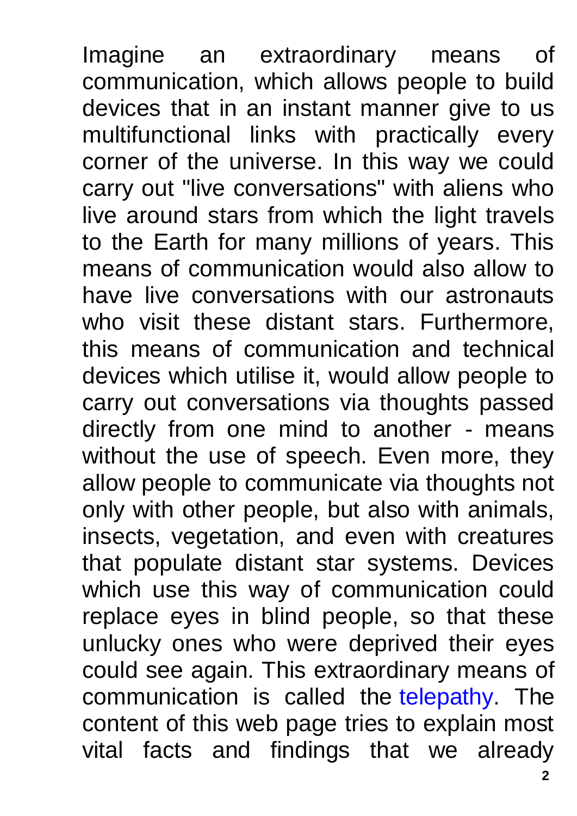Imagine an extraordinary means of communication, which allows people to build devices that in an instant manner give to us multifunctional links with practically every corner of the universe. In this way we could carry out "live conversations" with aliens who live around stars from which the light travels to the Earth for many millions of years. This means of communication would also allow to have live conversations with our astronauts who visit these distant stars. Furthermore, this means of communication and technical devices which utilise it, would allow people to carry out conversations via thoughts passed directly from one mind to another - means without the use of speech. Even more, they allow people to communicate via thoughts not only with other people, but also with animals, insects, vegetation, and even with creatures that populate distant star systems. Devices which use this way of communication could replace eyes in blind people, so that these unlucky ones who were deprived their eyes could see again. This extraordinary means of communication is called the telepathy. The content of this web page tries to explain most vital facts and findings that we already

**2**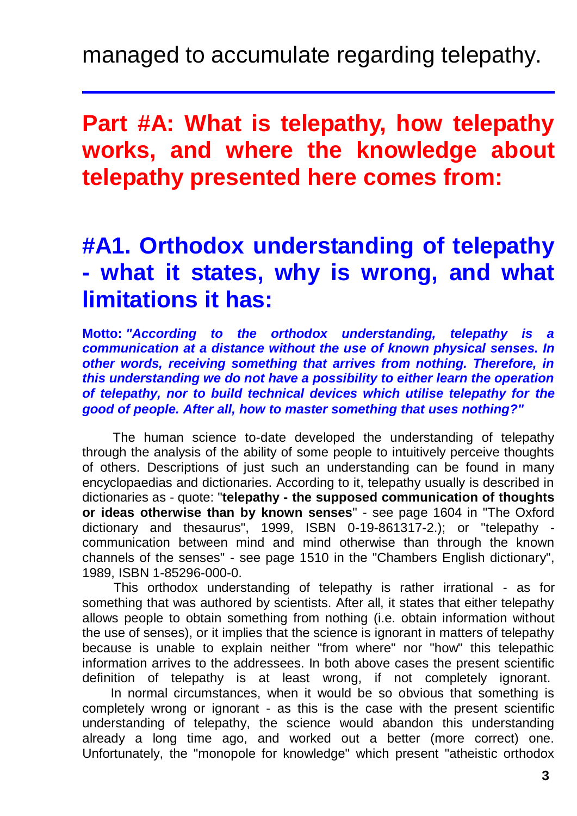**Part #A: What is telepathy, how telepathy works, and where the knowledge about telepathy presented here comes from:**

#### **#A1. Orthodox understanding of telepathy - what it states, why is wrong, and what limitations it has:**

**Motto:** *"According to the orthodox understanding, telepathy is a communication at a distance without the use of known physical senses. In other words, receiving something that arrives from nothing. Therefore, in this understanding we do not have a possibility to either learn the operation of telepathy, nor to build technical devices which utilise telepathy for the good of people. After all, how to master something that uses nothing?"*

The human science to-date developed the understanding of telepathy through the analysis of the ability of some people to intuitively perceive thoughts of others. Descriptions of just such an understanding can be found in many encyclopaedias and dictionaries. According to it, telepathy usually is described in dictionaries as - quote: "**telepathy - the supposed communication of thoughts or ideas otherwise than by known senses**" - see page 1604 in "The Oxford dictionary and thesaurus", 1999, ISBN 0-19-861317-2.); or "telepathy communication between mind and mind otherwise than through the known channels of the senses" - see page 1510 in the "Chambers English dictionary", 1989, ISBN 1-85296-000-0.

This orthodox understanding of telepathy is rather irrational - as for something that was authored by scientists. After all, it states that either telepathy allows people to obtain something from nothing (i.e. obtain information without the use of senses), or it implies that the science is ignorant in matters of telepathy because is unable to explain neither "from where" nor "how" this telepathic information arrives to the addressees. In both above cases the present scientific definition of telepathy is at least wrong, if not completely ignorant.

In normal circumstances, when it would be so obvious that something is completely wrong or ignorant - as this is the case with the present scientific understanding of telepathy, the science would abandon this understanding already a long time ago, and worked out a better (more correct) one. Unfortunately, the "monopole for knowledge" which present "atheistic orthodox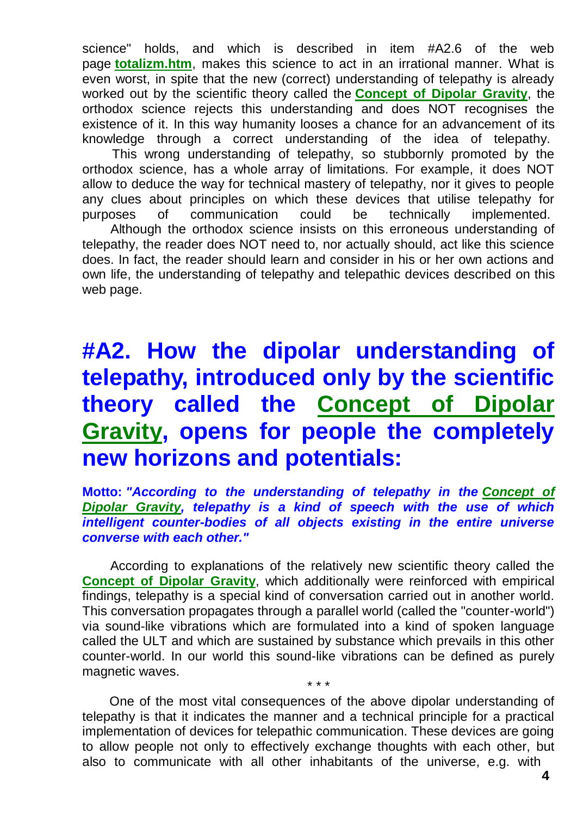science" holds, and which is described in item #A2.6 of the web page **[totalizm.htm](http://tornado.zxq.net/totalizm.htm)**, makes this science to act in an irrational manner. What is even worst, in spite that the new (correct) understanding of telepathy is already worked out by the scientific theory called the **[Concept of Dipolar Gravity](http://tornado.zxq.net/dipolar_gravity.htm)**, the orthodox science rejects this understanding and does NOT recognises the existence of it. In this way humanity looses a chance for an advancement of its knowledge through a correct understanding of the idea of telepathy.

This wrong understanding of telepathy, so stubbornly promoted by the orthodox science, has a whole array of limitations. For example, it does NOT allow to deduce the way for technical mastery of telepathy, nor it gives to people any clues about principles on which these devices that utilise telepathy for purposes of communication could be technically implemented.

Although the orthodox science insists on this erroneous understanding of telepathy, the reader does NOT need to, nor actually should, act like this science does. In fact, the reader should learn and consider in his or her own actions and own life, the understanding of telepathy and telepathic devices described on this web page.

### **#A2. How the dipolar understanding of telepathy, introduced only by the scientific theory called the [Concept of Dipolar](http://tornado.zxq.net/dipolar_gravity.htm)  [Gravity,](http://tornado.zxq.net/dipolar_gravity.htm) opens for people the completely new horizons and potentials:**

**Motto:** *"According to the understanding of telepathy in the [Concept of](http://tornado.zxq.net/dipolar_gravity.htm)  [Dipolar Gravity,](http://tornado.zxq.net/dipolar_gravity.htm) telepathy is a kind of speech with the use of which intelligent counter-bodies of all objects existing in the entire universe converse with each other."*

According to explanations of the relatively new scientific theory called the **[Concept of Dipolar Gravity](http://tornado.zxq.net/dipolar_gravity.htm)**, which additionally were reinforced with empirical findings, telepathy is a special kind of conversation carried out in another world. This conversation propagates through a parallel world (called the "counter-world") via sound-like vibrations which are formulated into a kind of spoken language called the ULT and which are sustained by substance which prevails in this other counter-world. In our world this sound-like vibrations can be defined as purely magnetic waves. \* \* \*

One of the most vital consequences of the above dipolar understanding of telepathy is that it indicates the manner and a technical principle for a practical implementation of devices for telepathic communication. These devices are going to allow people not only to effectively exchange thoughts with each other, but also to communicate with all other inhabitants of the universe, e.g. with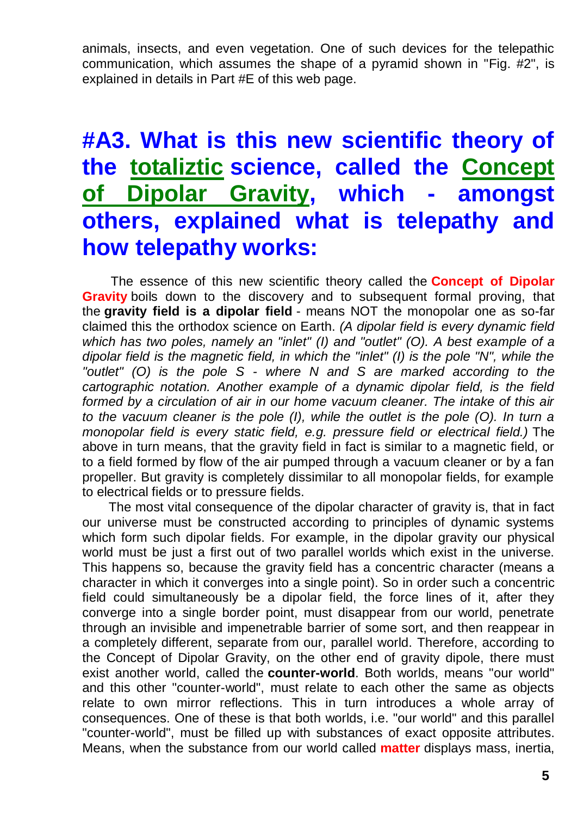animals, insects, and even vegetation. One of such devices for the telepathic communication, which assumes the shape of a pyramid shown in "Fig. #2", is explained in details in Part #E of this web page.

### **#A3. What is this new scientific theory of the [totaliztic](http://tornado.zxq.net/totalizm.htm) science, called the [Concept](http://tornado.zxq.net/dipolar_gravity.htm)  [of Dipolar Gravity,](http://tornado.zxq.net/dipolar_gravity.htm) which - amongst others, explained what is telepathy and how telepathy works:**

The essence of this new scientific theory called the **Concept of Dipolar Gravity** boils down to the discovery and to subsequent formal proving, that the **gravity field is a dipolar field** - means NOT the monopolar one as so-far claimed this the orthodox science on Earth. *(A dipolar field is every dynamic field which has two poles, namely an "inlet" (I) and "outlet" (O). A best example of a dipolar field is the magnetic field, in which the "inlet" (I) is the pole "N", while the "outlet" (O) is the pole S - where N and S are marked according to the cartographic notation. Another example of a dynamic dipolar field, is the field formed by a circulation of air in our home vacuum cleaner. The intake of this air to the vacuum cleaner is the pole (I), while the outlet is the pole (O). In turn a monopolar field is every static field, e.g. pressure field or electrical field.)* The above in turn means, that the gravity field in fact is similar to a magnetic field, or to a field formed by flow of the air pumped through a vacuum cleaner or by a fan propeller. But gravity is completely dissimilar to all monopolar fields, for example to electrical fields or to pressure fields.

The most vital consequence of the dipolar character of gravity is, that in fact our universe must be constructed according to principles of dynamic systems which form such dipolar fields. For example, in the dipolar gravity our physical world must be just a first out of two parallel worlds which exist in the universe. This happens so, because the gravity field has a concentric character (means a character in which it converges into a single point). So in order such a concentric field could simultaneously be a dipolar field, the force lines of it, after they converge into a single border point, must disappear from our world, penetrate through an invisible and impenetrable barrier of some sort, and then reappear in a completely different, separate from our, parallel world. Therefore, according to the Concept of Dipolar Gravity, on the other end of gravity dipole, there must exist another world, called the **counter-world**. Both worlds, means "our world" and this other "counter-world", must relate to each other the same as objects relate to own mirror reflections. This in turn introduces a whole array of consequences. One of these is that both worlds, i.e. "our world" and this parallel "counter-world", must be filled up with substances of exact opposite attributes. Means, when the substance from our world called **matter** displays mass, inertia,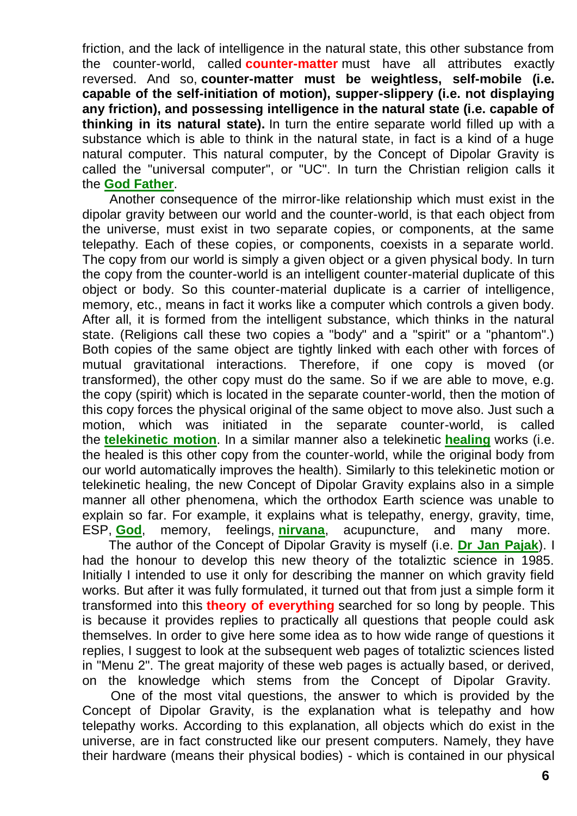friction, and the lack of intelligence in the natural state, this other substance from the counter-world, called **counter-matter** must have all attributes exactly reversed. And so, **counter-matter must be weightless, self-mobile (i.e. capable of the self-initiation of motion), supper-slippery (i.e. not displaying any friction), and possessing intelligence in the natural state (i.e. capable of thinking in its natural state).** In turn the entire separate world filled up with a substance which is able to think in the natural state, in fact is a kind of a huge natural computer. This natural computer, by the Concept of Dipolar Gravity is called the "universal computer", or "UC". In turn the Christian religion calls it the **[God Father](http://tornado.zxq.net/god.htm)**.

Another consequence of the mirror-like relationship which must exist in the dipolar gravity between our world and the counter-world, is that each object from the universe, must exist in two separate copies, or components, at the same telepathy. Each of these copies, or components, coexists in a separate world. The copy from our world is simply a given object or a given physical body. In turn the copy from the counter-world is an intelligent counter-material duplicate of this object or body. So this counter-material duplicate is a carrier of intelligence, memory, etc., means in fact it works like a computer which controls a given body. After all, it is formed from the intelligent substance, which thinks in the natural state. (Religions call these two copies a "body" and a "spirit" or a "phantom".) Both copies of the same object are tightly linked with each other with forces of mutual gravitational interactions. Therefore, if one copy is moved (or transformed), the other copy must do the same. So if we are able to move, e.g. the copy (spirit) which is located in the separate counter-world, then the motion of this copy forces the physical original of the same object to move also. Just such a motion, which was initiated in the separate counter-world, is called the **[telekinetic motion](http://tornado.zxq.net/telekinesis.htm)**. In a similar manner also a telekinetic **[healing](http://tornado.zxq.net/healing.htm)** works (i.e. the healed is this other copy from the counter-world, while the original body from our world automatically improves the health). Similarly to this telekinetic motion or telekinetic healing, the new Concept of Dipolar Gravity explains also in a simple manner all other phenomena, which the orthodox Earth science was unable to explain so far. For example, it explains what is telepathy, energy, gravity, time, ESP, **[God](http://tornado.zxq.net/god.htm)**, memory, feelings, **[nirvana](http://tornado.zxq.net/nirvana.htm)**, acupuncture, and many more.

The author of the Concept of Dipolar Gravity is myself (i.e. **[Dr Jan Pajak](http://tornado.zxq.net/pajak_jan_uk.htm)**). I had the honour to develop this new theory of the totaliztic science in 1985. Initially I intended to use it only for describing the manner on which gravity field works. But after it was fully formulated, it turned out that from just a simple form it transformed into this **theory of everything** searched for so long by people. This is because it provides replies to practically all questions that people could ask themselves. In order to give here some idea as to how wide range of questions it replies, I suggest to look at the subsequent web pages of totaliztic sciences listed in "Menu 2". The great majority of these web pages is actually based, or derived, on the knowledge which stems from the Concept of Dipolar Gravity.

One of the most vital questions, the answer to which is provided by the Concept of Dipolar Gravity, is the explanation what is telepathy and how telepathy works. According to this explanation, all objects which do exist in the universe, are in fact constructed like our present computers. Namely, they have their hardware (means their physical bodies) - which is contained in our physical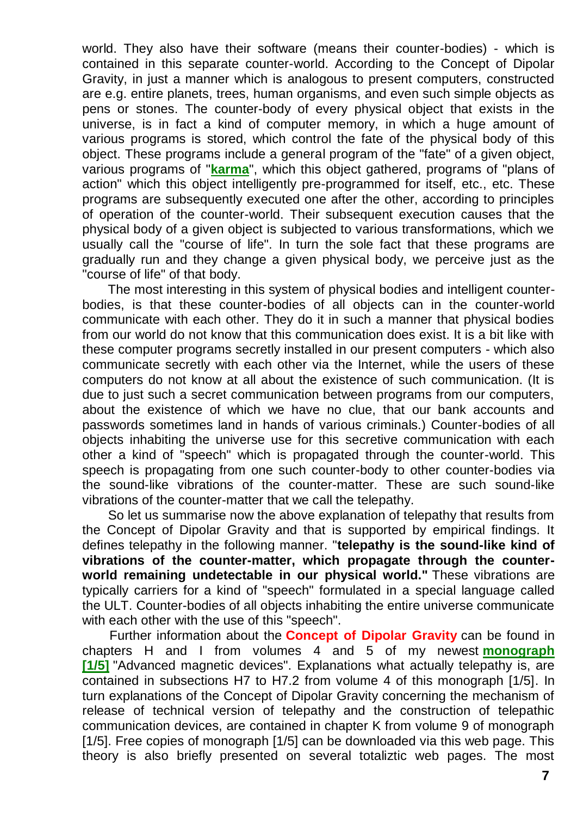world. They also have their software (means their counter-bodies) - which is contained in this separate counter-world. According to the Concept of Dipolar Gravity, in just a manner which is analogous to present computers, constructed are e.g. entire planets, trees, human organisms, and even such simple objects as pens or stones. The counter-body of every physical object that exists in the universe, is in fact a kind of computer memory, in which a huge amount of various programs is stored, which control the fate of the physical body of this object. These programs include a general program of the "fate" of a given object, various programs of "**[karma](http://tornado.zxq.net/karma.htm)**", which this object gathered, programs of "plans of action" which this object intelligently pre-programmed for itself, etc., etc. These programs are subsequently executed one after the other, according to principles of operation of the counter-world. Their subsequent execution causes that the physical body of a given object is subjected to various transformations, which we usually call the "course of life". In turn the sole fact that these programs are gradually run and they change a given physical body, we perceive just as the "course of life" of that body.

The most interesting in this system of physical bodies and intelligent counterbodies, is that these counter-bodies of all objects can in the counter-world communicate with each other. They do it in such a manner that physical bodies from our world do not know that this communication does exist. It is a bit like with these computer programs secretly installed in our present computers - which also communicate secretly with each other via the Internet, while the users of these computers do not know at all about the existence of such communication. (It is due to just such a secret communication between programs from our computers, about the existence of which we have no clue, that our bank accounts and passwords sometimes land in hands of various criminals.) Counter-bodies of all objects inhabiting the universe use for this secretive communication with each other a kind of "speech" which is propagated through the counter-world. This speech is propagating from one such counter-body to other counter-bodies via the sound-like vibrations of the counter-matter. These are such sound-like vibrations of the counter-matter that we call the telepathy.

So let us summarise now the above explanation of telepathy that results from the Concept of Dipolar Gravity and that is supported by empirical findings. It defines telepathy in the following manner. "**telepathy is the sound-like kind of vibrations of the counter-matter, which propagate through the counterworld remaining undetectable in our physical world."** These vibrations are typically carriers for a kind of "speech" formulated in a special language called the ULT. Counter-bodies of all objects inhabiting the entire universe communicate with each other with the use of this "speech".

Further information about the **Concept of Dipolar Gravity** can be found in chapters H and I from volumes 4 and 5 of my newest **[monograph](http://tornado.zxq.net/text_1_5.htm)  [\[1/5\]](http://tornado.zxq.net/text_1_5.htm)** "Advanced magnetic devices". Explanations what actually telepathy is, are contained in subsections H7 to H7.2 from volume 4 of this monograph [1/5]. In turn explanations of the Concept of Dipolar Gravity concerning the mechanism of release of technical version of telepathy and the construction of telepathic communication devices, are contained in chapter K from volume 9 of monograph [1/5]. Free copies of monograph [1/5] can be downloaded via this web page. This theory is also briefly presented on several totaliztic web pages. The most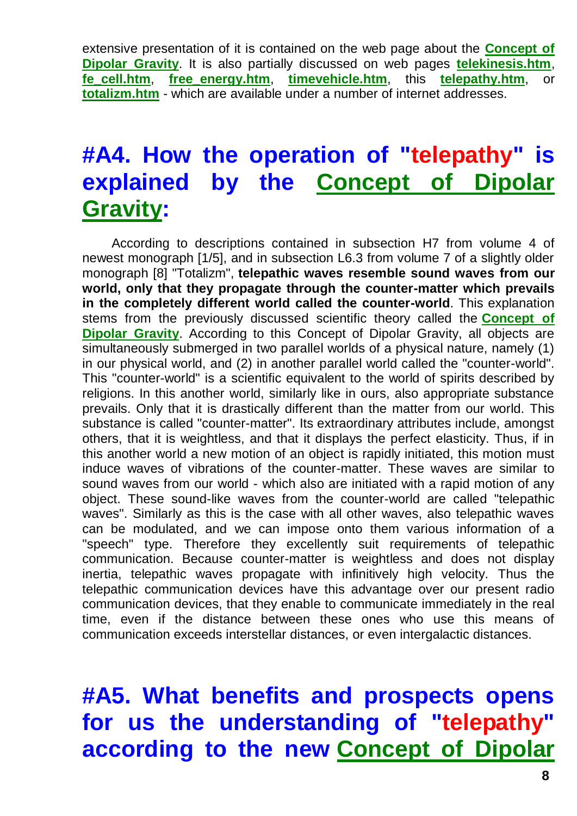extensive presentation of it is contained on the web page about the **[Concept of](http://tornado.zxq.net/dipolar_gravity.htm)  [Dipolar Gravity](http://tornado.zxq.net/dipolar_gravity.htm)**. It is also partially discussed on web pages **[telekinesis.htm](http://tornado.zxq.net/telekinesis.htm)**, **[fe\\_cell.htm](http://tornado.zxq.net/fe_cell.htm)**, **[free\\_energy.htm](http://tornado.zxq.net/free_energy.htm)**, **[timevehicle.htm](http://tornado.zxq.net/timevehicle.htm)**, this **[telepathy.htm](http://tornado.zxq.net/telepathy.htm)**, or **[totalizm.htm](http://tornado.zxq.net/totalizm.htm)** - which are available under a number of internet addresses.

## **#A4. How the operation of "telepathy" is explained by the [Concept of Dipolar](http://tornado.zxq.net/dipolar_gravity.htm)  [Gravity:](http://tornado.zxq.net/dipolar_gravity.htm)**

According to descriptions contained in subsection H7 from volume 4 of newest monograph [1/5], and in subsection L6.3 from volume 7 of a slightly older monograph [8] "Totalizm", **telepathic waves resemble sound waves from our world, only that they propagate through the counter-matter which prevails in the completely different world called the counter-world**. This explanation stems from the previously discussed scientific theory called the **[Concept of](http://tornado.zxq.net/dipolar_gravity.htm)  [Dipolar Gravity](http://tornado.zxq.net/dipolar_gravity.htm)**. According to this Concept of Dipolar Gravity, all objects are simultaneously submerged in two parallel worlds of a physical nature, namely (1) in our physical world, and (2) in another parallel world called the "counter-world". This "counter-world" is a scientific equivalent to the world of spirits described by religions. In this another world, similarly like in ours, also appropriate substance prevails. Only that it is drastically different than the matter from our world. This substance is called "counter-matter". Its extraordinary attributes include, amongst others, that it is weightless, and that it displays the perfect elasticity. Thus, if in this another world a new motion of an object is rapidly initiated, this motion must induce waves of vibrations of the counter-matter. These waves are similar to sound waves from our world - which also are initiated with a rapid motion of any object. These sound-like waves from the counter-world are called "telepathic waves". Similarly as this is the case with all other waves, also telepathic waves can be modulated, and we can impose onto them various information of a "speech" type. Therefore they excellently suit requirements of telepathic communication. Because counter-matter is weightless and does not display inertia, telepathic waves propagate with infinitively high velocity. Thus the telepathic communication devices have this advantage over our present radio communication devices, that they enable to communicate immediately in the real time, even if the distance between these ones who use this means of communication exceeds interstellar distances, or even intergalactic distances.

**#A5. What benefits and prospects opens for us the understanding of "telepathy" according to the new [Concept of Dipolar](http://tornado.zxq.net/dipolar_gravity.htm)**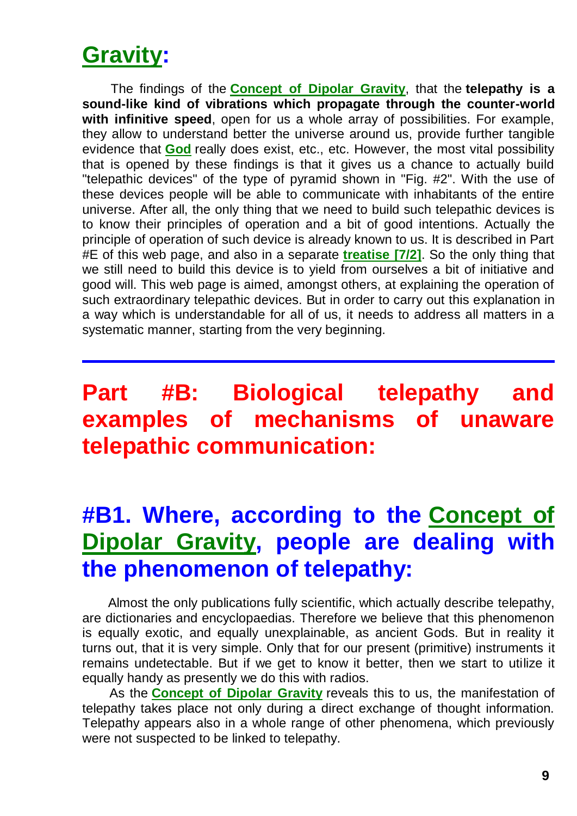# **[Gravity:](http://tornado.zxq.net/dipolar_gravity.htm)**

The findings of the **[Concept of Dipolar Gravity](http://tornado.zxq.net/dipolar_gravity.htm)**, that the **telepathy is a sound-like kind of vibrations which propagate through the counter-world with infinitive speed**, open for us a whole array of possibilities. For example, they allow to understand better the universe around us, provide further tangible evidence that **[God](http://tornado.zxq.net/god.htm)** really does exist, etc., etc. However, the most vital possibility that is opened by these findings is that it gives us a chance to actually build "telepathic devices" of the type of pyramid shown in "Fig. #2". With the use of these devices people will be able to communicate with inhabitants of the entire universe. After all, the only thing that we need to build such telepathic devices is to know their principles of operation and a bit of good intentions. Actually the principle of operation of such device is already known to us. It is described in Part #E of this web page, and also in a separate **[treatise \[7/2\]](http://tornado.zxq.net/text_7_2.htm)**. So the only thing that we still need to build this device is to yield from ourselves a bit of initiative and good will. This web page is aimed, amongst others, at explaining the operation of such extraordinary telepathic devices. But in order to carry out this explanation in a way which is understandable for all of us, it needs to address all matters in a systematic manner, starting from the very beginning.

### **Part #B: Biological telepathy and examples of mechanisms of unaware telepathic communication:**

#### **#B1. Where, according to the [Concept of](http://tornado.zxq.net/dipolar_gravity.htm)  [Dipolar Gravity,](http://tornado.zxq.net/dipolar_gravity.htm) people are dealing with the phenomenon of telepathy:**

Almost the only publications fully scientific, which actually describe telepathy, are dictionaries and encyclopaedias. Therefore we believe that this phenomenon is equally exotic, and equally unexplainable, as ancient Gods. But in reality it turns out, that it is very simple. Only that for our present (primitive) instruments it remains undetectable. But if we get to know it better, then we start to utilize it equally handy as presently we do this with radios.

As the **[Concept of Dipolar Gravity](http://tornado.zxq.net/dipolar_gravity.htm)** reveals this to us, the manifestation of telepathy takes place not only during a direct exchange of thought information. Telepathy appears also in a whole range of other phenomena, which previously were not suspected to be linked to telepathy.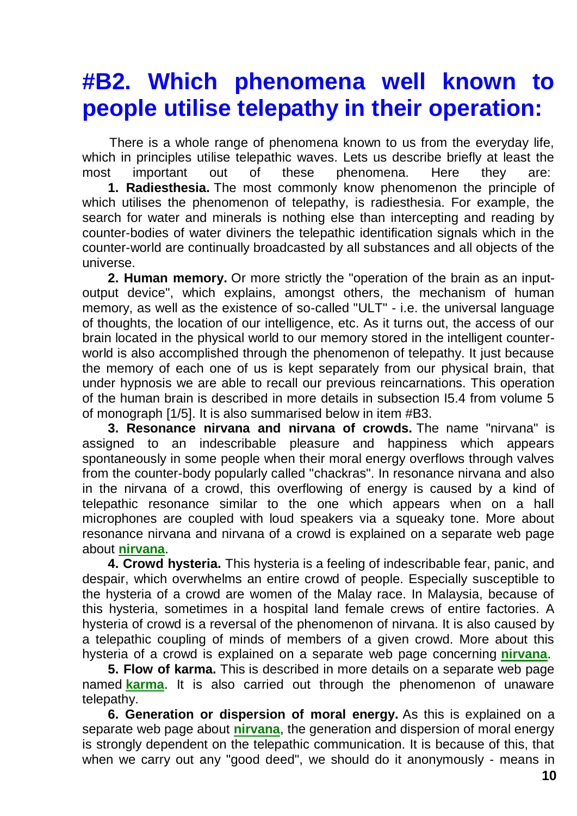#### **#B2. Which phenomena well known to people utilise telepathy in their operation:**

There is a whole range of phenomena known to us from the everyday life, which in principles utilise telepathic waves. Lets us describe briefly at least the most important out of these phenomena. Here they are: **1. Radiesthesia.** The most commonly know phenomenon the principle of which utilises the phenomenon of telepathy, is radiesthesia. For example, the search for water and minerals is nothing else than intercepting and reading by counter-bodies of water diviners the telepathic identification signals which in the counter-world are continually broadcasted by all substances and all objects of the universe.

**2. Human memory.** Or more strictly the "operation of the brain as an inputoutput device", which explains, amongst others, the mechanism of human memory, as well as the existence of so-called "ULT" - i.e. the universal language of thoughts, the location of our intelligence, etc. As it turns out, the access of our brain located in the physical world to our memory stored in the intelligent counterworld is also accomplished through the phenomenon of telepathy. It just because the memory of each one of us is kept separately from our physical brain, that under hypnosis we are able to recall our previous reincarnations. This operation of the human brain is described in more details in subsection I5.4 from volume 5 of monograph [1/5]. It is also summarised below in item #B3.

**3. Resonance nirvana and nirvana of crowds.** The name "nirvana" is assigned to an indescribable pleasure and happiness which appears spontaneously in some people when their moral energy overflows through valves from the counter-body popularly called "chackras". In resonance nirvana and also in the nirvana of a crowd, this overflowing of energy is caused by a kind of telepathic resonance similar to the one which appears when on a hall microphones are coupled with loud speakers via a squeaky tone. More about resonance nirvana and nirvana of a crowd is explained on a separate web page about **[nirvana](http://tornado.zxq.net/nirvana.htm)**.

**4. Crowd hysteria.** This hysteria is a feeling of indescribable fear, panic, and despair, which overwhelms an entire crowd of people. Especially susceptible to the hysteria of a crowd are women of the Malay race. In Malaysia, because of this hysteria, sometimes in a hospital land female crews of entire factories. A hysteria of crowd is a reversal of the phenomenon of nirvana. It is also caused by a telepathic coupling of minds of members of a given crowd. More about this hysteria of a crowd is explained on a separate web page concerning **[nirvana](http://tornado.zxq.net/nirvana.htm)**.

**5. Flow of karma.** This is described in more details on a separate web page named **[karma](http://tornado.zxq.net/karma.htm)**. It is also carried out through the phenomenon of unaware telepathy.

**6. Generation or dispersion of moral energy.** As this is explained on a separate web page about **[nirvana](http://tornado.zxq.net/nirvana.htm)**, the generation and dispersion of moral energy is strongly dependent on the telepathic communication. It is because of this, that when we carry out any "good deed", we should do it anonymously - means in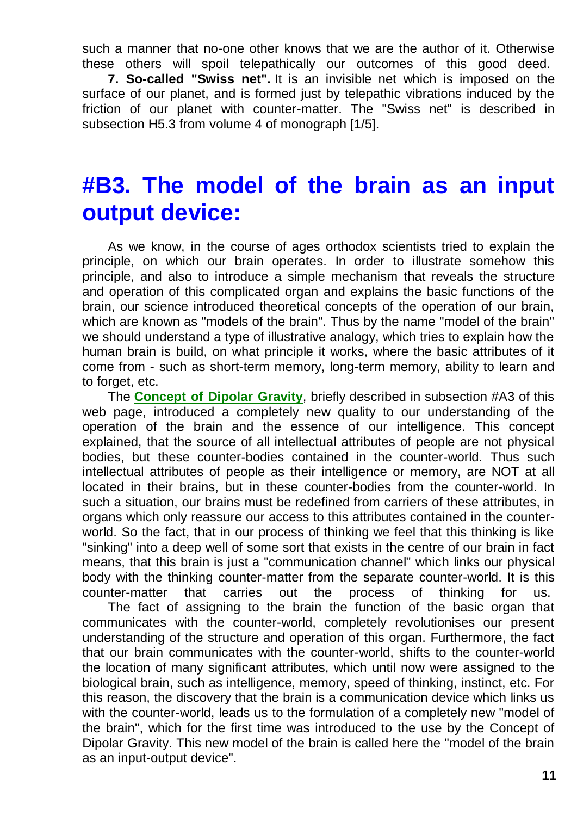such a manner that no-one other knows that we are the author of it. Otherwise these others will spoil telepathically our outcomes of this good deed.

**7. So-called "Swiss net".** It is an invisible net which is imposed on the surface of our planet, and is formed just by telepathic vibrations induced by the friction of our planet with counter-matter. The "Swiss net" is described in subsection H5.3 from volume 4 of monograph [1/5].

#### **#B3. The model of the brain as an input output device:**

As we know, in the course of ages orthodox scientists tried to explain the principle, on which our brain operates. In order to illustrate somehow this principle, and also to introduce a simple mechanism that reveals the structure and operation of this complicated organ and explains the basic functions of the brain, our science introduced theoretical concepts of the operation of our brain, which are known as "models of the brain". Thus by the name "model of the brain" we should understand a type of illustrative analogy, which tries to explain how the human brain is build, on what principle it works, where the basic attributes of it come from - such as short-term memory, long-term memory, ability to learn and to forget, etc.

The **[Concept of Dipolar Gravity](http://tornado.zxq.net/dipolar_gravity.htm)**, briefly described in subsection #A3 of this web page, introduced a completely new quality to our understanding of the operation of the brain and the essence of our intelligence. This concept explained, that the source of all intellectual attributes of people are not physical bodies, but these counter-bodies contained in the counter-world. Thus such intellectual attributes of people as their intelligence or memory, are NOT at all located in their brains, but in these counter-bodies from the counter-world. In such a situation, our brains must be redefined from carriers of these attributes, in organs which only reassure our access to this attributes contained in the counterworld. So the fact, that in our process of thinking we feel that this thinking is like "sinking" into a deep well of some sort that exists in the centre of our brain in fact means, that this brain is just a "communication channel" which links our physical body with the thinking counter-matter from the separate counter-world. It is this counter-matter that carries out the process of thinking for us.

The fact of assigning to the brain the function of the basic organ that communicates with the counter-world, completely revolutionises our present understanding of the structure and operation of this organ. Furthermore, the fact that our brain communicates with the counter-world, shifts to the counter-world the location of many significant attributes, which until now were assigned to the biological brain, such as intelligence, memory, speed of thinking, instinct, etc. For this reason, the discovery that the brain is a communication device which links us with the counter-world, leads us to the formulation of a completely new "model of the brain", which for the first time was introduced to the use by the Concept of Dipolar Gravity. This new model of the brain is called here the "model of the brain as an input-output device".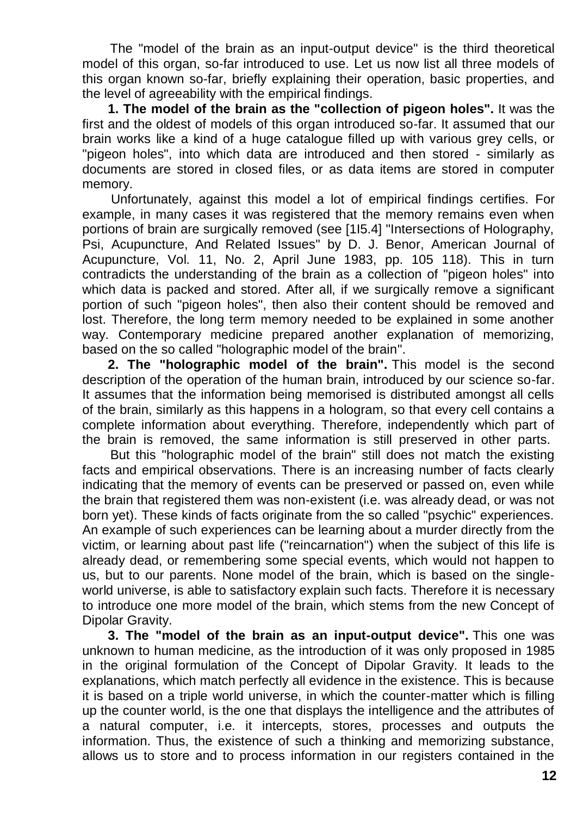The "model of the brain as an input-output device" is the third theoretical model of this organ, so-far introduced to use. Let us now list all three models of this organ known so-far, briefly explaining their operation, basic properties, and the level of agreeability with the empirical findings.

**1. The model of the brain as the "collection of pigeon holes".** It was the first and the oldest of models of this organ introduced so-far. It assumed that our brain works like a kind of a huge catalogue filled up with various grey cells, or "pigeon holes", into which data are introduced and then stored - similarly as documents are stored in closed files, or as data items are stored in computer memory.

Unfortunately, against this model a lot of empirical findings certifies. For example, in many cases it was registered that the memory remains even when portions of brain are surgically removed (see [1I5.4] "Intersections of Holography, Psi, Acupuncture, And Related Issues" by D. J. Benor, American Journal of Acupuncture, Vol. 11, No. 2, April June 1983, pp. 105 118). This in turn contradicts the understanding of the brain as a collection of "pigeon holes" into which data is packed and stored. After all, if we surgically remove a significant portion of such "pigeon holes", then also their content should be removed and lost. Therefore, the long term memory needed to be explained in some another way. Contemporary medicine prepared another explanation of memorizing, based on the so called "holographic model of the brain".

**2. The "holographic model of the brain".** This model is the second description of the operation of the human brain, introduced by our science so-far. It assumes that the information being memorised is distributed amongst all cells of the brain, similarly as this happens in a hologram, so that every cell contains a complete information about everything. Therefore, independently which part of the brain is removed, the same information is still preserved in other parts.

But this "holographic model of the brain" still does not match the existing facts and empirical observations. There is an increasing number of facts clearly indicating that the memory of events can be preserved or passed on, even while the brain that registered them was non-existent (i.e. was already dead, or was not born yet). These kinds of facts originate from the so called "psychic" experiences. An example of such experiences can be learning about a murder directly from the victim, or learning about past life ("reincarnation") when the subject of this life is already dead, or remembering some special events, which would not happen to us, but to our parents. None model of the brain, which is based on the singleworld universe, is able to satisfactory explain such facts. Therefore it is necessary to introduce one more model of the brain, which stems from the new Concept of Dipolar Gravity.

**3. The "model of the brain as an input-output device".** This one was unknown to human medicine, as the introduction of it was only proposed in 1985 in the original formulation of the Concept of Dipolar Gravity. It leads to the explanations, which match perfectly all evidence in the existence. This is because it is based on a triple world universe, in which the counter-matter which is filling up the counter world, is the one that displays the intelligence and the attributes of a natural computer, i.e. it intercepts, stores, processes and outputs the information. Thus, the existence of such a thinking and memorizing substance, allows us to store and to process information in our registers contained in the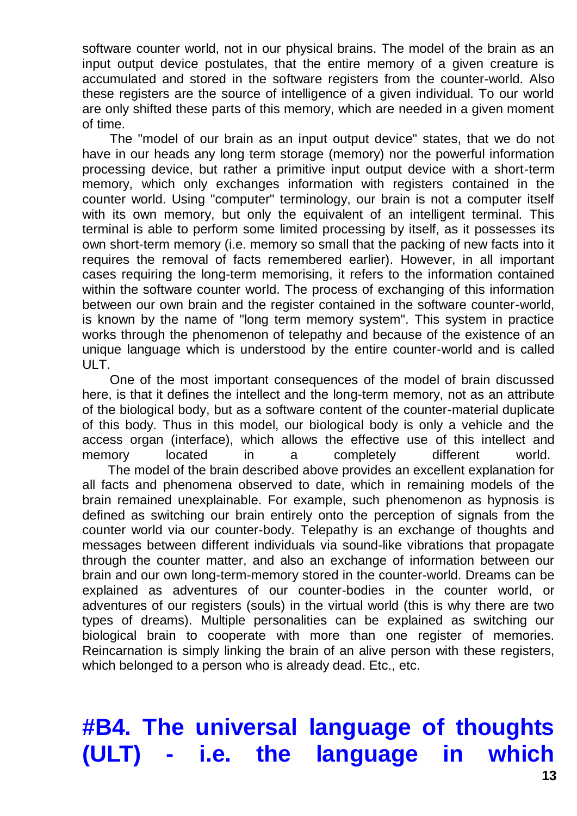software counter world, not in our physical brains. The model of the brain as an input output device postulates, that the entire memory of a given creature is accumulated and stored in the software registers from the counter-world. Also these registers are the source of intelligence of a given individual. To our world are only shifted these parts of this memory, which are needed in a given moment of time.

The "model of our brain as an input output device" states, that we do not have in our heads any long term storage (memory) nor the powerful information processing device, but rather a primitive input output device with a short-term memory, which only exchanges information with registers contained in the counter world. Using "computer" terminology, our brain is not a computer itself with its own memory, but only the equivalent of an intelligent terminal. This terminal is able to perform some limited processing by itself, as it possesses its own short-term memory (i.e. memory so small that the packing of new facts into it requires the removal of facts remembered earlier). However, in all important cases requiring the long-term memorising, it refers to the information contained within the software counter world. The process of exchanging of this information between our own brain and the register contained in the software counter-world, is known by the name of "long term memory system". This system in practice works through the phenomenon of telepathy and because of the existence of an unique language which is understood by the entire counter-world and is called  $ULT$ .

One of the most important consequences of the model of brain discussed here, is that it defines the intellect and the long-term memory, not as an attribute of the biological body, but as a software content of the counter-material duplicate of this body. Thus in this model, our biological body is only a vehicle and the access organ (interface), which allows the effective use of this intellect and memory located in a completely different world. The model of the brain described above provides an excellent explanation for all facts and phenomena observed to date, which in remaining models of the brain remained unexplainable. For example, such phenomenon as hypnosis is defined as switching our brain entirely onto the perception of signals from the counter world via our counter-body. Telepathy is an exchange of thoughts and messages between different individuals via sound-like vibrations that propagate through the counter matter, and also an exchange of information between our brain and our own long-term-memory stored in the counter-world. Dreams can be explained as adventures of our counter-bodies in the counter world, or adventures of our registers (souls) in the virtual world (this is why there are two types of dreams). Multiple personalities can be explained as switching our biological brain to cooperate with more than one register of memories. Reincarnation is simply linking the brain of an alive person with these registers, which belonged to a person who is already dead. Etc., etc.

# **#B4. The universal language of thoughts (ULT) - i.e. the language in which**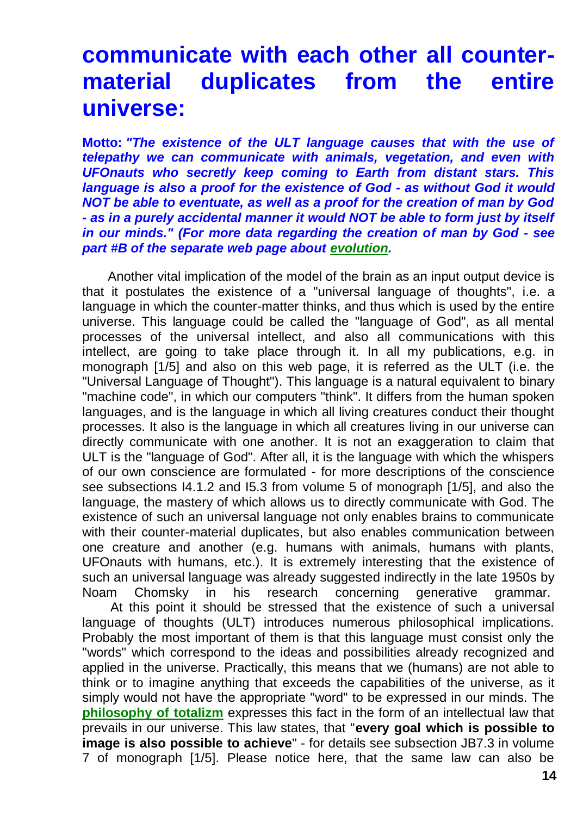#### **communicate with each other all countermaterial duplicates from the entire universe:**

**Motto:** *"The existence of the ULT language causes that with the use of telepathy we can communicate with animals, vegetation, and even with UFOnauts who secretly keep coming to Earth from distant stars. This language is also a proof for the existence of God - as without God it would NOT be able to eventuate, as well as a proof for the creation of man by God - as in a purely accidental manner it would NOT be able to form just by itself in our minds." (For more data regarding the creation of man by God - see part #B of the separate web page about [evolution.](http://tornado.zxq.net/evolution.htm)*

Another vital implication of the model of the brain as an input output device is that it postulates the existence of a "universal language of thoughts", i.e. a language in which the counter-matter thinks, and thus which is used by the entire universe. This language could be called the "language of God", as all mental processes of the universal intellect, and also all communications with this intellect, are going to take place through it. In all my publications, e.g. in monograph [1/5] and also on this web page, it is referred as the ULT (i.e. the "Universal Language of Thought"). This language is a natural equivalent to binary "machine code", in which our computers "think". It differs from the human spoken languages, and is the language in which all living creatures conduct their thought processes. It also is the language in which all creatures living in our universe can directly communicate with one another. It is not an exaggeration to claim that ULT is the "language of God". After all, it is the language with which the whispers of our own conscience are formulated - for more descriptions of the conscience see subsections I4.1.2 and I5.3 from volume 5 of monograph [1/5], and also the language, the mastery of which allows us to directly communicate with God. The existence of such an universal language not only enables brains to communicate with their counter-material duplicates, but also enables communication between one creature and another (e.g. humans with animals, humans with plants, UFOnauts with humans, etc.). It is extremely interesting that the existence of such an universal language was already suggested indirectly in the late 1950s by Noam Chomsky in his research concerning generative grammar.

At this point it should be stressed that the existence of such a universal language of thoughts (ULT) introduces numerous philosophical implications. Probably the most important of them is that this language must consist only the "words" which correspond to the ideas and possibilities already recognized and applied in the universe. Practically, this means that we (humans) are not able to think or to imagine anything that exceeds the capabilities of the universe, as it simply would not have the appropriate "word" to be expressed in our minds. The **[philosophy of totalizm](http://tornado.zxq.net/totalizm.htm)** expresses this fact in the form of an intellectual law that prevails in our universe. This law states, that "**every goal which is possible to image is also possible to achieve**" - for details see subsection JB7.3 in volume 7 of monograph [1/5]. Please notice here, that the same law can also be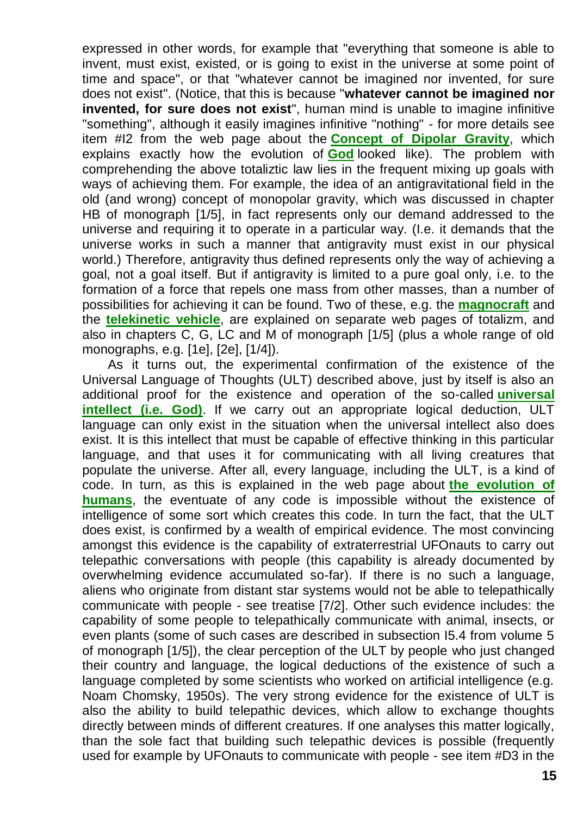expressed in other words, for example that "everything that someone is able to invent, must exist, existed, or is going to exist in the universe at some point of time and space", or that "whatever cannot be imagined nor invented, for sure does not exist". (Notice, that this is because "**whatever cannot be imagined nor invented, for sure does not exist**", human mind is unable to imagine infinitive "something", although it easily imagines infinitive "nothing" - for more details see item #I2 from the web page about the **[Concept of Dipolar Gravity](http://tornado.zxq.net/dipolar_gravity.htm)**, which explains exactly how the evolution of **[God](http://tornado.zxq.net/god.htm)** looked like). The problem with comprehending the above totaliztic law lies in the frequent mixing up goals with ways of achieving them. For example, the idea of an antigravitational field in the old (and wrong) concept of monopolar gravity, which was discussed in chapter HB of monograph [1/5], in fact represents only our demand addressed to the universe and requiring it to operate in a particular way. (I.e. it demands that the universe works in such a manner that antigravity must exist in our physical world.) Therefore, antigravity thus defined represents only the way of achieving a goal, not a goal itself. But if antigravity is limited to a pure goal only, i.e. to the formation of a force that repels one mass from other masses, than a number of possibilities for achieving it can be found. Two of these, e.g. the **[magnocraft](http://tornado.zxq.net/magnocraft.htm)** and the **[telekinetic vehicle](http://tornado.zxq.net/telekinesis.htm)**, are explained on separate web pages of totalizm, and also in chapters C, G, LC and M of monograph [1/5] (plus a whole range of old monographs, e.g. [1e], [2e], [1/4]).

As it turns out, the experimental confirmation of the existence of the Universal Language of Thoughts (ULT) described above, just by itself is also an additional proof for the existence and operation of the so-called **[universal](http://tornado.zxq.net/god.htm)  [intellect \(i.e. God\)](http://tornado.zxq.net/god.htm)**. If we carry out an appropriate logical deduction, ULT language can only exist in the situation when the universal intellect also does exist. It is this intellect that must be capable of effective thinking in this particular language, and that uses it for communicating with all living creatures that populate the universe. After all, every language, including the ULT, is a kind of code. In turn, as this is explained in the web page about **[the evolution of](http://tornado.zxq.net/evolution.htm)  [humans](http://tornado.zxq.net/evolution.htm)**, the eventuate of any code is impossible without the existence of intelligence of some sort which creates this code. In turn the fact, that the ULT does exist, is confirmed by a wealth of empirical evidence. The most convincing amongst this evidence is the capability of extraterrestrial UFOnauts to carry out telepathic conversations with people (this capability is already documented by overwhelming evidence accumulated so-far). If there is no such a language, aliens who originate from distant star systems would not be able to telepathically communicate with people - see treatise [7/2]. Other such evidence includes: the capability of some people to telepathically communicate with animal, insects, or even plants (some of such cases are described in subsection I5.4 from volume 5 of monograph [1/5]), the clear perception of the ULT by people who just changed their country and language, the logical deductions of the existence of such a language completed by some scientists who worked on artificial intelligence (e.g. Noam Chomsky, 1950s). The very strong evidence for the existence of ULT is also the ability to build telepathic devices, which allow to exchange thoughts directly between minds of different creatures. If one analyses this matter logically, than the sole fact that building such telepathic devices is possible (frequently used for example by UFOnauts to communicate with people - see item #D3 in the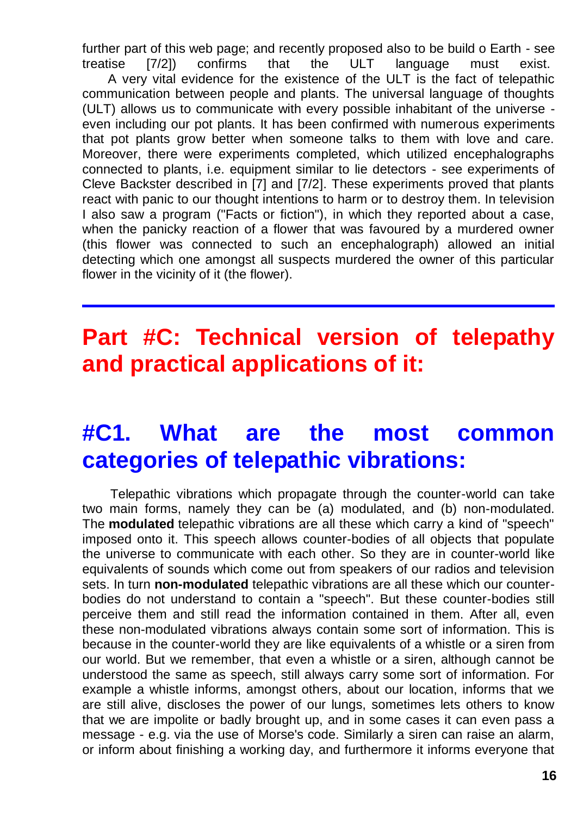further part of this web page; and recently proposed also to be build o Earth - see treatise [7/2]) confirms that the ULT language must exist.

A very vital evidence for the existence of the ULT is the fact of telepathic communication between people and plants. The universal language of thoughts (ULT) allows us to communicate with every possible inhabitant of the universe even including our pot plants. It has been confirmed with numerous experiments that pot plants grow better when someone talks to them with love and care. Moreover, there were experiments completed, which utilized encephalographs connected to plants, i.e. equipment similar to lie detectors - see experiments of Cleve Backster described in [7] and [7/2]. These experiments proved that plants react with panic to our thought intentions to harm or to destroy them. In television I also saw a program ("Facts or fiction"), in which they reported about a case, when the panicky reaction of a flower that was favoured by a murdered owner (this flower was connected to such an encephalograph) allowed an initial detecting which one amongst all suspects murdered the owner of this particular flower in the vicinity of it (the flower).

### **Part #C: Technical version of telepathy and practical applications of it:**

#### **#C1. What are the most common categories of telepathic vibrations:**

Telepathic vibrations which propagate through the counter-world can take two main forms, namely they can be (a) modulated, and (b) non-modulated. The **modulated** telepathic vibrations are all these which carry a kind of "speech" imposed onto it. This speech allows counter-bodies of all objects that populate the universe to communicate with each other. So they are in counter-world like equivalents of sounds which come out from speakers of our radios and television sets. In turn **non-modulated** telepathic vibrations are all these which our counterbodies do not understand to contain a "speech". But these counter-bodies still perceive them and still read the information contained in them. After all, even these non-modulated vibrations always contain some sort of information. This is because in the counter-world they are like equivalents of a whistle or a siren from our world. But we remember, that even a whistle or a siren, although cannot be understood the same as speech, still always carry some sort of information. For example a whistle informs, amongst others, about our location, informs that we are still alive, discloses the power of our lungs, sometimes lets others to know that we are impolite or badly brought up, and in some cases it can even pass a message - e.g. via the use of Morse's code. Similarly a siren can raise an alarm, or inform about finishing a working day, and furthermore it informs everyone that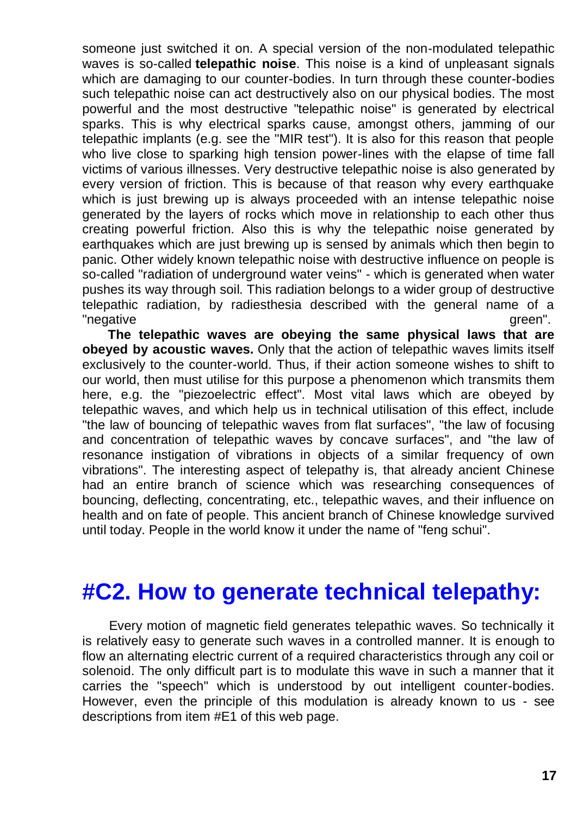someone just switched it on. A special version of the non-modulated telepathic waves is so-called **telepathic noise**. This noise is a kind of unpleasant signals which are damaging to our counter-bodies. In turn through these counter-bodies such telepathic noise can act destructively also on our physical bodies. The most powerful and the most destructive "telepathic noise" is generated by electrical sparks. This is why electrical sparks cause, amongst others, jamming of our telepathic implants (e.g. see the "MIR test"). It is also for this reason that people who live close to sparking high tension power-lines with the elapse of time fall victims of various illnesses. Very destructive telepathic noise is also generated by every version of friction. This is because of that reason why every earthquake which is just brewing up is always proceeded with an intense telepathic noise generated by the layers of rocks which move in relationship to each other thus creating powerful friction. Also this is why the telepathic noise generated by earthquakes which are just brewing up is sensed by animals which then begin to panic. Other widely known telepathic noise with destructive influence on people is so-called "radiation of underground water veins" - which is generated when water pushes its way through soil. This radiation belongs to a wider group of destructive telepathic radiation, by radiesthesia described with the general name of a "negative green".

**The telepathic waves are obeying the same physical laws that are obeyed by acoustic waves.** Only that the action of telepathic waves limits itself exclusively to the counter-world. Thus, if their action someone wishes to shift to our world, then must utilise for this purpose a phenomenon which transmits them here, e.g. the "piezoelectric effect". Most vital laws which are obeyed by telepathic waves, and which help us in technical utilisation of this effect, include "the law of bouncing of telepathic waves from flat surfaces", "the law of focusing and concentration of telepathic waves by concave surfaces", and "the law of resonance instigation of vibrations in objects of a similar frequency of own vibrations". The interesting aspect of telepathy is, that already ancient Chinese had an entire branch of science which was researching consequences of bouncing, deflecting, concentrating, etc., telepathic waves, and their influence on health and on fate of people. This ancient branch of Chinese knowledge survived until today. People in the world know it under the name of "feng schui".

#### **#C2. How to generate technical telepathy:**

Every motion of magnetic field generates telepathic waves. So technically it is relatively easy to generate such waves in a controlled manner. It is enough to flow an alternating electric current of a required characteristics through any coil or solenoid. The only difficult part is to modulate this wave in such a manner that it carries the "speech" which is understood by out intelligent counter-bodies. However, even the principle of this modulation is already known to us - see descriptions from item #E1 of this web page.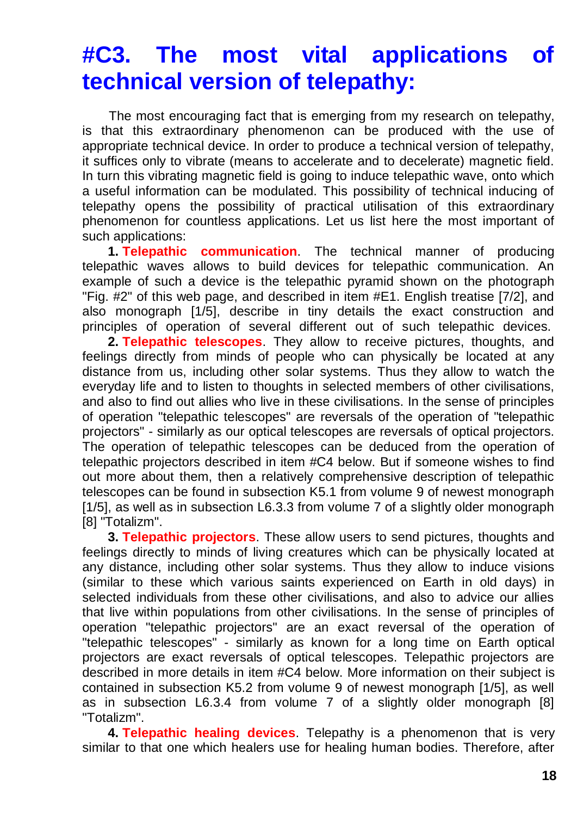#### **#C3. The most vital applications of technical version of telepathy:**

The most encouraging fact that is emerging from my research on telepathy, is that this extraordinary phenomenon can be produced with the use of appropriate technical device. In order to produce a technical version of telepathy, it suffices only to vibrate (means to accelerate and to decelerate) magnetic field. In turn this vibrating magnetic field is going to induce telepathic wave, onto which a useful information can be modulated. This possibility of technical inducing of telepathy opens the possibility of practical utilisation of this extraordinary phenomenon for countless applications. Let us list here the most important of such applications:

**1. Telepathic communication**. The technical manner of producing telepathic waves allows to build devices for telepathic communication. An example of such a device is the telepathic pyramid shown on the photograph "Fig. #2" of this web page, and described in item #E1. English treatise [7/2], and also monograph [1/5], describe in tiny details the exact construction and principles of operation of several different out of such telepathic devices.

**2. Telepathic telescopes**. They allow to receive pictures, thoughts, and feelings directly from minds of people who can physically be located at any distance from us, including other solar systems. Thus they allow to watch the everyday life and to listen to thoughts in selected members of other civilisations, and also to find out allies who live in these civilisations. In the sense of principles of operation "telepathic telescopes" are reversals of the operation of "telepathic projectors" - similarly as our optical telescopes are reversals of optical projectors. The operation of telepathic telescopes can be deduced from the operation of telepathic projectors described in item #C4 below. But if someone wishes to find out more about them, then a relatively comprehensive description of telepathic telescopes can be found in subsection K5.1 from volume 9 of newest monograph [1/5], as well as in subsection L6.3.3 from volume 7 of a slightly older monograph [8] "Totalizm".

**3. Telepathic projectors**. These allow users to send pictures, thoughts and feelings directly to minds of living creatures which can be physically located at any distance, including other solar systems. Thus they allow to induce visions (similar to these which various saints experienced on Earth in old days) in selected individuals from these other civilisations, and also to advice our allies that live within populations from other civilisations. In the sense of principles of operation "telepathic projectors" are an exact reversal of the operation of "telepathic telescopes" - similarly as known for a long time on Earth optical projectors are exact reversals of optical telescopes. Telepathic projectors are described in more details in item #C4 below. More information on their subject is contained in subsection K5.2 from volume 9 of newest monograph [1/5], as well as in subsection L6.3.4 from volume 7 of a slightly older monograph [8] "Totalizm".

**4. Telepathic healing devices**. Telepathy is a phenomenon that is very similar to that one which healers use for healing human bodies. Therefore, after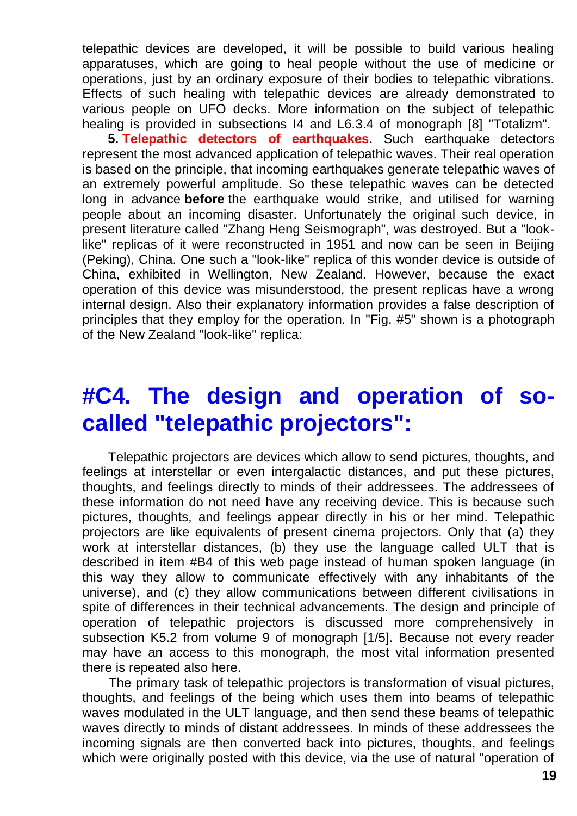telepathic devices are developed, it will be possible to build various healing apparatuses, which are going to heal people without the use of medicine or operations, just by an ordinary exposure of their bodies to telepathic vibrations. Effects of such healing with telepathic devices are already demonstrated to various people on UFO decks. More information on the subject of telepathic healing is provided in subsections I4 and L6.3.4 of monograph [8] "Totalizm".

**5. Telepathic detectors of earthquakes**. Such earthquake detectors represent the most advanced application of telepathic waves. Their real operation is based on the principle, that incoming earthquakes generate telepathic waves of an extremely powerful amplitude. So these telepathic waves can be detected long in advance **before** the earthquake would strike, and utilised for warning people about an incoming disaster. Unfortunately the original such device, in present literature called "Zhang Heng Seismograph", was destroyed. But a "looklike" replicas of it were reconstructed in 1951 and now can be seen in Beijing (Peking), China. One such a "look-like" replica of this wonder device is outside of China, exhibited in Wellington, New Zealand. However, because the exact operation of this device was misunderstood, the present replicas have a wrong internal design. Also their explanatory information provides a false description of principles that they employ for the operation. In "Fig. #5" shown is a photograph of the New Zealand "look-like" replica:

#### **#C4. The design and operation of socalled "telepathic projectors":**

Telepathic projectors are devices which allow to send pictures, thoughts, and feelings at interstellar or even intergalactic distances, and put these pictures, thoughts, and feelings directly to minds of their addressees. The addressees of these information do not need have any receiving device. This is because such pictures, thoughts, and feelings appear directly in his or her mind. Telepathic projectors are like equivalents of present cinema projectors. Only that (a) they work at interstellar distances, (b) they use the language called ULT that is described in item #B4 of this web page instead of human spoken language (in this way they allow to communicate effectively with any inhabitants of the universe), and (c) they allow communications between different civilisations in spite of differences in their technical advancements. The design and principle of operation of telepathic projectors is discussed more comprehensively in subsection K5.2 from volume 9 of monograph [1/5]. Because not every reader may have an access to this monograph, the most vital information presented there is repeated also here.

The primary task of telepathic projectors is transformation of visual pictures, thoughts, and feelings of the being which uses them into beams of telepathic waves modulated in the ULT language, and then send these beams of telepathic waves directly to minds of distant addressees. In minds of these addressees the incoming signals are then converted back into pictures, thoughts, and feelings which were originally posted with this device, via the use of natural "operation of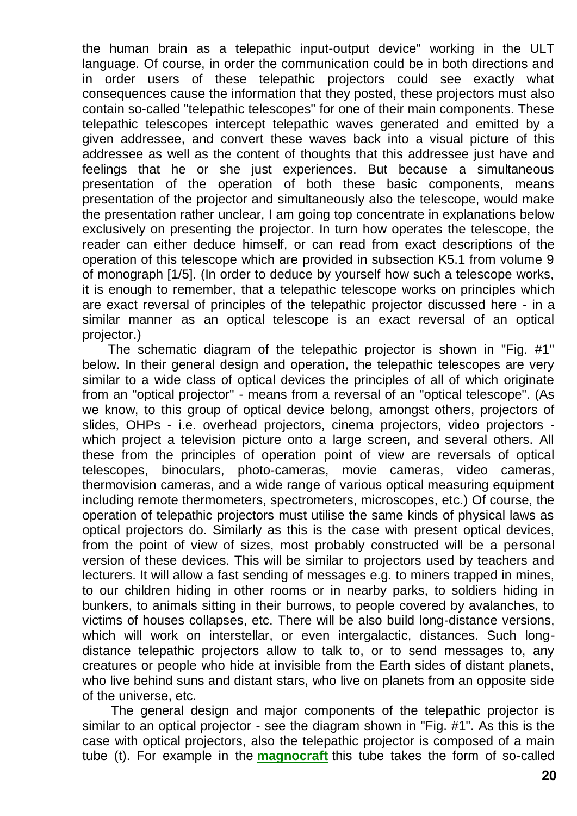the human brain as a telepathic input-output device" working in the ULT language. Of course, in order the communication could be in both directions and in order users of these telepathic projectors could see exactly what consequences cause the information that they posted, these projectors must also contain so-called "telepathic telescopes" for one of their main components. These telepathic telescopes intercept telepathic waves generated and emitted by a given addressee, and convert these waves back into a visual picture of this addressee as well as the content of thoughts that this addressee just have and feelings that he or she just experiences. But because a simultaneous presentation of the operation of both these basic components, means presentation of the projector and simultaneously also the telescope, would make the presentation rather unclear, I am going top concentrate in explanations below exclusively on presenting the projector. In turn how operates the telescope, the reader can either deduce himself, or can read from exact descriptions of the operation of this telescope which are provided in subsection K5.1 from volume 9 of monograph [1/5]. (In order to deduce by yourself how such a telescope works, it is enough to remember, that a telepathic telescope works on principles which are exact reversal of principles of the telepathic projector discussed here - in a similar manner as an optical telescope is an exact reversal of an optical projector.)

The schematic diagram of the telepathic projector is shown in "Fig. #1" below. In their general design and operation, the telepathic telescopes are very similar to a wide class of optical devices the principles of all of which originate from an "optical projector" - means from a reversal of an "optical telescope". (As we know, to this group of optical device belong, amongst others, projectors of slides, OHPs - i.e. overhead projectors, cinema projectors, video projectors which project a television picture onto a large screen, and several others. All these from the principles of operation point of view are reversals of optical telescopes, binoculars, photo-cameras, movie cameras, video cameras, thermovision cameras, and a wide range of various optical measuring equipment including remote thermometers, spectrometers, microscopes, etc.) Of course, the operation of telepathic projectors must utilise the same kinds of physical laws as optical projectors do. Similarly as this is the case with present optical devices, from the point of view of sizes, most probably constructed will be a personal version of these devices. This will be similar to projectors used by teachers and lecturers. It will allow a fast sending of messages e.g. to miners trapped in mines, to our children hiding in other rooms or in nearby parks, to soldiers hiding in bunkers, to animals sitting in their burrows, to people covered by avalanches, to victims of houses collapses, etc. There will be also build long-distance versions, which will work on interstellar, or even intergalactic, distances. Such longdistance telepathic projectors allow to talk to, or to send messages to, any creatures or people who hide at invisible from the Earth sides of distant planets, who live behind suns and distant stars, who live on planets from an opposite side of the universe, etc.

The general design and major components of the telepathic projector is similar to an optical projector - see the diagram shown in "Fig. #1". As this is the case with optical projectors, also the telepathic projector is composed of a main tube (t). For example in the **[magnocraft](http://tornado.zxq.net/magnocraft.htm)** this tube takes the form of so-called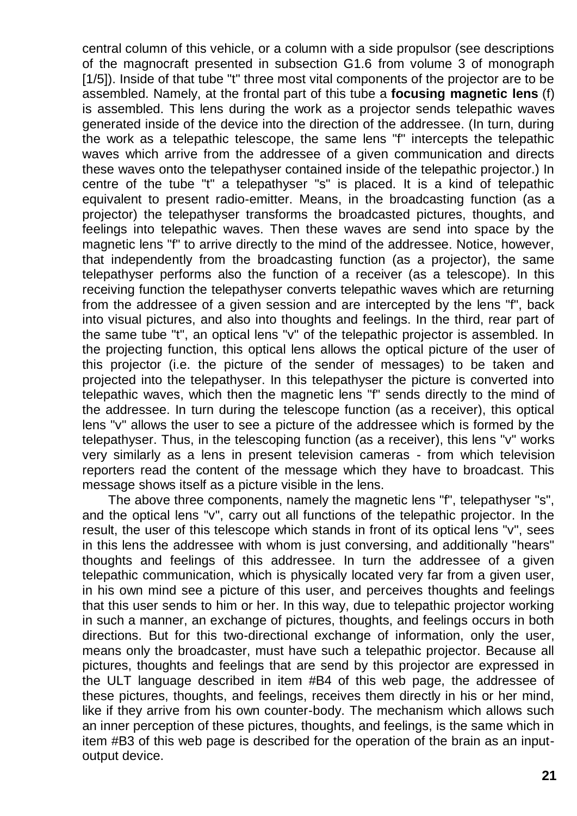central column of this vehicle, or a column with a side propulsor (see descriptions of the magnocraft presented in subsection G1.6 from volume 3 of monograph [1/5]). Inside of that tube "t" three most vital components of the projector are to be assembled. Namely, at the frontal part of this tube a **focusing magnetic lens** (f) is assembled. This lens during the work as a projector sends telepathic waves generated inside of the device into the direction of the addressee. (In turn, during the work as a telepathic telescope, the same lens "f" intercepts the telepathic waves which arrive from the addressee of a given communication and directs these waves onto the telepathyser contained inside of the telepathic projector.) In centre of the tube "t" a telepathyser "s" is placed. It is a kind of telepathic equivalent to present radio-emitter. Means, in the broadcasting function (as a projector) the telepathyser transforms the broadcasted pictures, thoughts, and feelings into telepathic waves. Then these waves are send into space by the magnetic lens "f" to arrive directly to the mind of the addressee. Notice, however, that independently from the broadcasting function (as a projector), the same telepathyser performs also the function of a receiver (as a telescope). In this receiving function the telepathyser converts telepathic waves which are returning from the addressee of a given session and are intercepted by the lens "f", back into visual pictures, and also into thoughts and feelings. In the third, rear part of the same tube "t", an optical lens "v" of the telepathic projector is assembled. In the projecting function, this optical lens allows the optical picture of the user of this projector (i.e. the picture of the sender of messages) to be taken and projected into the telepathyser. In this telepathyser the picture is converted into telepathic waves, which then the magnetic lens "f" sends directly to the mind of the addressee. In turn during the telescope function (as a receiver), this optical lens "v" allows the user to see a picture of the addressee which is formed by the telepathyser. Thus, in the telescoping function (as a receiver), this lens "v" works very similarly as a lens in present television cameras - from which television reporters read the content of the message which they have to broadcast. This message shows itself as a picture visible in the lens.

The above three components, namely the magnetic lens "f", telepathyser "s", and the optical lens "v", carry out all functions of the telepathic projector. In the result, the user of this telescope which stands in front of its optical lens "v", sees in this lens the addressee with whom is just conversing, and additionally "hears" thoughts and feelings of this addressee. In turn the addressee of a given telepathic communication, which is physically located very far from a given user, in his own mind see a picture of this user, and perceives thoughts and feelings that this user sends to him or her. In this way, due to telepathic projector working in such a manner, an exchange of pictures, thoughts, and feelings occurs in both directions. But for this two-directional exchange of information, only the user, means only the broadcaster, must have such a telepathic projector. Because all pictures, thoughts and feelings that are send by this projector are expressed in the ULT language described in item #B4 of this web page, the addressee of these pictures, thoughts, and feelings, receives them directly in his or her mind, like if they arrive from his own counter-body. The mechanism which allows such an inner perception of these pictures, thoughts, and feelings, is the same which in item #B3 of this web page is described for the operation of the brain as an inputoutput device.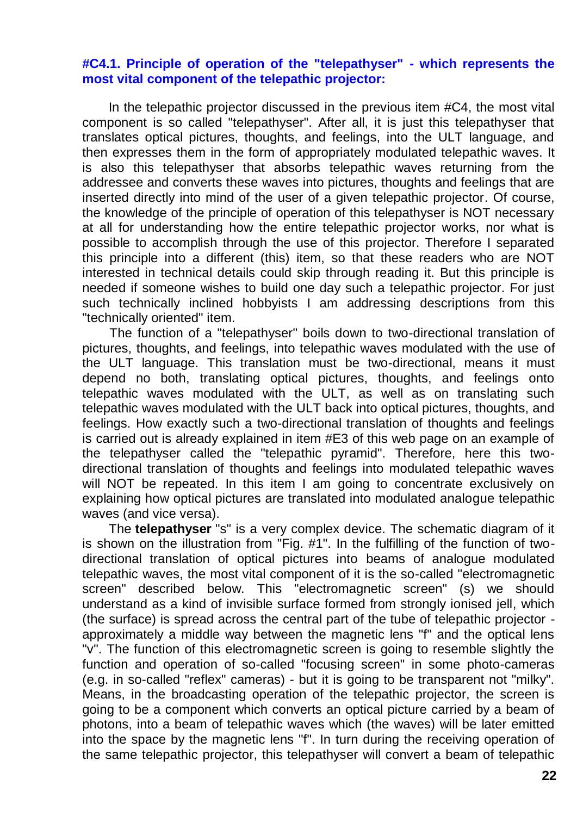#### **#C4.1. Principle of operation of the "telepathyser" - which represents the most vital component of the telepathic projector:**

In the telepathic projector discussed in the previous item #C4, the most vital component is so called "telepathyser". After all, it is just this telepathyser that translates optical pictures, thoughts, and feelings, into the ULT language, and then expresses them in the form of appropriately modulated telepathic waves. It is also this telepathyser that absorbs telepathic waves returning from the addressee and converts these waves into pictures, thoughts and feelings that are inserted directly into mind of the user of a given telepathic projector. Of course, the knowledge of the principle of operation of this telepathyser is NOT necessary at all for understanding how the entire telepathic projector works, nor what is possible to accomplish through the use of this projector. Therefore I separated this principle into a different (this) item, so that these readers who are NOT interested in technical details could skip through reading it. But this principle is needed if someone wishes to build one day such a telepathic projector. For just such technically inclined hobbyists I am addressing descriptions from this "technically oriented" item.

The function of a "telepathyser" boils down to two-directional translation of pictures, thoughts, and feelings, into telepathic waves modulated with the use of the ULT language. This translation must be two-directional, means it must depend no both, translating optical pictures, thoughts, and feelings onto telepathic waves modulated with the ULT, as well as on translating such telepathic waves modulated with the ULT back into optical pictures, thoughts, and feelings. How exactly such a two-directional translation of thoughts and feelings is carried out is already explained in item #E3 of this web page on an example of the telepathyser called the "telepathic pyramid". Therefore, here this twodirectional translation of thoughts and feelings into modulated telepathic waves will NOT be repeated. In this item I am going to concentrate exclusively on explaining how optical pictures are translated into modulated analogue telepathic waves (and vice versa).

The **telepathyser** "s" is a very complex device. The schematic diagram of it is shown on the illustration from "Fig. #1". In the fulfilling of the function of twodirectional translation of optical pictures into beams of analogue modulated telepathic waves, the most vital component of it is the so-called "electromagnetic screen" described below. This "electromagnetic screen" (s) we should understand as a kind of invisible surface formed from strongly ionised jell, which (the surface) is spread across the central part of the tube of telepathic projector approximately a middle way between the magnetic lens "f" and the optical lens "v". The function of this electromagnetic screen is going to resemble slightly the function and operation of so-called "focusing screen" in some photo-cameras (e.g. in so-called "reflex" cameras) - but it is going to be transparent not "milky". Means, in the broadcasting operation of the telepathic projector, the screen is going to be a component which converts an optical picture carried by a beam of photons, into a beam of telepathic waves which (the waves) will be later emitted into the space by the magnetic lens "f". In turn during the receiving operation of the same telepathic projector, this telepathyser will convert a beam of telepathic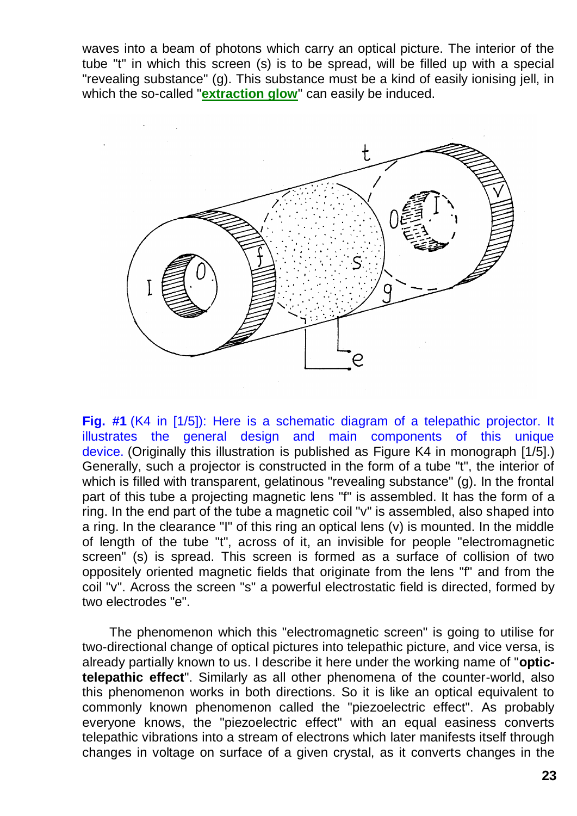waves into a beam of photons which carry an optical picture. The interior of the tube "t" in which this screen (s) is to be spread, will be filled up with a special "revealing substance" (g). This substance must be a kind of easily ionising jell, in which the so-called "**[extraction glow](http://tornado.zxq.net/dipolar_gravity.htm)**" can easily be induced.



**Fig. #1** (K4 in [1/5]): Here is a schematic diagram of a telepathic projector. It illustrates the general design and main components of this unique device. (Originally this illustration is published as Figure K4 in monograph [1/5].) Generally, such a projector is constructed in the form of a tube "t", the interior of which is filled with transparent, gelatinous "revealing substance" (g). In the frontal part of this tube a projecting magnetic lens "f" is assembled. It has the form of a ring. In the end part of the tube a magnetic coil "v" is assembled, also shaped into a ring. In the clearance "I" of this ring an optical lens (v) is mounted. In the middle of length of the tube "t", across of it, an invisible for people "electromagnetic screen" (s) is spread. This screen is formed as a surface of collision of two oppositely oriented magnetic fields that originate from the lens "f" and from the coil "v". Across the screen "s" a powerful electrostatic field is directed, formed by two electrodes "e".

The phenomenon which this "electromagnetic screen" is going to utilise for two-directional change of optical pictures into telepathic picture, and vice versa, is already partially known to us. I describe it here under the working name of "**optictelepathic effect**". Similarly as all other phenomena of the counter-world, also this phenomenon works in both directions. So it is like an optical equivalent to commonly known phenomenon called the "piezoelectric effect". As probably everyone knows, the "piezoelectric effect" with an equal easiness converts telepathic vibrations into a stream of electrons which later manifests itself through changes in voltage on surface of a given crystal, as it converts changes in the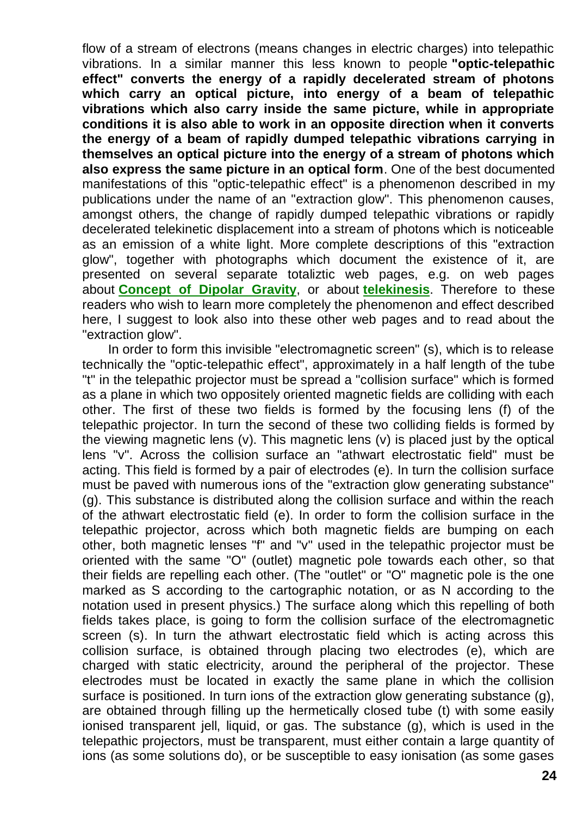flow of a stream of electrons (means changes in electric charges) into telepathic vibrations. In a similar manner this less known to people **"optic-telepathic effect" converts the energy of a rapidly decelerated stream of photons which carry an optical picture, into energy of a beam of telepathic vibrations which also carry inside the same picture, while in appropriate conditions it is also able to work in an opposite direction when it converts the energy of a beam of rapidly dumped telepathic vibrations carrying in themselves an optical picture into the energy of a stream of photons which also express the same picture in an optical form**. One of the best documented manifestations of this "optic-telepathic effect" is a phenomenon described in my publications under the name of an "extraction glow". This phenomenon causes, amongst others, the change of rapidly dumped telepathic vibrations or rapidly decelerated telekinetic displacement into a stream of photons which is noticeable as an emission of a white light. More complete descriptions of this "extraction glow", together with photographs which document the existence of it, are presented on several separate totaliztic web pages, e.g. on web pages about **[Concept of Dipolar Gravity](http://tornado.zxq.net/dipolar_gravity.htm)**, or about **[telekinesis](http://tornado.zxq.net/telekinesis.htm)**. Therefore to these readers who wish to learn more completely the phenomenon and effect described here, I suggest to look also into these other web pages and to read about the "extraction glow".

In order to form this invisible "electromagnetic screen" (s), which is to release technically the "optic-telepathic effect", approximately in a half length of the tube "t" in the telepathic projector must be spread a "collision surface" which is formed as a plane in which two oppositely oriented magnetic fields are colliding with each other. The first of these two fields is formed by the focusing lens (f) of the telepathic projector. In turn the second of these two colliding fields is formed by the viewing magnetic lens (v). This magnetic lens (v) is placed just by the optical lens "v". Across the collision surface an "athwart electrostatic field" must be acting. This field is formed by a pair of electrodes (e). In turn the collision surface must be paved with numerous ions of the "extraction glow generating substance" (g). This substance is distributed along the collision surface and within the reach of the athwart electrostatic field (e). In order to form the collision surface in the telepathic projector, across which both magnetic fields are bumping on each other, both magnetic lenses "f" and "v" used in the telepathic projector must be oriented with the same "O" (outlet) magnetic pole towards each other, so that their fields are repelling each other. (The "outlet" or "O" magnetic pole is the one marked as S according to the cartographic notation, or as N according to the notation used in present physics.) The surface along which this repelling of both fields takes place, is going to form the collision surface of the electromagnetic screen (s). In turn the athwart electrostatic field which is acting across this collision surface, is obtained through placing two electrodes (e), which are charged with static electricity, around the peripheral of the projector. These electrodes must be located in exactly the same plane in which the collision surface is positioned. In turn ions of the extraction glow generating substance (g), are obtained through filling up the hermetically closed tube (t) with some easily ionised transparent jell, liquid, or gas. The substance (g), which is used in the telepathic projectors, must be transparent, must either contain a large quantity of ions (as some solutions do), or be susceptible to easy ionisation (as some gases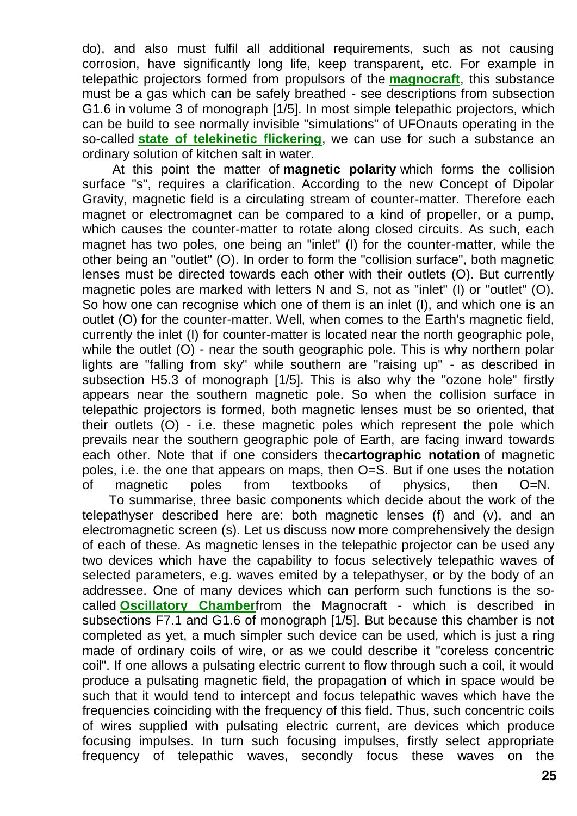do), and also must fulfil all additional requirements, such as not causing corrosion, have significantly long life, keep transparent, etc. For example in telepathic projectors formed from propulsors of the **[magnocraft](http://tornado.zxq.net/magnocraft.htm)**, this substance must be a gas which can be safely breathed - see descriptions from subsection G1.6 in volume 3 of monograph [1/5]. In most simple telepathic projectors, which can be build to see normally invisible "simulations" of UFOnauts operating in the so-called **[state of telekinetic flickering](http://tornado.zxq.net/dipolar_gravity.htm)**, we can use for such a substance an ordinary solution of kitchen salt in water.

At this point the matter of **magnetic polarity** which forms the collision surface "s", requires a clarification. According to the new Concept of Dipolar Gravity, magnetic field is a circulating stream of counter-matter. Therefore each magnet or electromagnet can be compared to a kind of propeller, or a pump, which causes the counter-matter to rotate along closed circuits. As such, each magnet has two poles, one being an "inlet" (I) for the counter-matter, while the other being an "outlet" (O). In order to form the "collision surface", both magnetic lenses must be directed towards each other with their outlets (O). But currently magnetic poles are marked with letters N and S, not as "inlet" (I) or "outlet" (O). So how one can recognise which one of them is an inlet (I), and which one is an outlet (O) for the counter-matter. Well, when comes to the Earth's magnetic field, currently the inlet (I) for counter-matter is located near the north geographic pole, while the outlet (O) - near the south geographic pole. This is why northern polar lights are "falling from sky" while southern are "raising up" - as described in subsection H5.3 of monograph [1/5]. This is also why the "ozone hole" firstly appears near the southern magnetic pole. So when the collision surface in telepathic projectors is formed, both magnetic lenses must be so oriented, that their outlets (O) - i.e. these magnetic poles which represent the pole which prevails near the southern geographic pole of Earth, are facing inward towards each other. Note that if one considers the**cartographic notation** of magnetic poles, i.e. the one that appears on maps, then O=S. But if one uses the notation of magnetic poles from textbooks of physics, then O=N.

To summarise, three basic components which decide about the work of the telepathyser described here are: both magnetic lenses (f) and (v), and an electromagnetic screen (s). Let us discuss now more comprehensively the design of each of these. As magnetic lenses in the telepathic projector can be used any two devices which have the capability to focus selectively telepathic waves of selected parameters, e.g. waves emited by a telepathyser, or by the body of an addressee. One of many devices which can perform such functions is the socalled **[Oscillatory Chamber](http://tornado.zxq.net/oscillatory_chamber.htm)**from the Magnocraft - which is described in subsections F7.1 and G1.6 of monograph [1/5]. But because this chamber is not completed as yet, a much simpler such device can be used, which is just a ring made of ordinary coils of wire, or as we could describe it "coreless concentric coil". If one allows a pulsating electric current to flow through such a coil, it would produce a pulsating magnetic field, the propagation of which in space would be such that it would tend to intercept and focus telepathic waves which have the frequencies coinciding with the frequency of this field. Thus, such concentric coils of wires supplied with pulsating electric current, are devices which produce focusing impulses. In turn such focusing impulses, firstly select appropriate frequency of telepathic waves, secondly focus these waves on the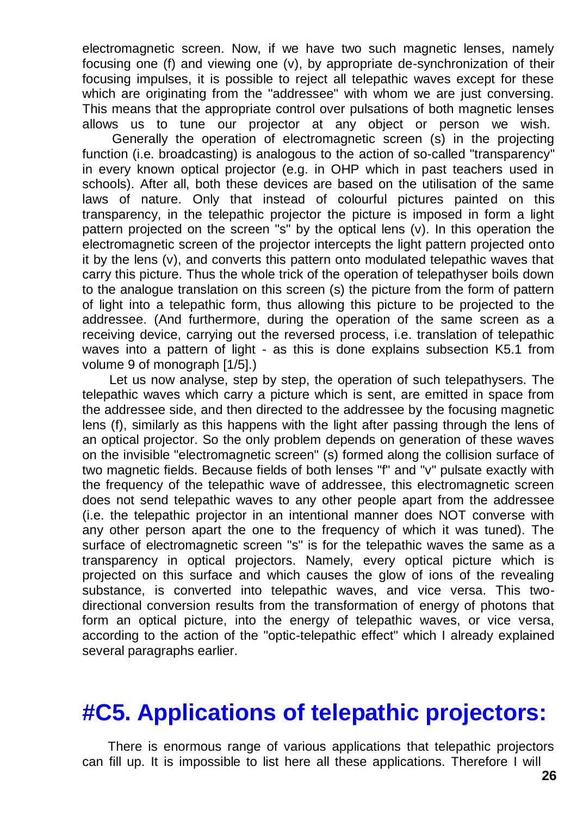electromagnetic screen. Now, if we have two such magnetic lenses, namely focusing one (f) and viewing one (v), by appropriate de-synchronization of their focusing impulses, it is possible to reject all telepathic waves except for these which are originating from the "addressee" with whom we are just conversing. This means that the appropriate control over pulsations of both magnetic lenses allows us to tune our projector at any object or person we wish.

Generally the operation of electromagnetic screen (s) in the projecting function (i.e. broadcasting) is analogous to the action of so-called "transparency" in every known optical projector (e.g. in OHP which in past teachers used in schools). After all, both these devices are based on the utilisation of the same laws of nature. Only that instead of colourful pictures painted on this transparency, in the telepathic projector the picture is imposed in form a light pattern projected on the screen "s" by the optical lens (v). In this operation the electromagnetic screen of the projector intercepts the light pattern projected onto it by the lens (v), and converts this pattern onto modulated telepathic waves that carry this picture. Thus the whole trick of the operation of telepathyser boils down to the analogue translation on this screen (s) the picture from the form of pattern of light into a telepathic form, thus allowing this picture to be projected to the addressee. (And furthermore, during the operation of the same screen as a receiving device, carrying out the reversed process, i.e. translation of telepathic waves into a pattern of light - as this is done explains subsection K5.1 from volume 9 of monograph [1/5].)

Let us now analyse, step by step, the operation of such telepathysers. The telepathic waves which carry a picture which is sent, are emitted in space from the addressee side, and then directed to the addressee by the focusing magnetic lens (f), similarly as this happens with the light after passing through the lens of an optical projector. So the only problem depends on generation of these waves on the invisible "electromagnetic screen" (s) formed along the collision surface of two magnetic fields. Because fields of both lenses "f" and "v" pulsate exactly with the frequency of the telepathic wave of addressee, this electromagnetic screen does not send telepathic waves to any other people apart from the addressee (i.e. the telepathic projector in an intentional manner does NOT converse with any other person apart the one to the frequency of which it was tuned). The surface of electromagnetic screen "s" is for the telepathic waves the same as a transparency in optical projectors. Namely, every optical picture which is projected on this surface and which causes the glow of ions of the revealing substance, is converted into telepathic waves, and vice versa. This twodirectional conversion results from the transformation of energy of photons that form an optical picture, into the energy of telepathic waves, or vice versa, according to the action of the "optic-telepathic effect" which I already explained several paragraphs earlier.

#### **#C5. Applications of telepathic projectors:**

There is enormous range of various applications that telepathic projectors can fill up. It is impossible to list here all these applications. Therefore I will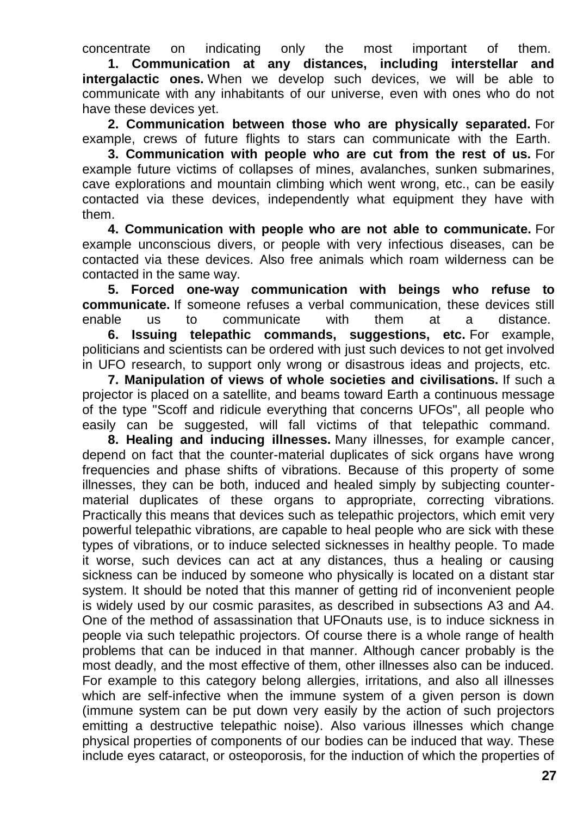concentrate on indicating only the most important of them.

**1. Communication at any distances, including interstellar and intergalactic ones.** When we develop such devices, we will be able to communicate with any inhabitants of our universe, even with ones who do not have these devices yet.

**2. Communication between those who are physically separated.** For example, crews of future flights to stars can communicate with the Earth.

**3. Communication with people who are cut from the rest of us.** For example future victims of collapses of mines, avalanches, sunken submarines, cave explorations and mountain climbing which went wrong, etc., can be easily contacted via these devices, independently what equipment they have with them.

**4. Communication with people who are not able to communicate.** For example unconscious divers, or people with very infectious diseases, can be contacted via these devices. Also free animals which roam wilderness can be contacted in the same way.

**5. Forced one-way communication with beings who refuse to communicate.** If someone refuses a verbal communication, these devices still enable us to communicate with them at a distance.

**6. Issuing telepathic commands, suggestions, etc.** For example, politicians and scientists can be ordered with just such devices to not get involved in UFO research, to support only wrong or disastrous ideas and projects, etc.

**7. Manipulation of views of whole societies and civilisations.** If such a projector is placed on a satellite, and beams toward Earth a continuous message of the type "Scoff and ridicule everything that concerns UFOs", all people who easily can be suggested, will fall victims of that telepathic command.

**8. Healing and inducing illnesses.** Many illnesses, for example cancer, depend on fact that the counter-material duplicates of sick organs have wrong frequencies and phase shifts of vibrations. Because of this property of some illnesses, they can be both, induced and healed simply by subjecting countermaterial duplicates of these organs to appropriate, correcting vibrations. Practically this means that devices such as telepathic projectors, which emit very powerful telepathic vibrations, are capable to heal people who are sick with these types of vibrations, or to induce selected sicknesses in healthy people. To made it worse, such devices can act at any distances, thus a healing or causing sickness can be induced by someone who physically is located on a distant star system. It should be noted that this manner of getting rid of inconvenient people is widely used by our cosmic parasites, as described in subsections A3 and A4. One of the method of assassination that UFOnauts use, is to induce sickness in people via such telepathic projectors. Of course there is a whole range of health problems that can be induced in that manner. Although cancer probably is the most deadly, and the most effective of them, other illnesses also can be induced. For example to this category belong allergies, irritations, and also all illnesses which are self-infective when the immune system of a given person is down (immune system can be put down very easily by the action of such projectors emitting a destructive telepathic noise). Also various illnesses which change physical properties of components of our bodies can be induced that way. These include eyes cataract, or osteoporosis, for the induction of which the properties of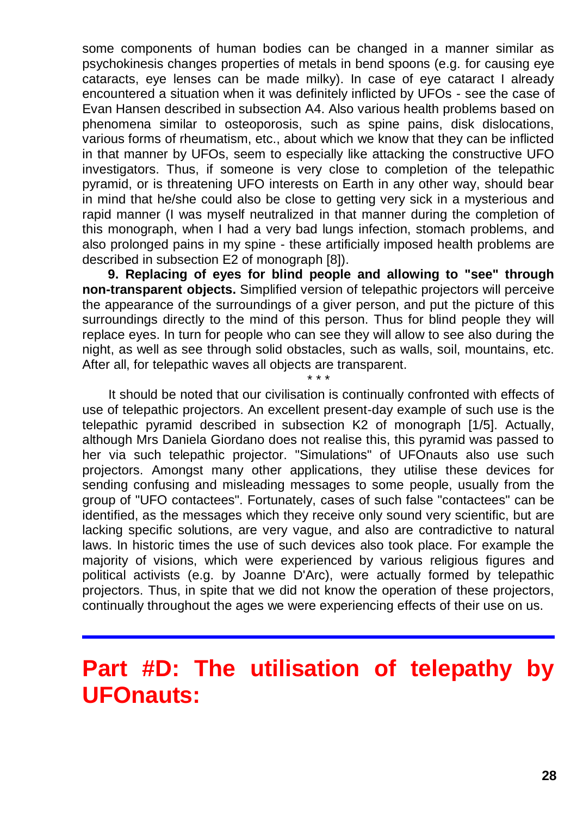some components of human bodies can be changed in a manner similar as psychokinesis changes properties of metals in bend spoons (e.g. for causing eye cataracts, eye lenses can be made milky). In case of eye cataract I already encountered a situation when it was definitely inflicted by UFOs - see the case of Evan Hansen described in subsection A4. Also various health problems based on phenomena similar to osteoporosis, such as spine pains, disk dislocations, various forms of rheumatism, etc., about which we know that they can be inflicted in that manner by UFOs, seem to especially like attacking the constructive UFO investigators. Thus, if someone is very close to completion of the telepathic pyramid, or is threatening UFO interests on Earth in any other way, should bear in mind that he/she could also be close to getting very sick in a mysterious and rapid manner (I was myself neutralized in that manner during the completion of this monograph, when I had a very bad lungs infection, stomach problems, and also prolonged pains in my spine - these artificially imposed health problems are described in subsection E2 of monograph [8]).

**9. Replacing of eyes for blind people and allowing to "see" through non-transparent objects.** Simplified version of telepathic projectors will perceive the appearance of the surroundings of a giver person, and put the picture of this surroundings directly to the mind of this person. Thus for blind people they will replace eyes. In turn for people who can see they will allow to see also during the night, as well as see through solid obstacles, such as walls, soil, mountains, etc. After all, for telepathic waves all objects are transparent.

\* \* \*

It should be noted that our civilisation is continually confronted with effects of use of telepathic projectors. An excellent present-day example of such use is the telepathic pyramid described in subsection K2 of monograph [1/5]. Actually, although Mrs Daniela Giordano does not realise this, this pyramid was passed to her via such telepathic projector. "Simulations" of UFOnauts also use such projectors. Amongst many other applications, they utilise these devices for sending confusing and misleading messages to some people, usually from the group of "UFO contactees". Fortunately, cases of such false "contactees" can be identified, as the messages which they receive only sound very scientific, but are lacking specific solutions, are very vague, and also are contradictive to natural laws. In historic times the use of such devices also took place. For example the majority of visions, which were experienced by various religious figures and political activists (e.g. by Joanne D'Arc), were actually formed by telepathic projectors. Thus, in spite that we did not know the operation of these projectors, continually throughout the ages we were experiencing effects of their use on us.

#### **Part #D: The utilisation of telepathy by UFOnauts:**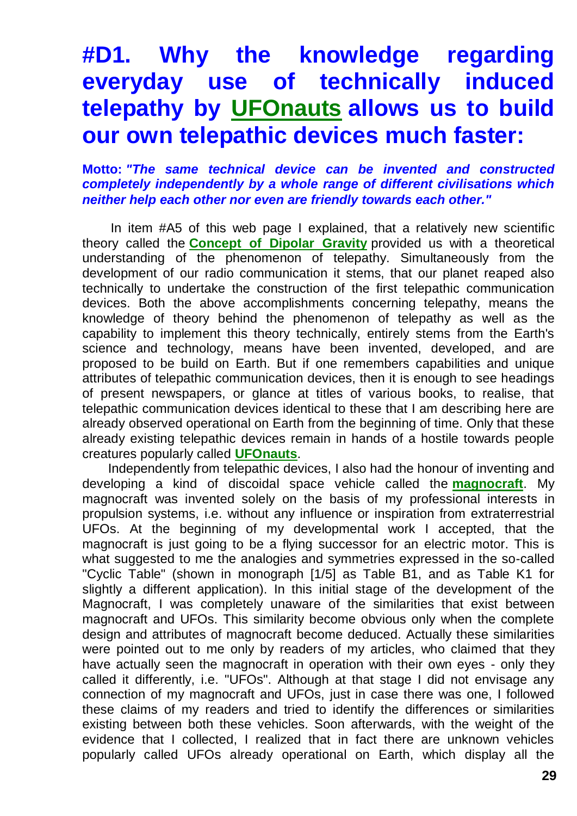#### **#D1. Why the knowledge regarding everyday use of technically induced telepathy by [UFOnauts](http://tornado.zxq.net/ufo.htm) allows us to build our own telepathic devices much faster:**

**Motto:** *"The same technical device can be invented and constructed completely independently by a whole range of different civilisations which neither help each other nor even are friendly towards each other."*

In item #A5 of this web page I explained, that a relatively new scientific theory called the **[Concept of Dipolar Gravity](http://tornado.zxq.net/dipolar_gravity.htm)** provided us with a theoretical understanding of the phenomenon of telepathy. Simultaneously from the development of our radio communication it stems, that our planet reaped also technically to undertake the construction of the first telepathic communication devices. Both the above accomplishments concerning telepathy, means the knowledge of theory behind the phenomenon of telepathy as well as the capability to implement this theory technically, entirely stems from the Earth's science and technology, means have been invented, developed, and are proposed to be build on Earth. But if one remembers capabilities and unique attributes of telepathic communication devices, then it is enough to see headings of present newspapers, or glance at titles of various books, to realise, that telepathic communication devices identical to these that I am describing here are already observed operational on Earth from the beginning of time. Only that these already existing telepathic devices remain in hands of a hostile towards people creatures popularly called **[UFOnauts](http://tornado.zxq.net/ufo.htm)**.

Independently from telepathic devices, I also had the honour of inventing and developing a kind of discoidal space vehicle called the **[magnocraft](http://tornado.zxq.net/magnocraft.htm)**. My magnocraft was invented solely on the basis of my professional interests in propulsion systems, i.e. without any influence or inspiration from extraterrestrial UFOs. At the beginning of my developmental work I accepted, that the magnocraft is just going to be a flying successor for an electric motor. This is what suggested to me the analogies and symmetries expressed in the so-called "Cyclic Table" (shown in monograph [1/5] as Table B1, and as Table K1 for slightly a different application). In this initial stage of the development of the Magnocraft, I was completely unaware of the similarities that exist between magnocraft and UFOs. This similarity become obvious only when the complete design and attributes of magnocraft become deduced. Actually these similarities were pointed out to me only by readers of my articles, who claimed that they have actually seen the magnocraft in operation with their own eyes - only they called it differently, i.e. "UFOs". Although at that stage I did not envisage any connection of my magnocraft and UFOs, just in case there was one, I followed these claims of my readers and tried to identify the differences or similarities existing between both these vehicles. Soon afterwards, with the weight of the evidence that I collected, I realized that in fact there are unknown vehicles popularly called UFOs already operational on Earth, which display all the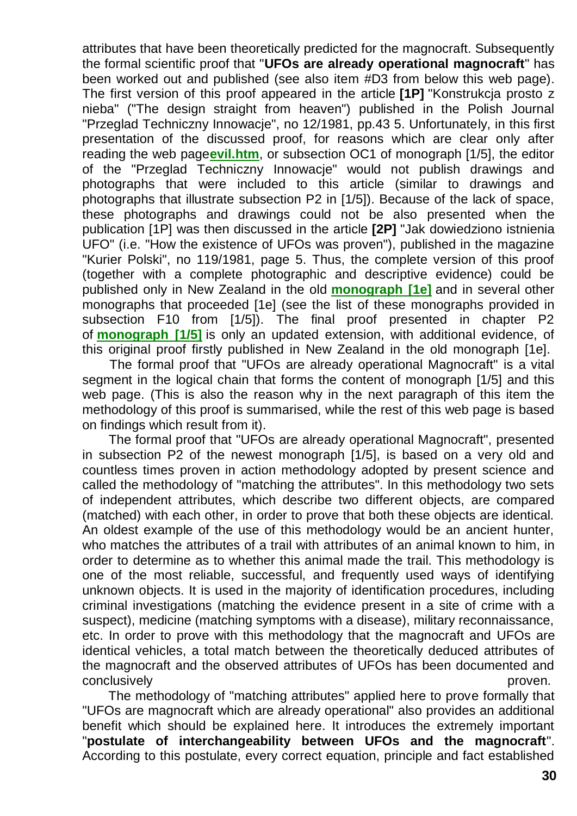attributes that have been theoretically predicted for the magnocraft. Subsequently the formal scientific proof that "**UFOs are already operational magnocraft**" has been worked out and published (see also item #D3 from below this web page). The first version of this proof appeared in the article **[1P]** "Konstrukcja prosto z nieba" ("The design straight from heaven") published in the Polish Journal "Przeglad Techniczny Innowacje", no 12/1981, pp.43 5. Unfortunately, in this first presentation of the discussed proof, for reasons which are clear only after reading the web page**[evil.htm](http://tornado.zxq.net/evil.htm)**, or subsection OC1 of monograph [1/5], the editor of the "Przeglad Techniczny Innowacje" would not publish drawings and photographs that were included to this article (similar to drawings and photographs that illustrate subsection P2 in [1/5]). Because of the lack of space, these photographs and drawings could not be also presented when the publication [1P] was then discussed in the article **[2P]** "Jak dowiedziono istnienia UFO" (i.e. "How the existence of UFOs was proven"), published in the magazine "Kurier Polski", no 119/1981, page 5. Thus, the complete version of this proof (together with a complete photographic and descriptive evidence) could be published only in New Zealand in the old **[monograph \[1e\]](http://tornado.zxq.net/text_1e.htm)** and in several other monographs that proceeded [1e] (see the list of these monographs provided in subsection F10 from [1/5]). The final proof presented in chapter P2 of **[monograph \[1/5\]](http://tornado.zxq.net/text_1_5.htm)** is only an updated extension, with additional evidence, of this original proof firstly published in New Zealand in the old monograph [1e].

The formal proof that "UFOs are already operational Magnocraft" is a vital segment in the logical chain that forms the content of monograph [1/5] and this web page. (This is also the reason why in the next paragraph of this item the methodology of this proof is summarised, while the rest of this web page is based on findings which result from it).

The formal proof that "UFOs are already operational Magnocraft", presented in subsection P2 of the newest monograph [1/5], is based on a very old and countless times proven in action methodology adopted by present science and called the methodology of "matching the attributes". In this methodology two sets of independent attributes, which describe two different objects, are compared (matched) with each other, in order to prove that both these objects are identical. An oldest example of the use of this methodology would be an ancient hunter, who matches the attributes of a trail with attributes of an animal known to him, in order to determine as to whether this animal made the trail. This methodology is one of the most reliable, successful, and frequently used ways of identifying unknown objects. It is used in the majority of identification procedures, including criminal investigations (matching the evidence present in a site of crime with a suspect), medicine (matching symptoms with a disease), military reconnaissance, etc. In order to prove with this methodology that the magnocraft and UFOs are identical vehicles, a total match between the theoretically deduced attributes of the magnocraft and the observed attributes of UFOs has been documented and conclusively example and the conclusively proven.

The methodology of "matching attributes" applied here to prove formally that "UFOs are magnocraft which are already operational" also provides an additional benefit which should be explained here. It introduces the extremely important "**postulate of interchangeability between UFOs and the magnocraft**". According to this postulate, every correct equation, principle and fact established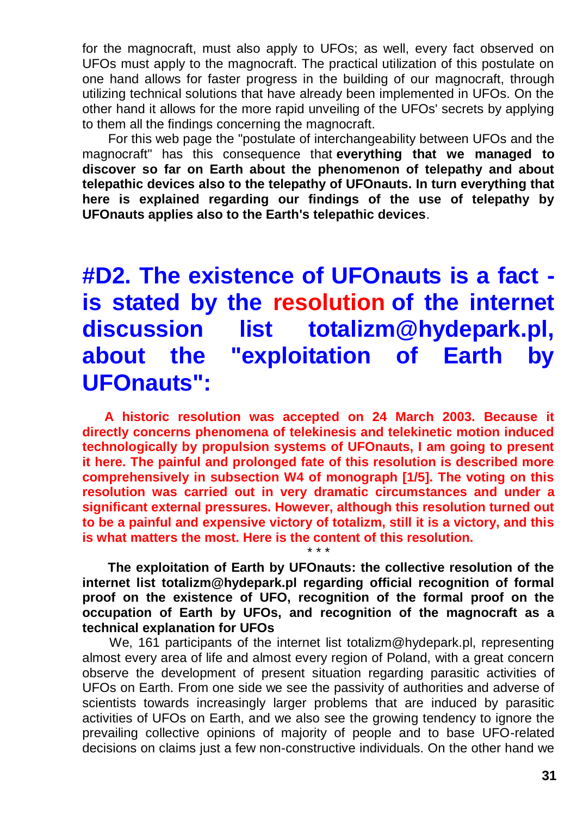for the magnocraft, must also apply to UFOs; as well, every fact observed on UFOs must apply to the magnocraft. The practical utilization of this postulate on one hand allows for faster progress in the building of our magnocraft, through utilizing technical solutions that have already been implemented in UFOs. On the other hand it allows for the more rapid unveiling of the UFOs' secrets by applying to them all the findings concerning the magnocraft.

For this web page the "postulate of interchangeability between UFOs and the magnocraft" has this consequence that **everything that we managed to discover so far on Earth about the phenomenon of telepathy and about telepathic devices also to the telepathy of UFOnauts. In turn everything that here is explained regarding our findings of the use of telepathy by UFOnauts applies also to the Earth's telepathic devices**.

#### **#D2. The existence of UFOnauts is a fact is stated by the resolution of the internet discussion list totalizm@hydepark.pl, about the "exploitation of Earth by UFOnauts":**

**A historic resolution was accepted on 24 March 2003. Because it directly concerns phenomena of telekinesis and telekinetic motion induced technologically by propulsion systems of UFOnauts, I am going to present it here. The painful and prolonged fate of this resolution is described more comprehensively in subsection W4 of monograph [1/5]. The voting on this resolution was carried out in very dramatic circumstances and under a significant external pressures. However, although this resolution turned out to be a painful and expensive victory of totalizm, still it is a victory, and this is what matters the most. Here is the content of this resolution.**

**The exploitation of Earth by UFOnauts: the collective resolution of the internet list totalizm@hydepark.pl regarding official recognition of formal proof on the existence of UFO, recognition of the formal proof on the occupation of Earth by UFOs, and recognition of the magnocraft as a technical explanation for UFOs**

\* \* \*

We, 161 participants of the internet list totalizm@hydepark.pl, representing almost every area of life and almost every region of Poland, with a great concern observe the development of present situation regarding parasitic activities of UFOs on Earth. From one side we see the passivity of authorities and adverse of scientists towards increasingly larger problems that are induced by parasitic activities of UFOs on Earth, and we also see the growing tendency to ignore the prevailing collective opinions of majority of people and to base UFO-related decisions on claims just a few non-constructive individuals. On the other hand we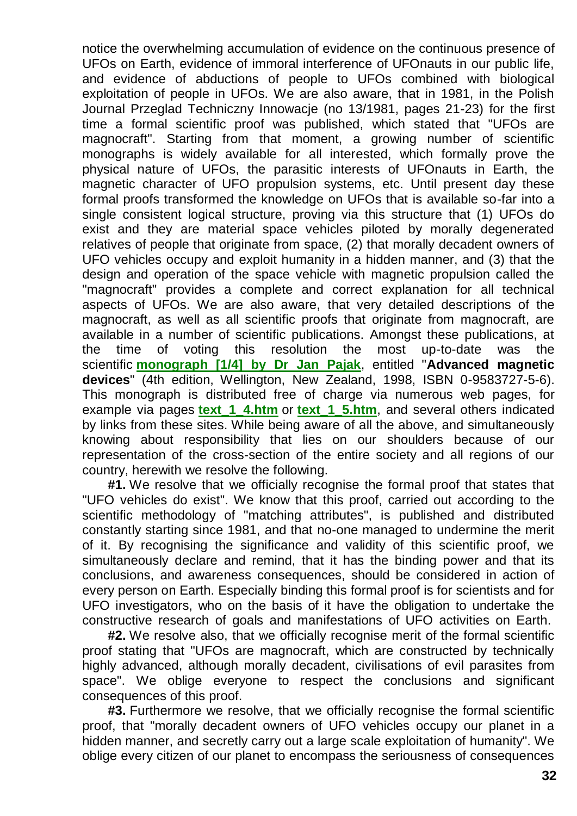notice the overwhelming accumulation of evidence on the continuous presence of UFOs on Earth, evidence of immoral interference of UFOnauts in our public life, and evidence of abductions of people to UFOs combined with biological exploitation of people in UFOs. We are also aware, that in 1981, in the Polish Journal Przeglad Techniczny Innowacje (no 13/1981, pages 21-23) for the first time a formal scientific proof was published, which stated that "UFOs are magnocraft". Starting from that moment, a growing number of scientific monographs is widely available for all interested, which formally prove the physical nature of UFOs, the parasitic interests of UFOnauts in Earth, the magnetic character of UFO propulsion systems, etc. Until present day these formal proofs transformed the knowledge on UFOs that is available so-far into a single consistent logical structure, proving via this structure that (1) UFOs do exist and they are material space vehicles piloted by morally degenerated relatives of people that originate from space, (2) that morally decadent owners of UFO vehicles occupy and exploit humanity in a hidden manner, and (3) that the design and operation of the space vehicle with magnetic propulsion called the "magnocraft" provides a complete and correct explanation for all technical aspects of UFOs. We are also aware, that very detailed descriptions of the magnocraft, as well as all scientific proofs that originate from magnocraft, are available in a number of scientific publications. Amongst these publications, at the time of voting this resolution the most up-to-date was the scientific **[monograph \[1/4\] by Dr Jan Pajak](http://tornado.zxq.net/pajak_jan_uk.htm)**, entitled "**Advanced magnetic devices**" (4th edition, Wellington, New Zealand, 1998, ISBN 0-9583727-5-6). This monograph is distributed free of charge via numerous web pages, for example via pages **[text\\_1\\_4.htm](http://tornado.zxq.net/text_1_4.htm)** or **[text\\_1\\_5.htm](http://tornado.zxq.net/text_1_5.htm)**, and several others indicated by links from these sites. While being aware of all the above, and simultaneously knowing about responsibility that lies on our shoulders because of our representation of the cross-section of the entire society and all regions of our country, herewith we resolve the following.

**#1.** We resolve that we officially recognise the formal proof that states that "UFO vehicles do exist". We know that this proof, carried out according to the scientific methodology of "matching attributes", is published and distributed constantly starting since 1981, and that no-one managed to undermine the merit of it. By recognising the significance and validity of this scientific proof, we simultaneously declare and remind, that it has the binding power and that its conclusions, and awareness consequences, should be considered in action of every person on Earth. Especially binding this formal proof is for scientists and for UFO investigators, who on the basis of it have the obligation to undertake the constructive research of goals and manifestations of UFO activities on Earth.

**#2.** We resolve also, that we officially recognise merit of the formal scientific proof stating that "UFOs are magnocraft, which are constructed by technically highly advanced, although morally decadent, civilisations of evil parasites from space". We oblige everyone to respect the conclusions and significant consequences of this proof.

**#3.** Furthermore we resolve, that we officially recognise the formal scientific proof, that "morally decadent owners of UFO vehicles occupy our planet in a hidden manner, and secretly carry out a large scale exploitation of humanity". We oblige every citizen of our planet to encompass the seriousness of consequences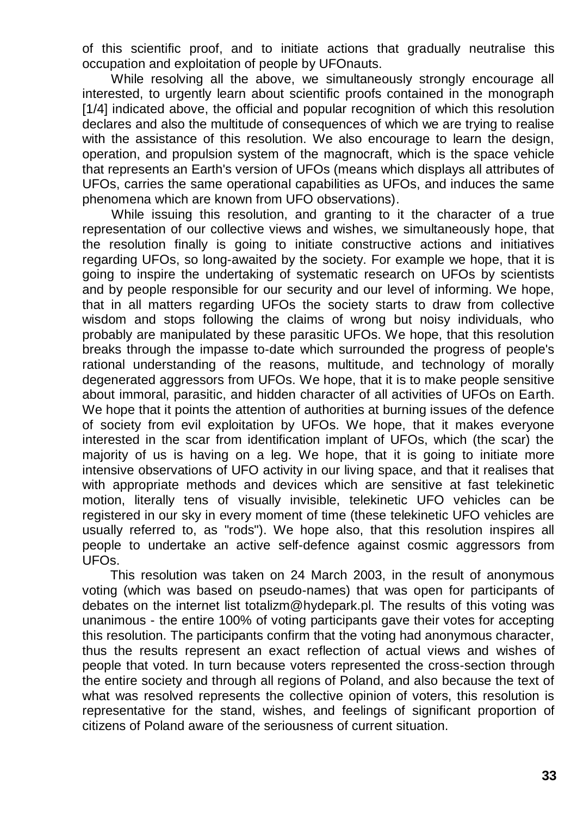of this scientific proof, and to initiate actions that gradually neutralise this occupation and exploitation of people by UFOnauts.

While resolving all the above, we simultaneously strongly encourage all interested, to urgently learn about scientific proofs contained in the monograph [1/4] indicated above, the official and popular recognition of which this resolution declares and also the multitude of consequences of which we are trying to realise with the assistance of this resolution. We also encourage to learn the design, operation, and propulsion system of the magnocraft, which is the space vehicle that represents an Earth's version of UFOs (means which displays all attributes of UFOs, carries the same operational capabilities as UFOs, and induces the same phenomena which are known from UFO observations).

While issuing this resolution, and granting to it the character of a true representation of our collective views and wishes, we simultaneously hope, that the resolution finally is going to initiate constructive actions and initiatives regarding UFOs, so long-awaited by the society. For example we hope, that it is going to inspire the undertaking of systematic research on UFOs by scientists and by people responsible for our security and our level of informing. We hope, that in all matters regarding UFOs the society starts to draw from collective wisdom and stops following the claims of wrong but noisy individuals, who probably are manipulated by these parasitic UFOs. We hope, that this resolution breaks through the impasse to-date which surrounded the progress of people's rational understanding of the reasons, multitude, and technology of morally degenerated aggressors from UFOs. We hope, that it is to make people sensitive about immoral, parasitic, and hidden character of all activities of UFOs on Earth. We hope that it points the attention of authorities at burning issues of the defence of society from evil exploitation by UFOs. We hope, that it makes everyone interested in the scar from identification implant of UFOs, which (the scar) the majority of us is having on a leg. We hope, that it is going to initiate more intensive observations of UFO activity in our living space, and that it realises that with appropriate methods and devices which are sensitive at fast telekinetic motion, literally tens of visually invisible, telekinetic UFO vehicles can be registered in our sky in every moment of time (these telekinetic UFO vehicles are usually referred to, as "rods"). We hope also, that this resolution inspires all people to undertake an active self-defence against cosmic aggressors from UFOs.

This resolution was taken on 24 March 2003, in the result of anonymous voting (which was based on pseudo-names) that was open for participants of debates on the internet list totalizm@hydepark.pl. The results of this voting was unanimous - the entire 100% of voting participants gave their votes for accepting this resolution. The participants confirm that the voting had anonymous character, thus the results represent an exact reflection of actual views and wishes of people that voted. In turn because voters represented the cross-section through the entire society and through all regions of Poland, and also because the text of what was resolved represents the collective opinion of voters, this resolution is representative for the stand, wishes, and feelings of significant proportion of citizens of Poland aware of the seriousness of current situation.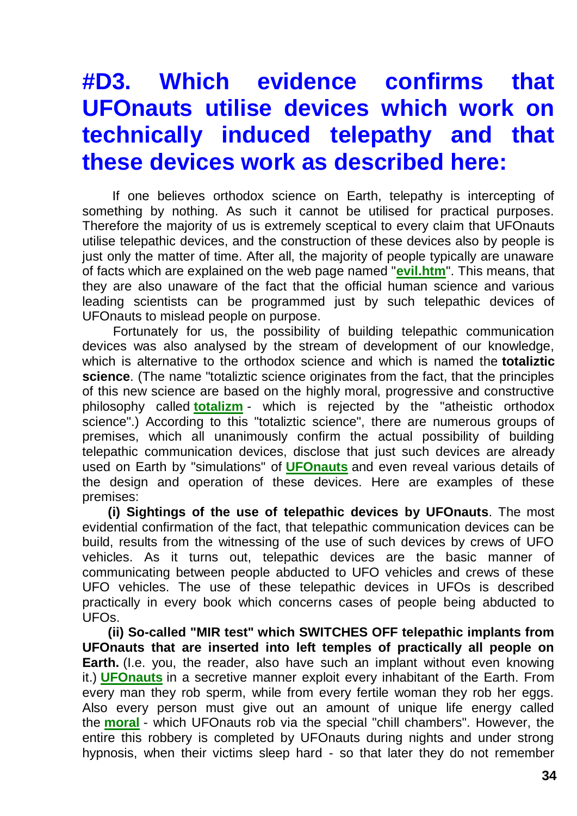### **#D3. Which evidence confirms that UFOnauts utilise devices which work on technically induced telepathy and that these devices work as described here:**

If one believes orthodox science on Earth, telepathy is intercepting of something by nothing. As such it cannot be utilised for practical purposes. Therefore the majority of us is extremely sceptical to every claim that UFOnauts utilise telepathic devices, and the construction of these devices also by people is just only the matter of time. After all, the majority of people typically are unaware of facts which are explained on the web page named "**[evil.htm](http://tornado.zxq.net/evil.htm)**". This means, that they are also unaware of the fact that the official human science and various leading scientists can be programmed just by such telepathic devices of UFOnauts to mislead people on purpose.

Fortunately for us, the possibility of building telepathic communication devices was also analysed by the stream of development of our knowledge, which is alternative to the orthodox science and which is named the **totaliztic science**. (The name "totaliztic science originates from the fact, that the principles of this new science are based on the highly moral, progressive and constructive philosophy called **[totalizm](http://tornado.zxq.net/totalizm.htm)** - which is rejected by the "atheistic orthodox science".) According to this "totaliztic science", there are numerous groups of premises, which all unanimously confirm the actual possibility of building telepathic communication devices, disclose that just such devices are already used on Earth by "simulations" of **[UFOnauts](http://tornado.zxq.net/ufo.htm)** and even reveal various details of the design and operation of these devices. Here are examples of these premises:

**(i) Sightings of the use of telepathic devices by UFOnauts**. The most evidential confirmation of the fact, that telepathic communication devices can be build, results from the witnessing of the use of such devices by crews of UFO vehicles. As it turns out, telepathic devices are the basic manner of communicating between people abducted to UFO vehicles and crews of these UFO vehicles. The use of these telepathic devices in UFOs is described practically in every book which concerns cases of people being abducted to UFOs.

**(ii) So-called "MIR test" which SWITCHES OFF telepathic implants from UFOnauts that are inserted into left temples of practically all people on Earth.** (I.e. you, the reader, also have such an implant without even knowing it.) **[UFOnauts](http://tornado.zxq.net/ufo.htm)** in a secretive manner exploit every inhabitant of the Earth. From every man they rob sperm, while from every fertile woman they rob her eggs. Also every person must give out an amount of unique life energy called the **[moral](http://tornado.zxq.net/totalizm.htm)** - which UFOnauts rob via the special "chill chambers". However, the entire this robbery is completed by UFOnauts during nights and under strong hypnosis, when their victims sleep hard - so that later they do not remember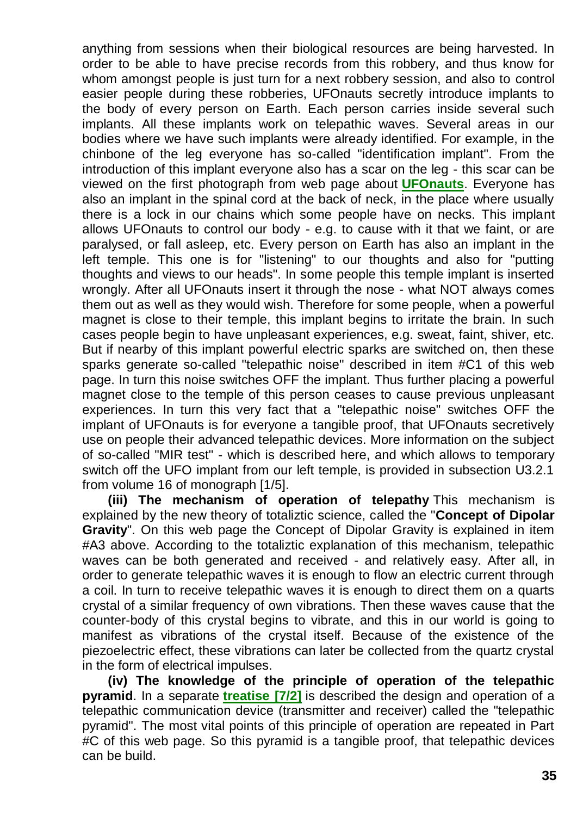anything from sessions when their biological resources are being harvested. In order to be able to have precise records from this robbery, and thus know for whom amongst people is just turn for a next robbery session, and also to control easier people during these robberies, UFOnauts secretly introduce implants to the body of every person on Earth. Each person carries inside several such implants. All these implants work on telepathic waves. Several areas in our bodies where we have such implants were already identified. For example, in the chinbone of the leg everyone has so-called "identification implant". From the introduction of this implant everyone also has a scar on the leg - this scar can be viewed on the first photograph from web page about **[UFOnauts](http://tornado.zxq.net/ufo.htm)**. Everyone has also an implant in the spinal cord at the back of neck, in the place where usually there is a lock in our chains which some people have on necks. This implant allows UFOnauts to control our body - e.g. to cause with it that we faint, or are paralysed, or fall asleep, etc. Every person on Earth has also an implant in the left temple. This one is for "listening" to our thoughts and also for "putting thoughts and views to our heads". In some people this temple implant is inserted wrongly. After all UFOnauts insert it through the nose - what NOT always comes them out as well as they would wish. Therefore for some people, when a powerful magnet is close to their temple, this implant begins to irritate the brain. In such cases people begin to have unpleasant experiences, e.g. sweat, faint, shiver, etc. But if nearby of this implant powerful electric sparks are switched on, then these sparks generate so-called "telepathic noise" described in item #C1 of this web page. In turn this noise switches OFF the implant. Thus further placing a powerful magnet close to the temple of this person ceases to cause previous unpleasant experiences. In turn this very fact that a "telepathic noise" switches OFF the implant of UFOnauts is for everyone a tangible proof, that UFOnauts secretively use on people their advanced telepathic devices. More information on the subject of so-called "MIR test" - which is described here, and which allows to temporary switch off the UFO implant from our left temple, is provided in subsection U3.2.1 from volume 16 of monograph [1/5].

**(iii) The mechanism of operation of telepathy** This mechanism is explained by the new theory of totaliztic science, called the "**Concept of Dipolar Gravity**". On this web page the Concept of Dipolar Gravity is explained in item #A3 above. According to the totaliztic explanation of this mechanism, telepathic waves can be both generated and received - and relatively easy. After all, in order to generate telepathic waves it is enough to flow an electric current through a coil. In turn to receive telepathic waves it is enough to direct them on a quarts crystal of a similar frequency of own vibrations. Then these waves cause that the counter-body of this crystal begins to vibrate, and this in our world is going to manifest as vibrations of the crystal itself. Because of the existence of the piezoelectric effect, these vibrations can later be collected from the quartz crystal in the form of electrical impulses.

**(iv) The knowledge of the principle of operation of the telepathic pyramid**. In a separate **[treatise \[7/2\]](http://tornado.zxq.net/text_7_2.htm)** is described the design and operation of a telepathic communication device (transmitter and receiver) called the "telepathic pyramid". The most vital points of this principle of operation are repeated in Part #C of this web page. So this pyramid is a tangible proof, that telepathic devices can be build.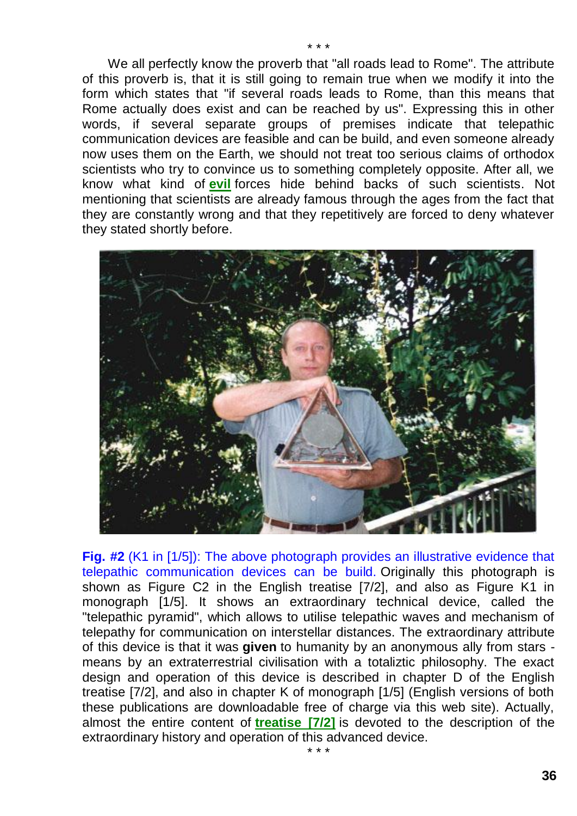We all perfectly know the proverb that "all roads lead to Rome". The attribute of this proverb is, that it is still going to remain true when we modify it into the form which states that "if several roads leads to Rome, than this means that Rome actually does exist and can be reached by us". Expressing this in other words, if several separate groups of premises indicate that telepathic communication devices are feasible and can be build, and even someone already now uses them on the Earth, we should not treat too serious claims of orthodox scientists who try to convince us to something completely opposite. After all, we know what kind of **[evil](http://tornado.zxq.net/evil.htm)** forces hide behind backs of such scientists. Not mentioning that scientists are already famous through the ages from the fact that they are constantly wrong and that they repetitively are forced to deny whatever they stated shortly before.



**Fig. #2** (K1 in [1/5]): The above photograph provides an illustrative evidence that telepathic communication devices can be build. Originally this photograph is shown as Figure C2 in the English treatise [7/2], and also as Figure K1 in monograph [1/5]. It shows an extraordinary technical device, called the "telepathic pyramid", which allows to utilise telepathic waves and mechanism of telepathy for communication on interstellar distances. The extraordinary attribute of this device is that it was **given** to humanity by an anonymous ally from stars means by an extraterrestrial civilisation with a totaliztic philosophy. The exact design and operation of this device is described in chapter D of the English treatise [7/2], and also in chapter K of monograph [1/5] (English versions of both these publications are downloadable free of charge via this web site). Actually, almost the entire content of **[treatise \[7/2\]](http://tornado.zxq.net/text_7_2.htm)** is devoted to the description of the extraordinary history and operation of this advanced device.

\* \* \*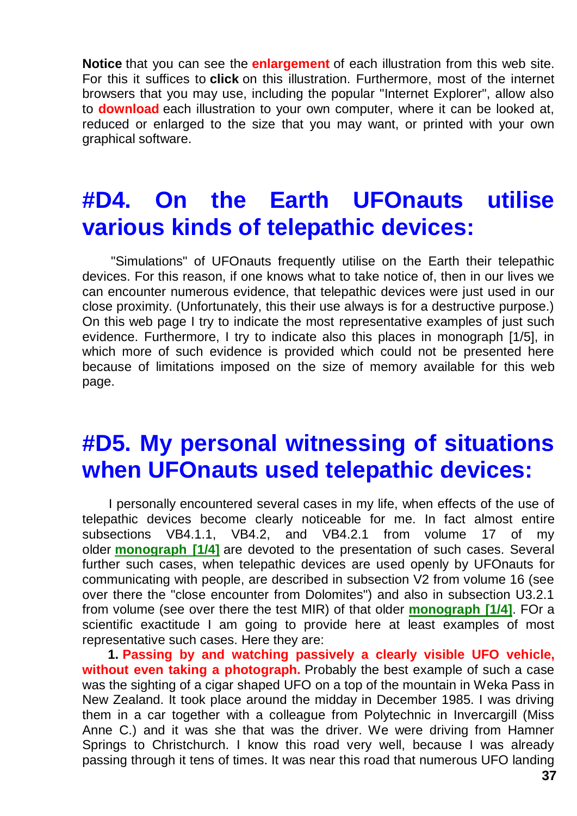**Notice** that you can see the **enlargement** of each illustration from this web site. For this it suffices to **click** on this illustration. Furthermore, most of the internet browsers that you may use, including the popular "Internet Explorer", allow also to **download** each illustration to your own computer, where it can be looked at, reduced or enlarged to the size that you may want, or printed with your own graphical software.

#### **#D4. On the Earth UFOnauts utilise various kinds of telepathic devices:**

"Simulations" of UFOnauts frequently utilise on the Earth their telepathic devices. For this reason, if one knows what to take notice of, then in our lives we can encounter numerous evidence, that telepathic devices were just used in our close proximity. (Unfortunately, this their use always is for a destructive purpose.) On this web page I try to indicate the most representative examples of just such evidence. Furthermore, I try to indicate also this places in monograph [1/5], in which more of such evidence is provided which could not be presented here because of limitations imposed on the size of memory available for this web page.

#### **#D5. My personal witnessing of situations when UFOnauts used telepathic devices:**

I personally encountered several cases in my life, when effects of the use of telepathic devices become clearly noticeable for me. In fact almost entire subsections VB4.1.1, VB4.2, and VB4.2.1 from volume 17 of my older **[monograph \[1/4\]](http://tornado.zxq.net/text_1_4.htm)** are devoted to the presentation of such cases. Several further such cases, when telepathic devices are used openly by UFOnauts for communicating with people, are described in subsection V2 from volume 16 (see over there the "close encounter from Dolomites") and also in subsection U3.2.1 from volume (see over there the test MIR) of that older **[monograph \[1/4\]](http://tornado.zxq.net/text_1_4.htm)**. FOr a scientific exactitude I am going to provide here at least examples of most representative such cases. Here they are:

**1. Passing by and watching passively a clearly visible UFO vehicle,**  without even taking a photograph. Probably the best example of such a case was the sighting of a cigar shaped UFO on a top of the mountain in Weka Pass in New Zealand. It took place around the midday in December 1985. I was driving them in a car together with a colleague from Polytechnic in Invercargill (Miss Anne C.) and it was she that was the driver. We were driving from Hamner Springs to Christchurch. I know this road very well, because I was already passing through it tens of times. It was near this road that numerous UFO landing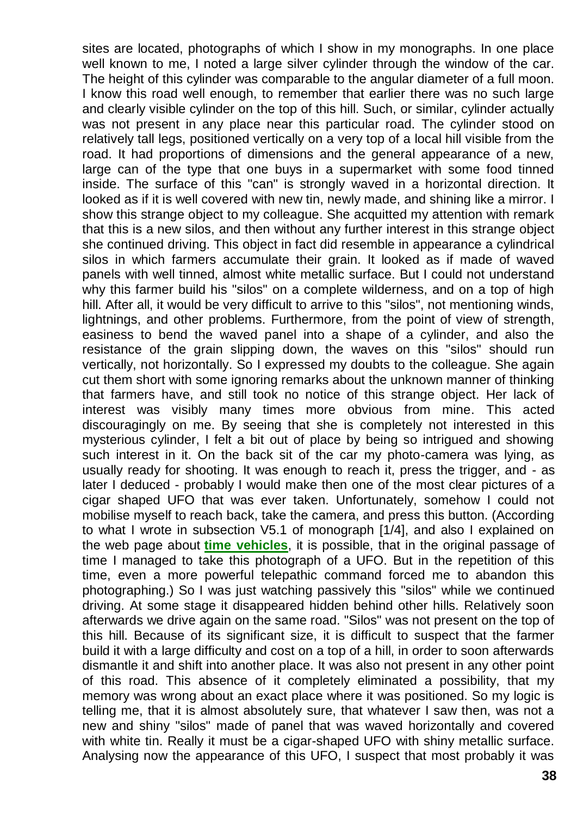sites are located, photographs of which I show in my monographs. In one place well known to me, I noted a large silver cylinder through the window of the car. The height of this cylinder was comparable to the angular diameter of a full moon. I know this road well enough, to remember that earlier there was no such large and clearly visible cylinder on the top of this hill. Such, or similar, cylinder actually was not present in any place near this particular road. The cylinder stood on relatively tall legs, positioned vertically on a very top of a local hill visible from the road. It had proportions of dimensions and the general appearance of a new, large can of the type that one buys in a supermarket with some food tinned inside. The surface of this "can" is strongly waved in a horizontal direction. It looked as if it is well covered with new tin, newly made, and shining like a mirror. I show this strange object to my colleague. She acquitted my attention with remark that this is a new silos, and then without any further interest in this strange object she continued driving. This object in fact did resemble in appearance a cylindrical silos in which farmers accumulate their grain. It looked as if made of waved panels with well tinned, almost white metallic surface. But I could not understand why this farmer build his "silos" on a complete wilderness, and on a top of high hill. After all, it would be very difficult to arrive to this "silos", not mentioning winds, lightnings, and other problems. Furthermore, from the point of view of strength, easiness to bend the waved panel into a shape of a cylinder, and also the resistance of the grain slipping down, the waves on this "silos" should run vertically, not horizontally. So I expressed my doubts to the colleague. She again cut them short with some ignoring remarks about the unknown manner of thinking that farmers have, and still took no notice of this strange object. Her lack of interest was visibly many times more obvious from mine. This acted discouragingly on me. By seeing that she is completely not interested in this mysterious cylinder, I felt a bit out of place by being so intrigued and showing such interest in it. On the back sit of the car my photo-camera was lying, as usually ready for shooting. It was enough to reach it, press the trigger, and - as later I deduced - probably I would make then one of the most clear pictures of a cigar shaped UFO that was ever taken. Unfortunately, somehow I could not mobilise myself to reach back, take the camera, and press this button. (According to what I wrote in subsection V5.1 of monograph [1/4], and also I explained on the web page about **[time vehicles](http://tornado.zxq.net/immortality.htm)**, it is possible, that in the original passage of time I managed to take this photograph of a UFO. But in the repetition of this time, even a more powerful telepathic command forced me to abandon this photographing.) So I was just watching passively this "silos" while we continued driving. At some stage it disappeared hidden behind other hills. Relatively soon afterwards we drive again on the same road. "Silos" was not present on the top of this hill. Because of its significant size, it is difficult to suspect that the farmer build it with a large difficulty and cost on a top of a hill, in order to soon afterwards dismantle it and shift into another place. It was also not present in any other point of this road. This absence of it completely eliminated a possibility, that my memory was wrong about an exact place where it was positioned. So my logic is telling me, that it is almost absolutely sure, that whatever I saw then, was not a new and shiny "silos" made of panel that was waved horizontally and covered with white tin. Really it must be a cigar-shaped UFO with shiny metallic surface. Analysing now the appearance of this UFO, I suspect that most probably it was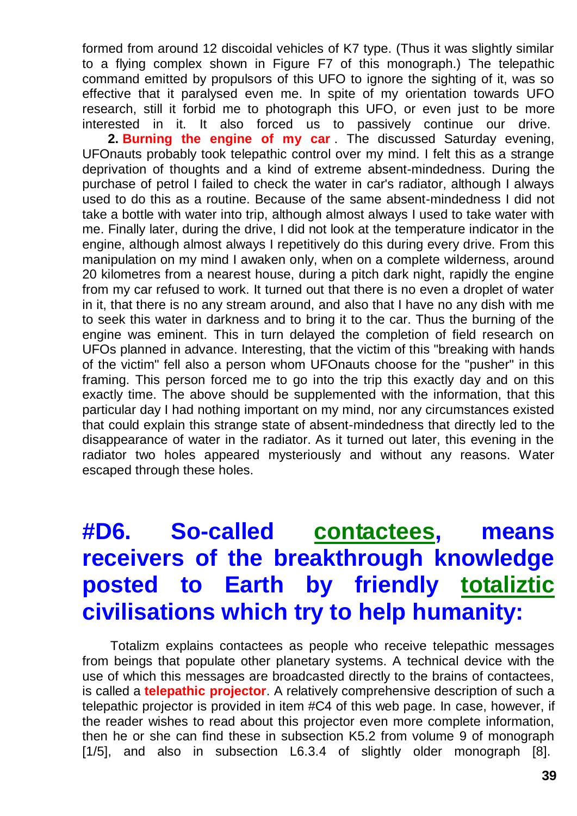formed from around 12 discoidal vehicles of K7 type. (Thus it was slightly similar to a flying complex shown in Figure F7 of this monograph.) The telepathic command emitted by propulsors of this UFO to ignore the sighting of it, was so effective that it paralysed even me. In spite of my orientation towards UFO research, still it forbid me to photograph this UFO, or even just to be more interested in it. It also forced us to passively continue our drive.

**2. Burning the engine of my car** . The discussed Saturday evening, UFOnauts probably took telepathic control over my mind. I felt this as a strange deprivation of thoughts and a kind of extreme absent-mindedness. During the purchase of petrol I failed to check the water in car's radiator, although I always used to do this as a routine. Because of the same absent-mindedness I did not take a bottle with water into trip, although almost always I used to take water with me. Finally later, during the drive, I did not look at the temperature indicator in the engine, although almost always I repetitively do this during every drive. From this manipulation on my mind I awaken only, when on a complete wilderness, around 20 kilometres from a nearest house, during a pitch dark night, rapidly the engine from my car refused to work. It turned out that there is no even a droplet of water in it, that there is no any stream around, and also that I have no any dish with me to seek this water in darkness and to bring it to the car. Thus the burning of the engine was eminent. This in turn delayed the completion of field research on UFOs planned in advance. Interesting, that the victim of this "breaking with hands of the victim" fell also a person whom UFOnauts choose for the "pusher" in this framing. This person forced me to go into the trip this exactly day and on this exactly time. The above should be supplemented with the information, that this particular day I had nothing important on my mind, nor any circumstances existed that could explain this strange state of absent-mindedness that directly led to the disappearance of water in the radiator. As it turned out later, this evening in the radiator two holes appeared mysteriously and without any reasons. Water escaped through these holes.

# **#D6. So-called [contactees,](http://tornado.zxq.net/prawda.htm) means receivers of the breakthrough knowledge posted to Earth by friendly [totaliztic](http://tornado.zxq.net/totalizm.htm) civilisations which try to help humanity:**

Totalizm explains contactees as people who receive telepathic messages from beings that populate other planetary systems. A technical device with the use of which this messages are broadcasted directly to the brains of contactees, is called a **telepathic projector**. A relatively comprehensive description of such a telepathic projector is provided in item #C4 of this web page. In case, however, if the reader wishes to read about this projector even more complete information, then he or she can find these in subsection K5.2 from volume 9 of monograph [1/5], and also in subsection L6.3.4 of slightly older monograph [8].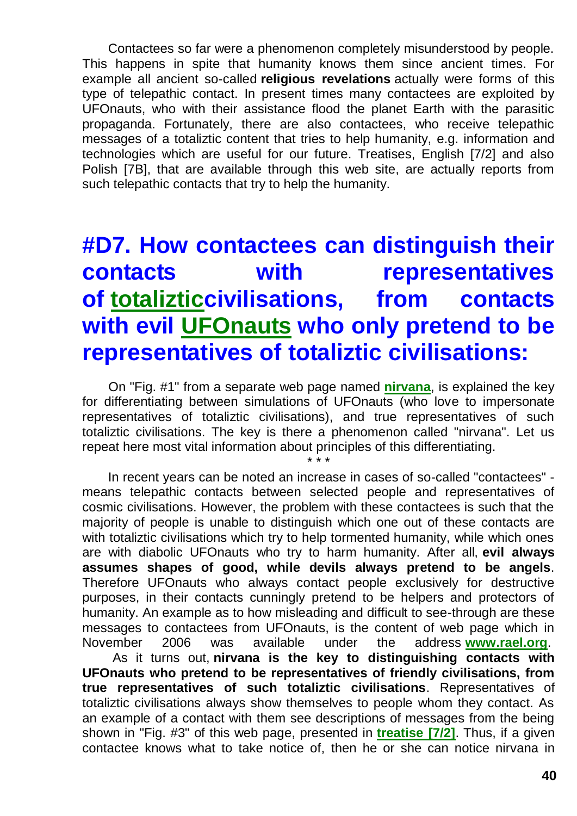Contactees so far were a phenomenon completely misunderstood by people. This happens in spite that humanity knows them since ancient times. For example all ancient so-called **religious revelations** actually were forms of this type of telepathic contact. In present times many contactees are exploited by UFOnauts, who with their assistance flood the planet Earth with the parasitic propaganda. Fortunately, there are also contactees, who receive telepathic messages of a totaliztic content that tries to help humanity, e.g. information and technologies which are useful for our future. Treatises, English [7/2] and also Polish [7B], that are available through this web site, are actually reports from such telepathic contacts that try to help the humanity.

#### **#D7. How contactees can distinguish their contacts with representatives of [totalizticc](http://tornado.zxq.net/totalizm.htm)ivilisations, from contacts with evil [UFOnauts](http://tornado.zxq.net/ufo.htm) who only pretend to be representatives of totaliztic civilisations:**

On "Fig. #1" from a separate web page named **[nirvana](http://tornado.zxq.net/nirvana.htm)**, is explained the key for differentiating between simulations of UFOnauts (who love to impersonate representatives of totaliztic civilisations), and true representatives of such totaliztic civilisations. The key is there a phenomenon called "nirvana". Let us repeat here most vital information about principles of this differentiating.

\* \* \*

In recent years can be noted an increase in cases of so-called "contactees" means telepathic contacts between selected people and representatives of cosmic civilisations. However, the problem with these contactees is such that the majority of people is unable to distinguish which one out of these contacts are with totaliztic civilisations which try to help tormented humanity, while which ones are with diabolic UFOnauts who try to harm humanity. After all, **evil always assumes shapes of good, while devils always pretend to be angels**. Therefore UFOnauts who always contact people exclusively for destructive purposes, in their contacts cunningly pretend to be helpers and protectors of humanity. An example as to how misleading and difficult to see-through are these messages to contactees from UFOnauts, is the content of web page which in November 2006 was available under the address **[www.rael.org](http://www.rael.org/)**.

As it turns out, **nirvana is the key to distinguishing contacts with UFOnauts who pretend to be representatives of friendly civilisations, from true representatives of such totaliztic civilisations**. Representatives of totaliztic civilisations always show themselves to people whom they contact. As an example of a contact with them see descriptions of messages from the being shown in "Fig. #3" of this web page, presented in **[treatise \[7/2\]](http://tornado.zxq.net/text_7_2.htm)**. Thus, if a given contactee knows what to take notice of, then he or she can notice nirvana in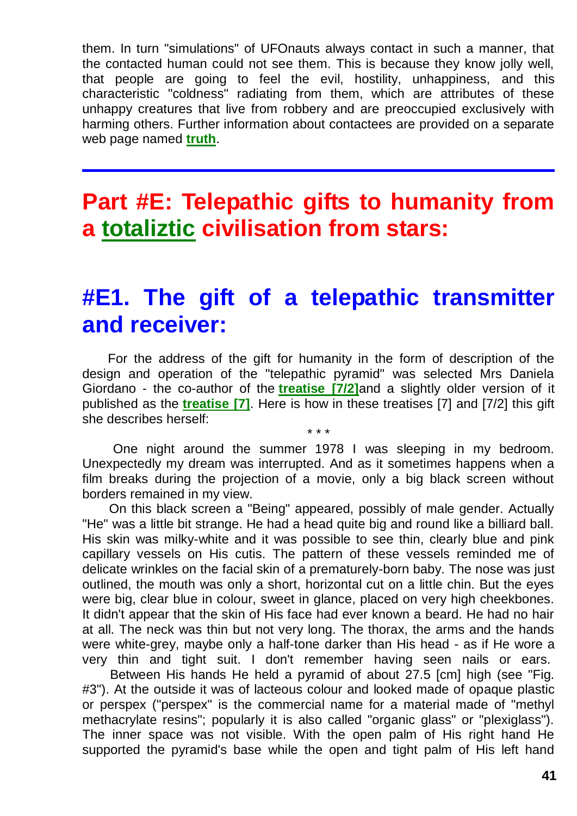them. In turn "simulations" of UFOnauts always contact in such a manner, that the contacted human could not see them. This is because they know jolly well, that people are going to feel the evil, hostility, unhappiness, and this characteristic "coldness" radiating from them, which are attributes of these unhappy creatures that live from robbery and are preoccupied exclusively with harming others. Further information about contactees are provided on a separate web page named **[truth](http://tornado.zxq.net/prawda_uk.htm)**.

**Part #E: Telepathic gifts to humanity from a [totaliztic](http://tornado.zxq.net/totalizm.htm) civilisation from stars:**

#### **#E1. The gift of a telepathic transmitter and receiver:**

For the address of the gift for humanity in the form of description of the design and operation of the "telepathic pyramid" was selected Mrs Daniela Giordano - the co-author of the **[treatise \[7/2\]](http://tornado.zxq.net/text_7_2.htm)**and a slightly older version of it published as the **[treatise \[7\]](http://tornado.zxq.net/7_text.htm)**. Here is how in these treatises [7] and [7/2] this gift she describes herself:

One night around the summer 1978 I was sleeping in my bedroom. Unexpectedly my dream was interrupted. And as it sometimes happens when a film breaks during the projection of a movie, only a big black screen without borders remained in my view.

\* \* \*

On this black screen a "Being" appeared, possibly of male gender. Actually "He" was a little bit strange. He had a head quite big and round like a billiard ball. His skin was milky-white and it was possible to see thin, clearly blue and pink capillary vessels on His cutis. The pattern of these vessels reminded me of delicate wrinkles on the facial skin of a prematurely-born baby. The nose was just outlined, the mouth was only a short, horizontal cut on a little chin. But the eyes were big, clear blue in colour, sweet in glance, placed on very high cheekbones. It didn't appear that the skin of His face had ever known a beard. He had no hair at all. The neck was thin but not very long. The thorax, the arms and the hands were white-grey, maybe only a half-tone darker than His head - as if He wore a very thin and tight suit. I don't remember having seen nails or ears.

Between His hands He held a pyramid of about 27.5 [cm] high (see "Fig. #3"). At the outside it was of lacteous colour and looked made of opaque plastic or perspex ("perspex" is the commercial name for a material made of "methyl methacrylate resins"; popularly it is also called "organic glass" or "plexiglass"). The inner space was not visible. With the open palm of His right hand He supported the pyramid's base while the open and tight palm of His left hand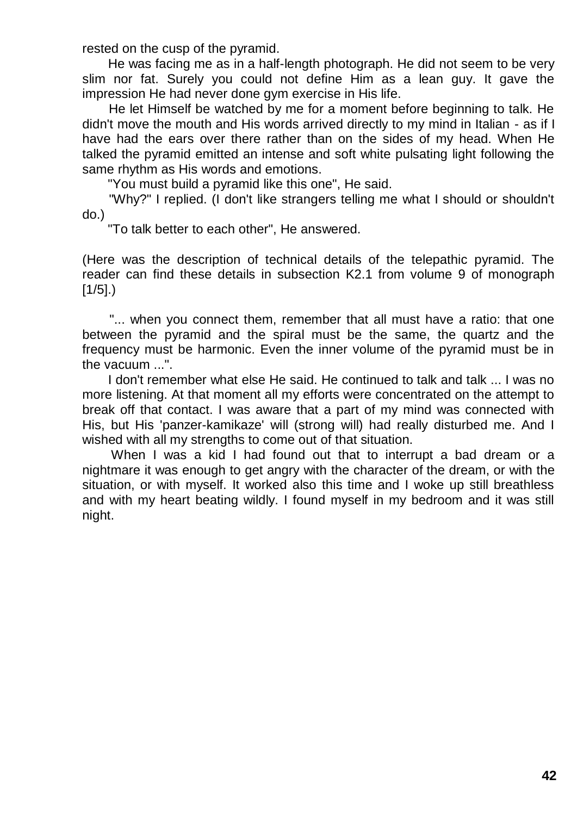rested on the cusp of the pyramid.

He was facing me as in a half-length photograph. He did not seem to be very slim nor fat. Surely you could not define Him as a lean guy. It gave the impression He had never done gym exercise in His life.

He let Himself be watched by me for a moment before beginning to talk. He didn't move the mouth and His words arrived directly to my mind in Italian - as if I have had the ears over there rather than on the sides of my head. When He talked the pyramid emitted an intense and soft white pulsating light following the same rhythm as His words and emotions.

"You must build a pyramid like this one", He said.

"Why?" I replied. (I don't like strangers telling me what I should or shouldn't do.)

"To talk better to each other", He answered.

(Here was the description of technical details of the telepathic pyramid. The reader can find these details in subsection K2.1 from volume 9 of monograph  $[1/5]$ .)

"... when you connect them, remember that all must have a ratio: that one between the pyramid and the spiral must be the same, the quartz and the frequency must be harmonic. Even the inner volume of the pyramid must be in the vacuum ...".

I don't remember what else He said. He continued to talk and talk ... I was no more listening. At that moment all my efforts were concentrated on the attempt to break off that contact. I was aware that a part of my mind was connected with His, but His 'panzer-kamikaze' will (strong will) had really disturbed me. And I wished with all my strengths to come out of that situation.

When I was a kid I had found out that to interrupt a bad dream or a nightmare it was enough to get angry with the character of the dream, or with the situation, or with myself. It worked also this time and I woke up still breathless and with my heart beating wildly. I found myself in my bedroom and it was still night.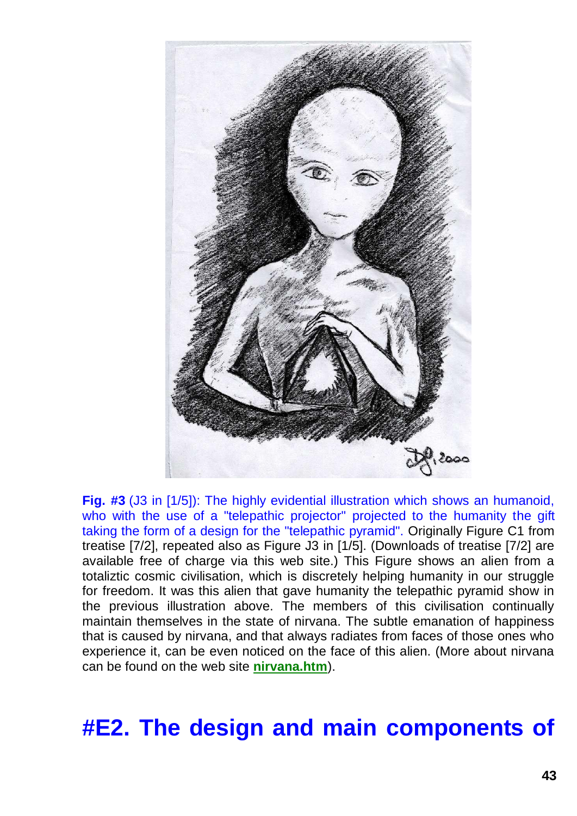

**Fig. #3** (J3 in [1/5]): The highly evidential illustration which shows an humanoid, who with the use of a "telepathic projector" projected to the humanity the gift taking the form of a design for the "telepathic pyramid". Originally Figure C1 from treatise [7/2], repeated also as Figure J3 in [1/5]. (Downloads of treatise [7/2] are available free of charge via this web site.) This Figure shows an alien from a totaliztic cosmic civilisation, which is discretely helping humanity in our struggle for freedom. It was this alien that gave humanity the telepathic pyramid show in the previous illustration above. The members of this civilisation continually maintain themselves in the state of nirvana. The subtle emanation of happiness that is caused by nirvana, and that always radiates from faces of those ones who experience it, can be even noticed on the face of this alien. (More about nirvana can be found on the web site **[nirvana.htm](http://tornado.zxq.net/nirvana.htm)**).

### **#E2. The design and main components of**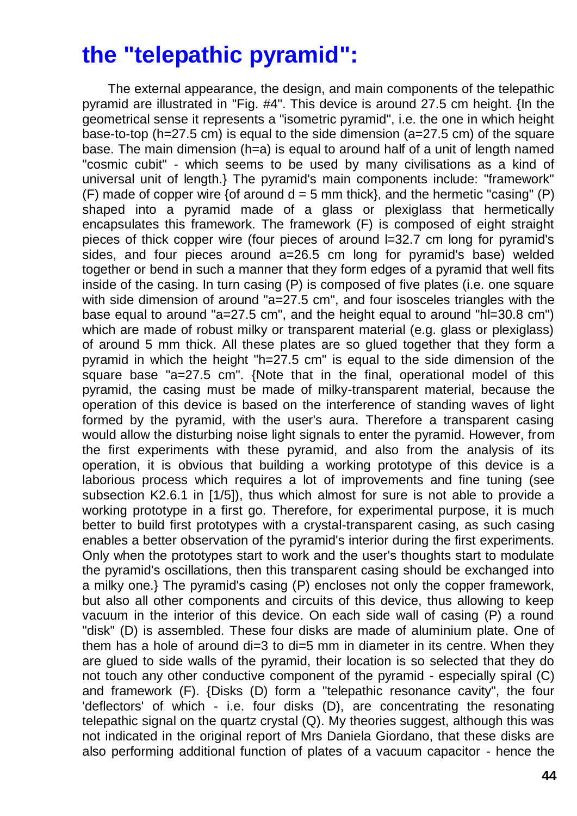#### **the "telepathic pyramid":**

The external appearance, the design, and main components of the telepathic pyramid are illustrated in "Fig. #4". This device is around 27.5 cm height. {In the geometrical sense it represents a "isometric pyramid", i.e. the one in which height base-to-top (h=27.5 cm) is equal to the side dimension (a=27.5 cm) of the square base. The main dimension (h=a) is equal to around half of a unit of length named "cosmic cubit" - which seems to be used by many civilisations as a kind of universal unit of length.} The pyramid's main components include: "framework" (F) made of copper wire {of around  $d = 5$  mm thick}, and the hermetic "casing" (P) shaped into a pyramid made of a glass or plexiglass that hermetically encapsulates this framework. The framework (F) is composed of eight straight pieces of thick copper wire (four pieces of around l=32.7 cm long for pyramid's sides, and four pieces around a=26.5 cm long for pyramid's base) welded together or bend in such a manner that they form edges of a pyramid that well fits inside of the casing. In turn casing (P) is composed of five plates (i.e. one square with side dimension of around "a=27.5 cm", and four isosceles triangles with the base equal to around "a=27.5 cm", and the height equal to around "hl=30.8 cm") which are made of robust milky or transparent material (e.g. glass or plexiglass) of around 5 mm thick. All these plates are so glued together that they form a pyramid in which the height "h=27.5 cm" is equal to the side dimension of the square base "a=27.5 cm". {Note that in the final, operational model of this pyramid, the casing must be made of milky-transparent material, because the operation of this device is based on the interference of standing waves of light formed by the pyramid, with the user's aura. Therefore a transparent casing would allow the disturbing noise light signals to enter the pyramid. However, from the first experiments with these pyramid, and also from the analysis of its operation, it is obvious that building a working prototype of this device is a laborious process which requires a lot of improvements and fine tuning (see subsection K2.6.1 in [1/5]), thus which almost for sure is not able to provide a working prototype in a first go. Therefore, for experimental purpose, it is much better to build first prototypes with a crystal-transparent casing, as such casing enables a better observation of the pyramid's interior during the first experiments. Only when the prototypes start to work and the user's thoughts start to modulate the pyramid's oscillations, then this transparent casing should be exchanged into a milky one.} The pyramid's casing (P) encloses not only the copper framework, but also all other components and circuits of this device, thus allowing to keep vacuum in the interior of this device. On each side wall of casing (P) a round "disk" (D) is assembled. These four disks are made of aluminium plate. One of them has a hole of around di=3 to di=5 mm in diameter in its centre. When they are glued to side walls of the pyramid, their location is so selected that they do not touch any other conductive component of the pyramid - especially spiral (C) and framework (F). {Disks (D) form a "telepathic resonance cavity", the four 'deflectors' of which - i.e. four disks (D), are concentrating the resonating telepathic signal on the quartz crystal (Q). My theories suggest, although this was not indicated in the original report of Mrs Daniela Giordano, that these disks are also performing additional function of plates of a vacuum capacitor - hence the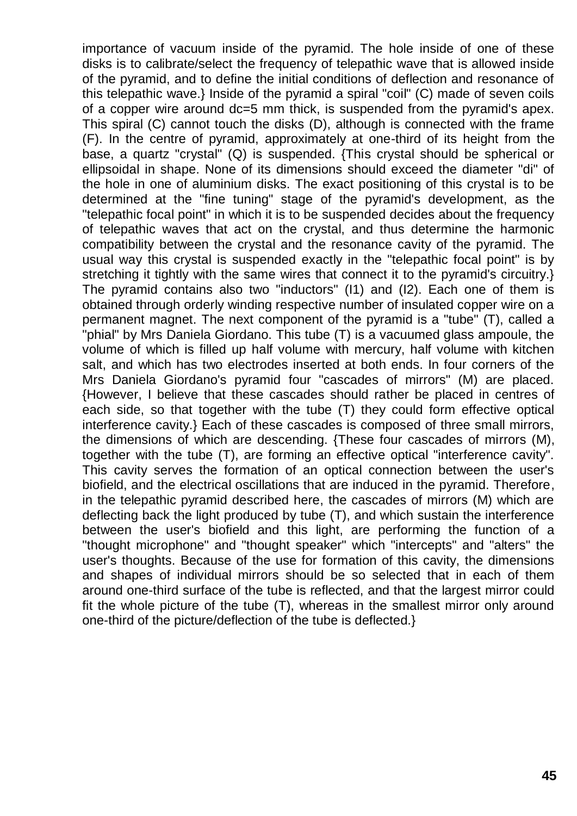importance of vacuum inside of the pyramid. The hole inside of one of these disks is to calibrate/select the frequency of telepathic wave that is allowed inside of the pyramid, and to define the initial conditions of deflection and resonance of this telepathic wave.} Inside of the pyramid a spiral "coil" (C) made of seven coils of a copper wire around dc=5 mm thick, is suspended from the pyramid's apex. This spiral (C) cannot touch the disks (D), although is connected with the frame (F). In the centre of pyramid, approximately at one-third of its height from the base, a quartz "crystal" (Q) is suspended. {This crystal should be spherical or ellipsoidal in shape. None of its dimensions should exceed the diameter "di" of the hole in one of aluminium disks. The exact positioning of this crystal is to be determined at the "fine tuning" stage of the pyramid's development, as the "telepathic focal point" in which it is to be suspended decides about the frequency of telepathic waves that act on the crystal, and thus determine the harmonic compatibility between the crystal and the resonance cavity of the pyramid. The usual way this crystal is suspended exactly in the "telepathic focal point" is by stretching it tightly with the same wires that connect it to the pyramid's circuitry.} The pyramid contains also two "inductors" (I1) and (I2). Each one of them is obtained through orderly winding respective number of insulated copper wire on a permanent magnet. The next component of the pyramid is a "tube" (T), called a "phial" by Mrs Daniela Giordano. This tube (T) is a vacuumed glass ampoule, the volume of which is filled up half volume with mercury, half volume with kitchen salt, and which has two electrodes inserted at both ends. In four corners of the Mrs Daniela Giordano's pyramid four "cascades of mirrors" (M) are placed. {However, I believe that these cascades should rather be placed in centres of each side, so that together with the tube (T) they could form effective optical interference cavity.} Each of these cascades is composed of three small mirrors, the dimensions of which are descending. {These four cascades of mirrors (M), together with the tube (T), are forming an effective optical "interference cavity". This cavity serves the formation of an optical connection between the user's biofield, and the electrical oscillations that are induced in the pyramid. Therefore, in the telepathic pyramid described here, the cascades of mirrors (M) which are deflecting back the light produced by tube (T), and which sustain the interference between the user's biofield and this light, are performing the function of a "thought microphone" and "thought speaker" which "intercepts" and "alters" the user's thoughts. Because of the use for formation of this cavity, the dimensions and shapes of individual mirrors should be so selected that in each of them around one-third surface of the tube is reflected, and that the largest mirror could fit the whole picture of the tube (T), whereas in the smallest mirror only around one-third of the picture/deflection of the tube is deflected.}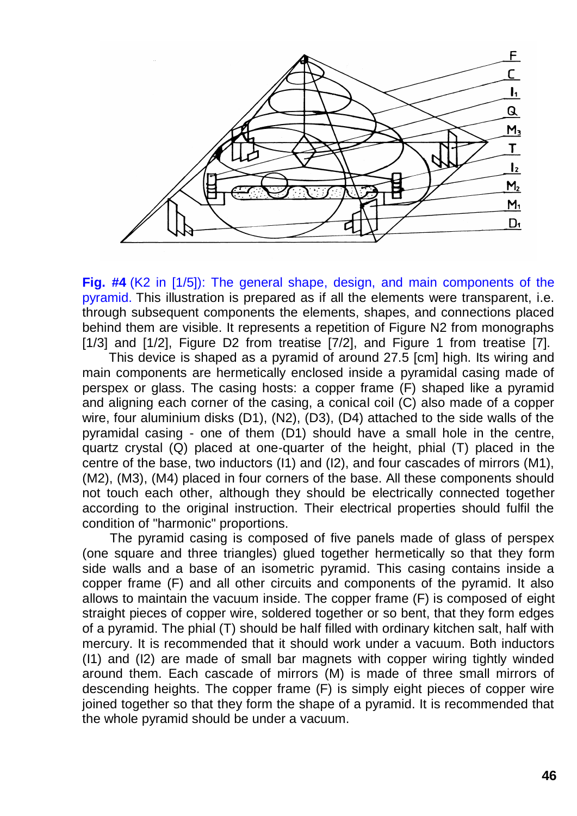

**Fig. #4** (K2 in [1/5]): The general shape, design, and main components of the pyramid. This illustration is prepared as if all the elements were transparent, i.e. through subsequent components the elements, shapes, and connections placed behind them are visible. It represents a repetition of Figure N2 from monographs [1/3] and [1/2], Figure D2 from treatise [7/2], and Figure 1 from treatise [7].

This device is shaped as a pyramid of around 27.5 [cm] high. Its wiring and main components are hermetically enclosed inside a pyramidal casing made of perspex or glass. The casing hosts: a copper frame (F) shaped like a pyramid and aligning each corner of the casing, a conical coil (C) also made of a copper wire, four aluminium disks (D1), (N2), (D3), (D4) attached to the side walls of the pyramidal casing - one of them (D1) should have a small hole in the centre, quartz crystal (Q) placed at one-quarter of the height, phial (T) placed in the centre of the base, two inductors (I1) and (I2), and four cascades of mirrors (M1), (M2), (M3), (M4) placed in four corners of the base. All these components should not touch each other, although they should be electrically connected together according to the original instruction. Their electrical properties should fulfil the condition of "harmonic" proportions.

The pyramid casing is composed of five panels made of glass of perspex (one square and three triangles) glued together hermetically so that they form side walls and a base of an isometric pyramid. This casing contains inside a copper frame (F) and all other circuits and components of the pyramid. It also allows to maintain the vacuum inside. The copper frame (F) is composed of eight straight pieces of copper wire, soldered together or so bent, that they form edges of a pyramid. The phial (T) should be half filled with ordinary kitchen salt, half with mercury. It is recommended that it should work under a vacuum. Both inductors (I1) and (I2) are made of small bar magnets with copper wiring tightly winded around them. Each cascade of mirrors (M) is made of three small mirrors of descending heights. The copper frame (F) is simply eight pieces of copper wire joined together so that they form the shape of a pyramid. It is recommended that the whole pyramid should be under a vacuum.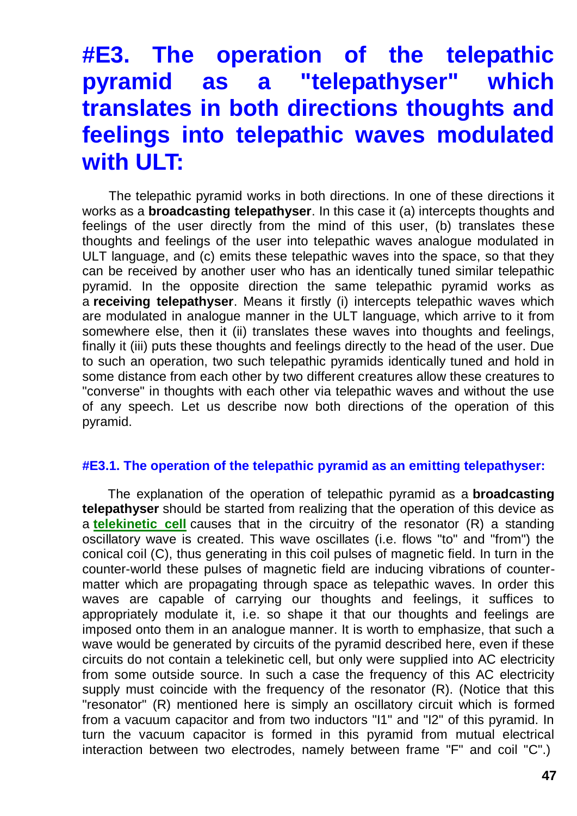#### **#E3. The operation of the telepathic pyramid as a "telepathyser" which translates in both directions thoughts and feelings into telepathic waves modulated with ULT:**

The telepathic pyramid works in both directions. In one of these directions it works as a **broadcasting telepathyser**. In this case it (a) intercepts thoughts and feelings of the user directly from the mind of this user, (b) translates these thoughts and feelings of the user into telepathic waves analogue modulated in ULT language, and (c) emits these telepathic waves into the space, so that they can be received by another user who has an identically tuned similar telepathic pyramid. In the opposite direction the same telepathic pyramid works as a **receiving telepathyser**. Means it firstly (i) intercepts telepathic waves which are modulated in analogue manner in the ULT language, which arrive to it from somewhere else, then it (ii) translates these waves into thoughts and feelings, finally it (iii) puts these thoughts and feelings directly to the head of the user. Due to such an operation, two such telepathic pyramids identically tuned and hold in some distance from each other by two different creatures allow these creatures to "converse" in thoughts with each other via telepathic waves and without the use of any speech. Let us describe now both directions of the operation of this pyramid.

#### **#E3.1. The operation of the telepathic pyramid as an emitting telepathyser:**

The explanation of the operation of telepathic pyramid as a **broadcasting telepathyser** should be started from realizing that the operation of this device as a **[telekinetic cell](http://tornado.zxq.net/fe_cell.htm)** causes that in the circuitry of the resonator (R) a standing oscillatory wave is created. This wave oscillates (i.e. flows "to" and "from") the conical coil (C), thus generating in this coil pulses of magnetic field. In turn in the counter-world these pulses of magnetic field are inducing vibrations of countermatter which are propagating through space as telepathic waves. In order this waves are capable of carrying our thoughts and feelings, it suffices to appropriately modulate it, i.e. so shape it that our thoughts and feelings are imposed onto them in an analogue manner. It is worth to emphasize, that such a wave would be generated by circuits of the pyramid described here, even if these circuits do not contain a telekinetic cell, but only were supplied into AC electricity from some outside source. In such a case the frequency of this AC electricity supply must coincide with the frequency of the resonator (R). (Notice that this "resonator" (R) mentioned here is simply an oscillatory circuit which is formed from a vacuum capacitor and from two inductors "I1" and "I2" of this pyramid. In turn the vacuum capacitor is formed in this pyramid from mutual electrical interaction between two electrodes, namely between frame "F" and coil "C".)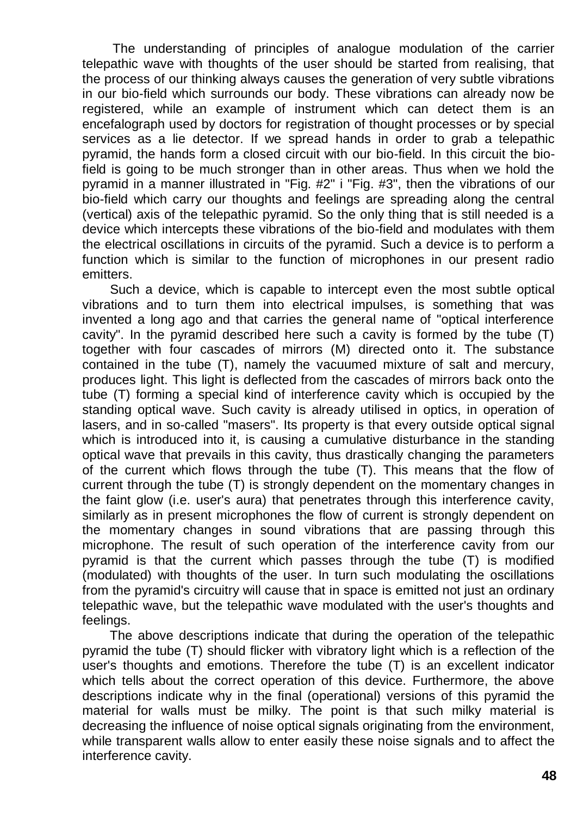The understanding of principles of analogue modulation of the carrier telepathic wave with thoughts of the user should be started from realising, that the process of our thinking always causes the generation of very subtle vibrations in our bio-field which surrounds our body. These vibrations can already now be registered, while an example of instrument which can detect them is an encefalograph used by doctors for registration of thought processes or by special services as a lie detector. If we spread hands in order to grab a telepathic pyramid, the hands form a closed circuit with our bio-field. In this circuit the biofield is going to be much stronger than in other areas. Thus when we hold the pyramid in a manner illustrated in "Fig. #2" i "Fig. #3", then the vibrations of our bio-field which carry our thoughts and feelings are spreading along the central (vertical) axis of the telepathic pyramid. So the only thing that is still needed is a device which intercepts these vibrations of the bio-field and modulates with them the electrical oscillations in circuits of the pyramid. Such a device is to perform a function which is similar to the function of microphones in our present radio emitters.

Such a device, which is capable to intercept even the most subtle optical vibrations and to turn them into electrical impulses, is something that was invented a long ago and that carries the general name of "optical interference cavity". In the pyramid described here such a cavity is formed by the tube (T) together with four cascades of mirrors (M) directed onto it. The substance contained in the tube (T), namely the vacuumed mixture of salt and mercury, produces light. This light is deflected from the cascades of mirrors back onto the tube (T) forming a special kind of interference cavity which is occupied by the standing optical wave. Such cavity is already utilised in optics, in operation of lasers, and in so-called "masers". Its property is that every outside optical signal which is introduced into it, is causing a cumulative disturbance in the standing optical wave that prevails in this cavity, thus drastically changing the parameters of the current which flows through the tube (T). This means that the flow of current through the tube (T) is strongly dependent on the momentary changes in the faint glow (i.e. user's aura) that penetrates through this interference cavity, similarly as in present microphones the flow of current is strongly dependent on the momentary changes in sound vibrations that are passing through this microphone. The result of such operation of the interference cavity from our pyramid is that the current which passes through the tube (T) is modified (modulated) with thoughts of the user. In turn such modulating the oscillations from the pyramid's circuitry will cause that in space is emitted not just an ordinary telepathic wave, but the telepathic wave modulated with the user's thoughts and feelings.

The above descriptions indicate that during the operation of the telepathic pyramid the tube (T) should flicker with vibratory light which is a reflection of the user's thoughts and emotions. Therefore the tube (T) is an excellent indicator which tells about the correct operation of this device. Furthermore, the above descriptions indicate why in the final (operational) versions of this pyramid the material for walls must be milky. The point is that such milky material is decreasing the influence of noise optical signals originating from the environment, while transparent walls allow to enter easily these noise signals and to affect the interference cavity.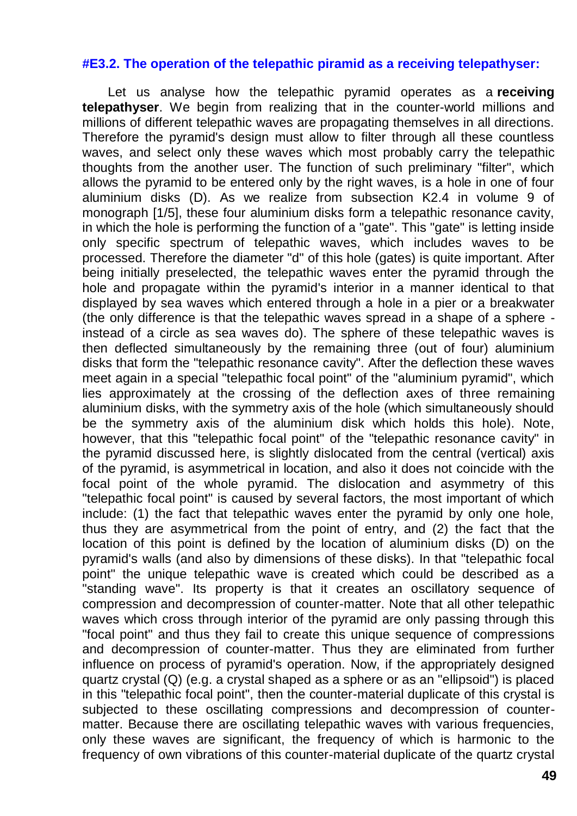#### **#E3.2. The operation of the telepathic piramid as a receiving telepathyser:**

Let us analyse how the telepathic pyramid operates as a **receiving telepathyser**. We begin from realizing that in the counter-world millions and millions of different telepathic waves are propagating themselves in all directions. Therefore the pyramid's design must allow to filter through all these countless waves, and select only these waves which most probably carry the telepathic thoughts from the another user. The function of such preliminary "filter", which allows the pyramid to be entered only by the right waves, is a hole in one of four aluminium disks (D). As we realize from subsection K2.4 in volume 9 of monograph [1/5], these four aluminium disks form a telepathic resonance cavity, in which the hole is performing the function of a "gate". This "gate" is letting inside only specific spectrum of telepathic waves, which includes waves to be processed. Therefore the diameter "d" of this hole (gates) is quite important. After being initially preselected, the telepathic waves enter the pyramid through the hole and propagate within the pyramid's interior in a manner identical to that displayed by sea waves which entered through a hole in a pier or a breakwater (the only difference is that the telepathic waves spread in a shape of a sphere instead of a circle as sea waves do). The sphere of these telepathic waves is then deflected simultaneously by the remaining three (out of four) aluminium disks that form the "telepathic resonance cavity". After the deflection these waves meet again in a special "telepathic focal point" of the "aluminium pyramid", which lies approximately at the crossing of the deflection axes of three remaining aluminium disks, with the symmetry axis of the hole (which simultaneously should be the symmetry axis of the aluminium disk which holds this hole). Note, however, that this "telepathic focal point" of the "telepathic resonance cavity" in the pyramid discussed here, is slightly dislocated from the central (vertical) axis of the pyramid, is asymmetrical in location, and also it does not coincide with the focal point of the whole pyramid. The dislocation and asymmetry of this "telepathic focal point" is caused by several factors, the most important of which include: (1) the fact that telepathic waves enter the pyramid by only one hole, thus they are asymmetrical from the point of entry, and (2) the fact that the location of this point is defined by the location of aluminium disks (D) on the pyramid's walls (and also by dimensions of these disks). In that "telepathic focal point" the unique telepathic wave is created which could be described as a "standing wave". Its property is that it creates an oscillatory sequence of compression and decompression of counter-matter. Note that all other telepathic waves which cross through interior of the pyramid are only passing through this "focal point" and thus they fail to create this unique sequence of compressions and decompression of counter-matter. Thus they are eliminated from further influence on process of pyramid's operation. Now, if the appropriately designed quartz crystal (Q) (e.g. a crystal shaped as a sphere or as an "ellipsoid") is placed in this "telepathic focal point", then the counter-material duplicate of this crystal is subjected to these oscillating compressions and decompression of countermatter. Because there are oscillating telepathic waves with various frequencies, only these waves are significant, the frequency of which is harmonic to the frequency of own vibrations of this counter-material duplicate of the quartz crystal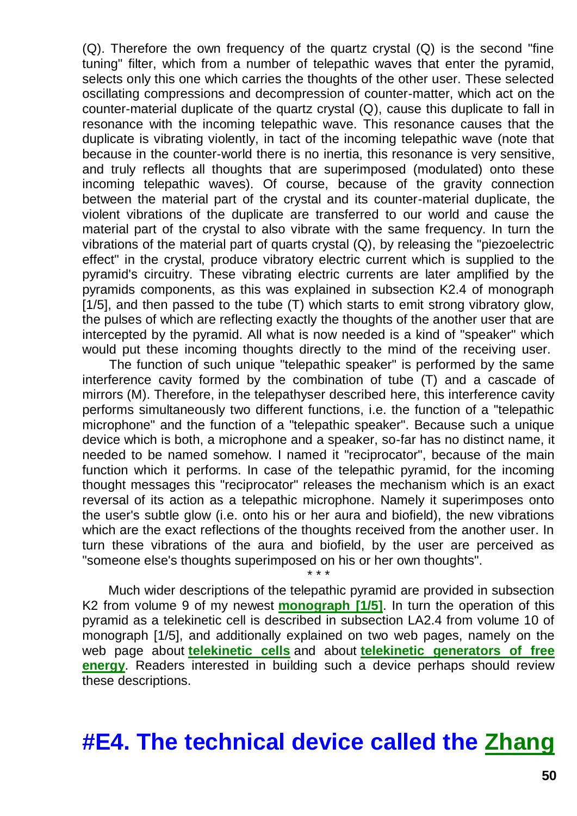(Q). Therefore the own frequency of the quartz crystal (Q) is the second "fine tuning" filter, which from a number of telepathic waves that enter the pyramid, selects only this one which carries the thoughts of the other user. These selected oscillating compressions and decompression of counter-matter, which act on the counter-material duplicate of the quartz crystal (Q), cause this duplicate to fall in resonance with the incoming telepathic wave. This resonance causes that the duplicate is vibrating violently, in tact of the incoming telepathic wave (note that because in the counter-world there is no inertia, this resonance is very sensitive, and truly reflects all thoughts that are superimposed (modulated) onto these incoming telepathic waves). Of course, because of the gravity connection between the material part of the crystal and its counter-material duplicate, the violent vibrations of the duplicate are transferred to our world and cause the material part of the crystal to also vibrate with the same frequency. In turn the vibrations of the material part of quarts crystal (Q), by releasing the "piezoelectric effect" in the crystal, produce vibratory electric current which is supplied to the pyramid's circuitry. These vibrating electric currents are later amplified by the pyramids components, as this was explained in subsection K2.4 of monograph [1/5], and then passed to the tube (T) which starts to emit strong vibratory glow, the pulses of which are reflecting exactly the thoughts of the another user that are intercepted by the pyramid. All what is now needed is a kind of "speaker" which would put these incoming thoughts directly to the mind of the receiving user.

The function of such unique "telepathic speaker" is performed by the same interference cavity formed by the combination of tube (T) and a cascade of mirrors (M). Therefore, in the telepathyser described here, this interference cavity performs simultaneously two different functions, i.e. the function of a "telepathic microphone" and the function of a "telepathic speaker". Because such a unique device which is both, a microphone and a speaker, so-far has no distinct name, it needed to be named somehow. I named it "reciprocator", because of the main function which it performs. In case of the telepathic pyramid, for the incoming thought messages this "reciprocator" releases the mechanism which is an exact reversal of its action as a telepathic microphone. Namely it superimposes onto the user's subtle glow (i.e. onto his or her aura and biofield), the new vibrations which are the exact reflections of the thoughts received from the another user. In turn these vibrations of the aura and biofield, by the user are perceived as "someone else's thoughts superimposed on his or her own thoughts".

Much wider descriptions of the telepathic pyramid are provided in subsection K2 from volume 9 of my newest **[monograph \[1/5\]](http://tornado.zxq.net/text_1_5.htm)**. In turn the operation of this pyramid as a telekinetic cell is described in subsection LA2.4 from volume 10 of monograph [1/5], and additionally explained on two web pages, namely on the web page about **[telekinetic cells](http://tornado.zxq.net/fe_cell.htm)** and about **[telekinetic generators of free](http://tornado.zxq.net/free_energy.htm)  [energy](http://tornado.zxq.net/free_energy.htm)**. Readers interested in building such a device perhaps should review these descriptions.

\* \* \*

#### **#E4. The technical device called the [Zhang](http://tornado.zxq.net/seismograph.htm)**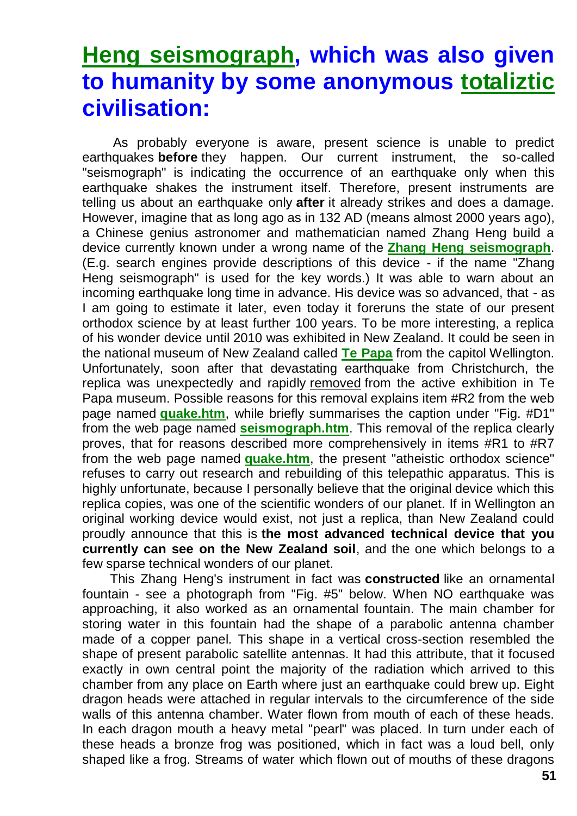#### **[Heng seismograph,](http://tornado.zxq.net/seismograph.htm) which was also given to humanity by some anonymous [totaliztic](http://tornado.zxq.net/totalizm.htm) civilisation:**

As probably everyone is aware, present science is unable to predict earthquakes **before** they happen. Our current instrument, the so-called "seismograph" is indicating the occurrence of an earthquake only when this earthquake shakes the instrument itself. Therefore, present instruments are telling us about an earthquake only **after** it already strikes and does a damage. However, imagine that as long ago as in 132 AD (means almost 2000 years ago), a Chinese genius astronomer and mathematician named Zhang Heng build a device currently known under a wrong name of the **[Zhang Heng seismograph](http://www.google.com/search?q=Zhang+Heng+Seismograph)**. (E.g. search engines provide descriptions of this device - if the name "Zhang Heng seismograph" is used for the key words.) It was able to warn about an incoming earthquake long time in advance. His device was so advanced, that - as I am going to estimate it later, even today it foreruns the state of our present orthodox science by at least further 100 years. To be more interesting, a replica of his wonder device until 2010 was exhibited in New Zealand. It could be seen in the national museum of New Zealand called **[Te Papa](http://www.tepapa.govt.nz/)** from the capitol Wellington. Unfortunately, soon after that devastating earthquake from Christchurch, the replica was unexpectedly and rapidly removed from the active exhibition in Te Papa museum. Possible reasons for this removal explains item #R2 from the web page named **[quake.htm](http://tornado.zxq.net/quake.htm)**, while briefly summarises the caption under "Fig. #D1" from the web page named **[seismograph.htm](http://tornado.zxq.net/seismograph.htm)**. This removal of the replica clearly proves, that for reasons described more comprehensively in items #R1 to #R7 from the web page named **[quake.htm](http://tornado.zxq.net/quake.htm)**, the present "atheistic orthodox science" refuses to carry out research and rebuilding of this telepathic apparatus. This is highly unfortunate, because I personally believe that the original device which this replica copies, was one of the scientific wonders of our planet. If in Wellington an original working device would exist, not just a replica, than New Zealand could proudly announce that this is **the most advanced technical device that you currently can see on the New Zealand soil**, and the one which belongs to a few sparse technical wonders of our planet.

This Zhang Heng's instrument in fact was **constructed** like an ornamental fountain - see a photograph from "Fig. #5" below. When NO earthquake was approaching, it also worked as an ornamental fountain. The main chamber for storing water in this fountain had the shape of a parabolic antenna chamber made of a copper panel. This shape in a vertical cross-section resembled the shape of present parabolic satellite antennas. It had this attribute, that it focused exactly in own central point the majority of the radiation which arrived to this chamber from any place on Earth where just an earthquake could brew up. Eight dragon heads were attached in regular intervals to the circumference of the side walls of this antenna chamber. Water flown from mouth of each of these heads. In each dragon mouth a heavy metal "pearl" was placed. In turn under each of these heads a bronze frog was positioned, which in fact was a loud bell, only shaped like a frog. Streams of water which flown out of mouths of these dragons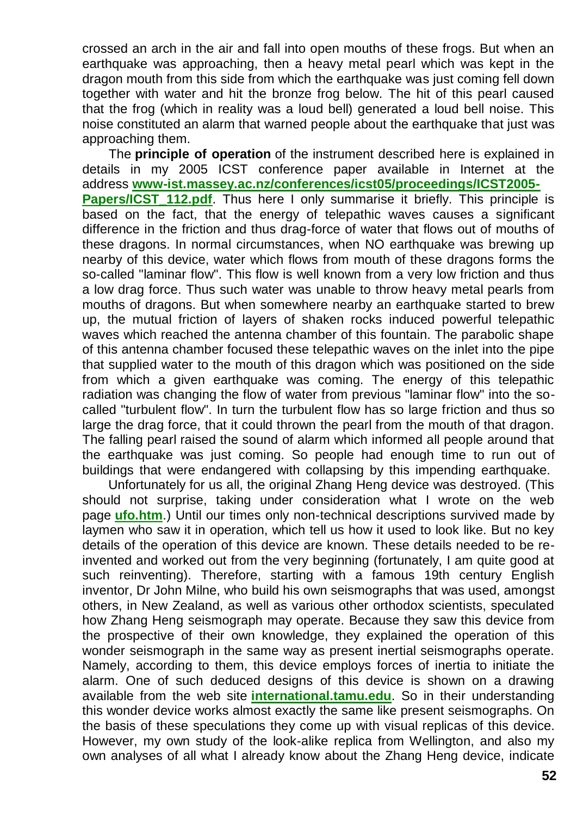crossed an arch in the air and fall into open mouths of these frogs. But when an earthquake was approaching, then a heavy metal pearl which was kept in the dragon mouth from this side from which the earthquake was just coming fell down together with water and hit the bronze frog below. The hit of this pearl caused that the frog (which in reality was a loud bell) generated a loud bell noise. This noise constituted an alarm that warned people about the earthquake that just was approaching them.

The **principle of operation** of the instrument described here is explained in details in my 2005 ICST conference paper available in Internet at the address **[www-ist.massey.ac.nz/conferences/icst05/proceedings/ICST2005-](http://www-ist.massey.ac.nz/conferences/icst05/proceedings/ICST2005-Papers/ICST_112.pdf) Papers/ICST 112.pdf.** Thus here I only summarise it briefly. This principle is based on the fact, that the energy of telepathic waves causes a significant difference in the friction and thus drag-force of water that flows out of mouths of these dragons. In normal circumstances, when NO earthquake was brewing up nearby of this device, water which flows from mouth of these dragons forms the so-called "laminar flow". This flow is well known from a very low friction and thus a low drag force. Thus such water was unable to throw heavy metal pearls from mouths of dragons. But when somewhere nearby an earthquake started to brew up, the mutual friction of layers of shaken rocks induced powerful telepathic waves which reached the antenna chamber of this fountain. The parabolic shape of this antenna chamber focused these telepathic waves on the inlet into the pipe that supplied water to the mouth of this dragon which was positioned on the side from which a given earthquake was coming. The energy of this telepathic radiation was changing the flow of water from previous "laminar flow" into the socalled "turbulent flow". In turn the turbulent flow has so large friction and thus so large the drag force, that it could thrown the pearl from the mouth of that dragon. The falling pearl raised the sound of alarm which informed all people around that the earthquake was just coming. So people had enough time to run out of buildings that were endangered with collapsing by this impending earthquake.

Unfortunately for us all, the original Zhang Heng device was destroyed. (This should not surprise, taking under consideration what I wrote on the web page **[ufo.htm](http://tornado.zxq.net/ufo.htm)**.) Until our times only non-technical descriptions survived made by laymen who saw it in operation, which tell us how it used to look like. But no key details of the operation of this device are known. These details needed to be reinvented and worked out from the very beginning (fortunately, I am quite good at such reinventing). Therefore, starting with a famous 19th century English inventor, Dr John Milne, who build his own seismographs that was used, amongst others, in New Zealand, as well as various other orthodox scientists, speculated how Zhang Heng seismograph may operate. Because they saw this device from the prospective of their own knowledge, they explained the operation of this wonder seismograph in the same way as present inertial seismographs operate. Namely, according to them, this device employs forces of inertia to initiate the alarm. One of such deduced designs of this device is shown on a drawing available from the web site **[international.tamu.edu](http://international.tamu.edu/ipa/english/quake/relic/rlc04_01.html)**. So in their understanding this wonder device works almost exactly the same like present seismographs. On the basis of these speculations they come up with visual replicas of this device. However, my own study of the look-alike replica from Wellington, and also my own analyses of all what I already know about the Zhang Heng device, indicate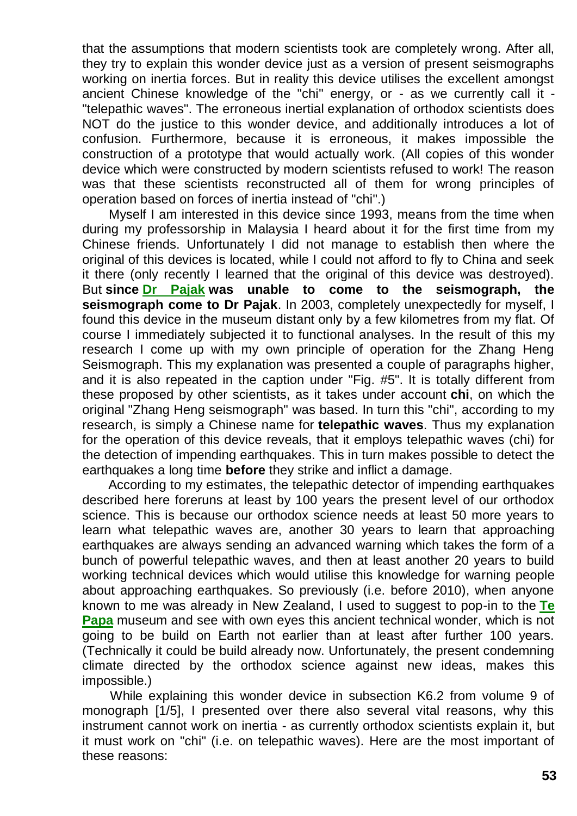that the assumptions that modern scientists took are completely wrong. After all, they try to explain this wonder device just as a version of present seismographs working on inertia forces. But in reality this device utilises the excellent amongst ancient Chinese knowledge of the "chi" energy, or - as we currently call it - "telepathic waves". The erroneous inertial explanation of orthodox scientists does NOT do the justice to this wonder device, and additionally introduces a lot of confusion. Furthermore, because it is erroneous, it makes impossible the construction of a prototype that would actually work. (All copies of this wonder device which were constructed by modern scientists refused to work! The reason was that these scientists reconstructed all of them for wrong principles of operation based on forces of inertia instead of "chi".)

Myself I am interested in this device since 1993, means from the time when during my professorship in Malaysia I heard about it for the first time from my Chinese friends. Unfortunately I did not manage to establish then where the original of this devices is located, while I could not afford to fly to China and seek it there (only recently I learned that the original of this device was destroyed). But **since [Dr Pajak](http://tornado.zxq.net/pajak_jan_uk.htm) was unable to come to the seismograph, the seismograph come to Dr Pajak**. In 2003, completely unexpectedly for myself, I found this device in the museum distant only by a few kilometres from my flat. Of course I immediately subjected it to functional analyses. In the result of this my research I come up with my own principle of operation for the Zhang Heng Seismograph. This my explanation was presented a couple of paragraphs higher, and it is also repeated in the caption under "Fig. #5". It is totally different from these proposed by other scientists, as it takes under account **chi**, on which the original "Zhang Heng seismograph" was based. In turn this "chi", according to my research, is simply a Chinese name for **telepathic waves**. Thus my explanation for the operation of this device reveals, that it employs telepathic waves (chi) for the detection of impending earthquakes. This in turn makes possible to detect the earthquakes a long time **before** they strike and inflict a damage.

According to my estimates, the telepathic detector of impending earthquakes described here foreruns at least by 100 years the present level of our orthodox science. This is because our orthodox science needs at least 50 more years to learn what telepathic waves are, another 30 years to learn that approaching earthquakes are always sending an advanced warning which takes the form of a bunch of powerful telepathic waves, and then at least another 20 years to build working technical devices which would utilise this knowledge for warning people about approaching earthquakes. So previously (i.e. before 2010), when anyone known to me was already in New Zealand, I used to suggest to pop-in to the **[Te](http://www.tepapa.govt.nz/)  [Papa](http://www.tepapa.govt.nz/)** museum and see with own eyes this ancient technical wonder, which is not going to be build on Earth not earlier than at least after further 100 years. (Technically it could be build already now. Unfortunately, the present condemning climate directed by the orthodox science against new ideas, makes this impossible.)

While explaining this wonder device in subsection K6.2 from volume 9 of monograph [1/5], I presented over there also several vital reasons, why this instrument cannot work on inertia - as currently orthodox scientists explain it, but it must work on "chi" (i.e. on telepathic waves). Here are the most important of these reasons: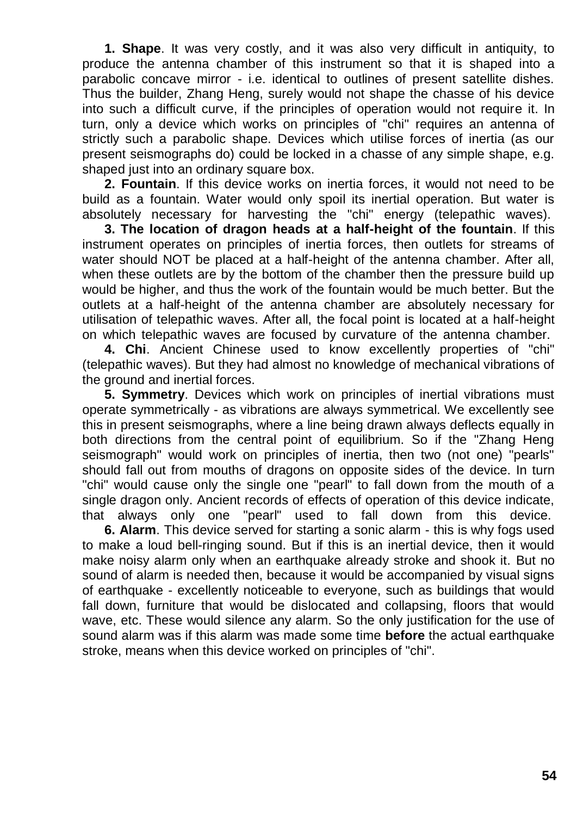**1. Shape**. It was very costly, and it was also very difficult in antiquity, to produce the antenna chamber of this instrument so that it is shaped into a parabolic concave mirror - i.e. identical to outlines of present satellite dishes. Thus the builder, Zhang Heng, surely would not shape the chasse of his device into such a difficult curve, if the principles of operation would not require it. In turn, only a device which works on principles of "chi" requires an antenna of strictly such a parabolic shape. Devices which utilise forces of inertia (as our present seismographs do) could be locked in a chasse of any simple shape, e.g. shaped just into an ordinary square box.

**2. Fountain**. If this device works on inertia forces, it would not need to be build as a fountain. Water would only spoil its inertial operation. But water is absolutely necessary for harvesting the "chi" energy (telepathic waves).

**3. The location of dragon heads at a half-height of the fountain**. If this instrument operates on principles of inertia forces, then outlets for streams of water should NOT be placed at a half-height of the antenna chamber. After all, when these outlets are by the bottom of the chamber then the pressure build up would be higher, and thus the work of the fountain would be much better. But the outlets at a half-height of the antenna chamber are absolutely necessary for utilisation of telepathic waves. After all, the focal point is located at a half-height on which telepathic waves are focused by curvature of the antenna chamber.

**4. Chi**. Ancient Chinese used to know excellently properties of "chi" (telepathic waves). But they had almost no knowledge of mechanical vibrations of the ground and inertial forces.

**5. Symmetry**. Devices which work on principles of inertial vibrations must operate symmetrically - as vibrations are always symmetrical. We excellently see this in present seismographs, where a line being drawn always deflects equally in both directions from the central point of equilibrium. So if the "Zhang Heng seismograph" would work on principles of inertia, then two (not one) "pearls" should fall out from mouths of dragons on opposite sides of the device. In turn "chi" would cause only the single one "pearl" to fall down from the mouth of a single dragon only. Ancient records of effects of operation of this device indicate, that always only one "pearl" used to fall down from this device.

**6. Alarm**. This device served for starting a sonic alarm - this is why fogs used to make a loud bell-ringing sound. But if this is an inertial device, then it would make noisy alarm only when an earthquake already stroke and shook it. But no sound of alarm is needed then, because it would be accompanied by visual signs of earthquake - excellently noticeable to everyone, such as buildings that would fall down, furniture that would be dislocated and collapsing, floors that would wave, etc. These would silence any alarm. So the only justification for the use of sound alarm was if this alarm was made some time **before** the actual earthquake stroke, means when this device worked on principles of "chi".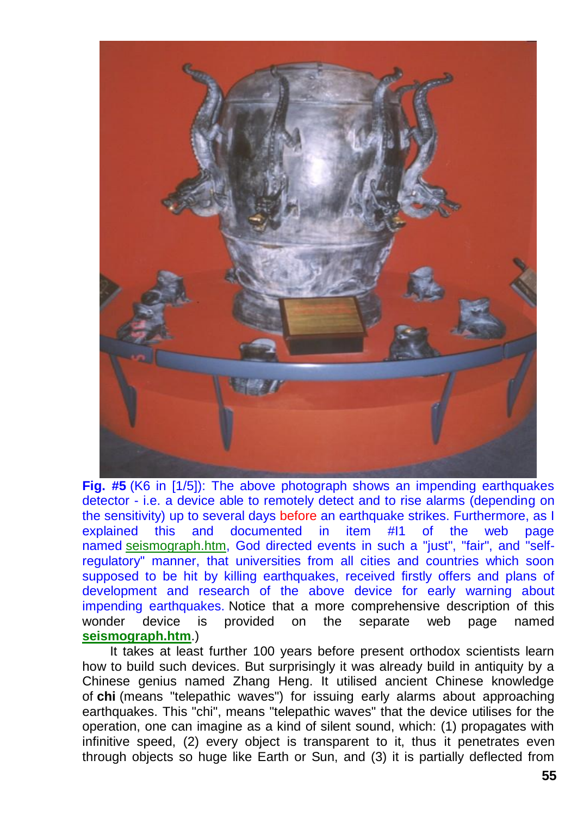

**Fig. #5** (K6 in [1/5]): The above photograph shows an impending earthquakes detector - i.e. a device able to remotely detect and to rise alarms (depending on the sensitivity) up to several days before an earthquake strikes. Furthermore, as I explained this and documented in item #I1 of the web page named [seismograph.htm,](http://tornado.zxq.net/seismograph.htm) God directed events in such a "just", "fair", and "selfregulatory" manner, that universities from all cities and countries which soon supposed to be hit by killing earthquakes, received firstly offers and plans of development and research of the above device for early warning about impending earthquakes. Notice that a more comprehensive description of this wonder device is provided on the separate web page named **[seismograph.htm](http://tornado.zxq.net/seismograph.htm)**.)

It takes at least further 100 years before present orthodox scientists learn how to build such devices. But surprisingly it was already build in antiquity by a Chinese genius named Zhang Heng. It utilised ancient Chinese knowledge of **chi** (means "telepathic waves") for issuing early alarms about approaching earthquakes. This "chi", means "telepathic waves" that the device utilises for the operation, one can imagine as a kind of silent sound, which: (1) propagates with infinitive speed, (2) every object is transparent to it, thus it penetrates even through objects so huge like Earth or Sun, and (3) it is partially deflected from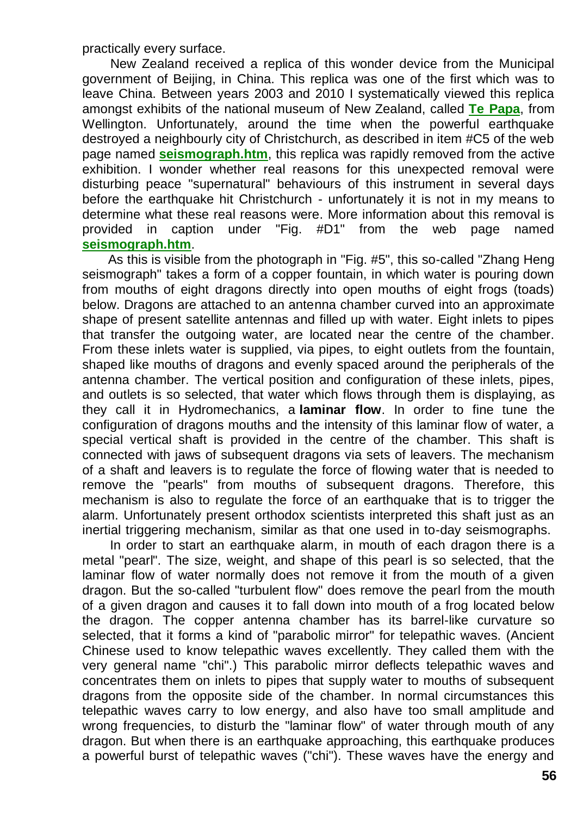practically every surface.

New Zealand received a replica of this wonder device from the Municipal government of Beijing, in China. This replica was one of the first which was to leave China. Between years 2003 and 2010 I systematically viewed this replica amongst exhibits of the national museum of New Zealand, called **[Te Papa](http://www.tepapa.govt.nz/)**, from Wellington. Unfortunately, around the time when the powerful earthquake destroyed a neighbourly city of Christchurch, as described in item #C5 of the web page named **[seismograph.htm](http://tornado.zxq.net/seismograph.htm)**, this replica was rapidly removed from the active exhibition. I wonder whether real reasons for this unexpected removal were disturbing peace "supernatural" behaviours of this instrument in several days before the earthquake hit Christchurch - unfortunately it is not in my means to determine what these real reasons were. More information about this removal is provided in caption under "Fig. #D1" from the web page named **[seismograph.htm](http://tornado.zxq.net/seismograph.htm)**.

As this is visible from the photograph in "Fig. #5", this so-called "Zhang Heng seismograph" takes a form of a copper fountain, in which water is pouring down from mouths of eight dragons directly into open mouths of eight frogs (toads) below. Dragons are attached to an antenna chamber curved into an approximate shape of present satellite antennas and filled up with water. Eight inlets to pipes that transfer the outgoing water, are located near the centre of the chamber. From these inlets water is supplied, via pipes, to eight outlets from the fountain, shaped like mouths of dragons and evenly spaced around the peripherals of the antenna chamber. The vertical position and configuration of these inlets, pipes, and outlets is so selected, that water which flows through them is displaying, as they call it in Hydromechanics, a **laminar flow**. In order to fine tune the configuration of dragons mouths and the intensity of this laminar flow of water, a special vertical shaft is provided in the centre of the chamber. This shaft is connected with jaws of subsequent dragons via sets of leavers. The mechanism of a shaft and leavers is to regulate the force of flowing water that is needed to remove the "pearls" from mouths of subsequent dragons. Therefore, this mechanism is also to regulate the force of an earthquake that is to trigger the alarm. Unfortunately present orthodox scientists interpreted this shaft just as an inertial triggering mechanism, similar as that one used in to-day seismographs.

In order to start an earthquake alarm, in mouth of each dragon there is a metal "pearl". The size, weight, and shape of this pearl is so selected, that the laminar flow of water normally does not remove it from the mouth of a given dragon. But the so-called "turbulent flow" does remove the pearl from the mouth of a given dragon and causes it to fall down into mouth of a frog located below the dragon. The copper antenna chamber has its barrel-like curvature so selected, that it forms a kind of "parabolic mirror" for telepathic waves. (Ancient Chinese used to know telepathic waves excellently. They called them with the very general name "chi".) This parabolic mirror deflects telepathic waves and concentrates them on inlets to pipes that supply water to mouths of subsequent dragons from the opposite side of the chamber. In normal circumstances this telepathic waves carry to low energy, and also have too small amplitude and wrong frequencies, to disturb the "laminar flow" of water through mouth of any dragon. But when there is an earthquake approaching, this earthquake produces a powerful burst of telepathic waves ("chi"). These waves have the energy and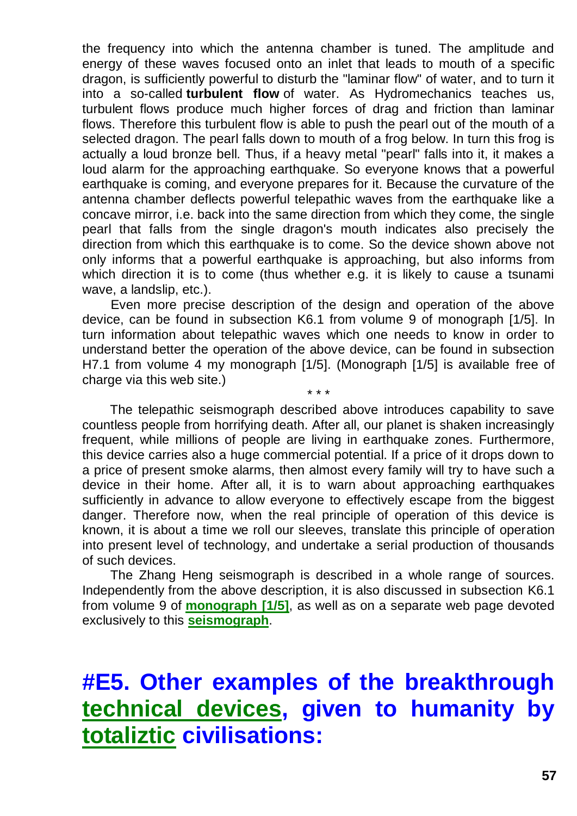the frequency into which the antenna chamber is tuned. The amplitude and energy of these waves focused onto an inlet that leads to mouth of a specific dragon, is sufficiently powerful to disturb the "laminar flow" of water, and to turn it into a so-called **turbulent flow** of water. As Hydromechanics teaches us, turbulent flows produce much higher forces of drag and friction than laminar flows. Therefore this turbulent flow is able to push the pearl out of the mouth of a selected dragon. The pearl falls down to mouth of a frog below. In turn this frog is actually a loud bronze bell. Thus, if a heavy metal "pearl" falls into it, it makes a loud alarm for the approaching earthquake. So everyone knows that a powerful earthquake is coming, and everyone prepares for it. Because the curvature of the antenna chamber deflects powerful telepathic waves from the earthquake like a concave mirror, i.e. back into the same direction from which they come, the single pearl that falls from the single dragon's mouth indicates also precisely the direction from which this earthquake is to come. So the device shown above not only informs that a powerful earthquake is approaching, but also informs from which direction it is to come (thus whether e.g. it is likely to cause a tsunami wave, a landslip, etc.).

Even more precise description of the design and operation of the above device, can be found in subsection K6.1 from volume 9 of monograph [1/5]. In turn information about telepathic waves which one needs to know in order to understand better the operation of the above device, can be found in subsection H7.1 from volume 4 my monograph [1/5]. (Monograph [1/5] is available free of charge via this web site.)  $\mathbf{r} = \mathbf{r} \cdot \mathbf{r}$ 

The telepathic seismograph described above introduces capability to save countless people from horrifying death. After all, our planet is shaken increasingly frequent, while millions of people are living in earthquake zones. Furthermore, this device carries also a huge commercial potential. If a price of it drops down to a price of present smoke alarms, then almost every family will try to have such a device in their home. After all, it is to warn about approaching earthquakes sufficiently in advance to allow everyone to effectively escape from the biggest danger. Therefore now, when the real principle of operation of this device is known, it is about a time we roll our sleeves, translate this principle of operation into present level of technology, and undertake a serial production of thousands of such devices.

The Zhang Heng seismograph is described in a whole range of sources. Independently from the above description, it is also discussed in subsection K6.1 from volume 9 of **[monograph \[1/5\]](http://tornado.zxq.net/text_1_5.htm)**, as well as on a separate web page devoted exclusively to this **[seismograph](http://tornado.zxq.net/seismograph.htm)**.

## **#E5. Other examples of the breakthrough [technical devices,](http://tornado.zxq.net/seismograph.htm) given to humanity by [totaliztic](http://tornado.zxq.net/totalizm.htm) civilisations:**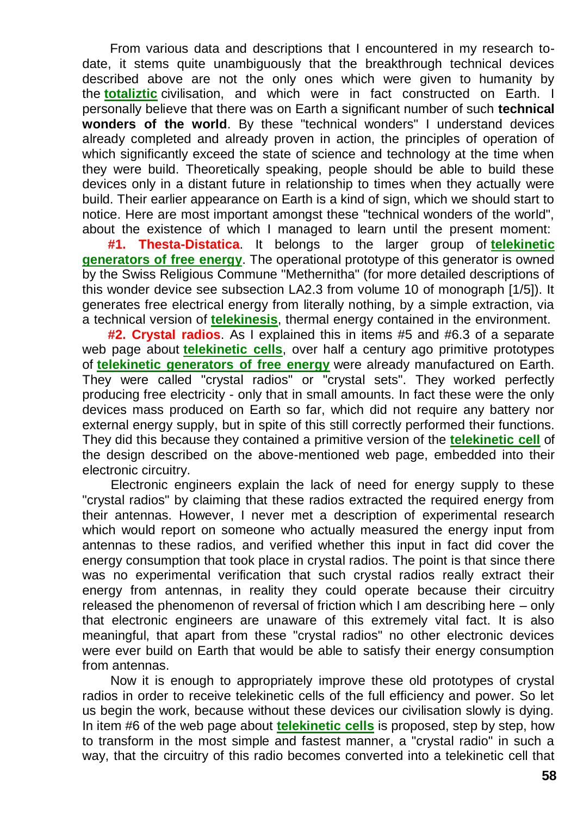From various data and descriptions that I encountered in my research todate, it stems quite unambiguously that the breakthrough technical devices described above are not the only ones which were given to humanity by the **[totaliztic](http://tornado.zxq.net/totalizm.htm)** civilisation, and which were in fact constructed on Earth. I personally believe that there was on Earth a significant number of such **technical wonders of the world**. By these "technical wonders" I understand devices already completed and already proven in action, the principles of operation of which significantly exceed the state of science and technology at the time when they were build. Theoretically speaking, people should be able to build these devices only in a distant future in relationship to times when they actually were build. Their earlier appearance on Earth is a kind of sign, which we should start to notice. Here are most important amongst these "technical wonders of the world", about the existence of which I managed to learn until the present moment:

**#1. Thesta-Distatica**. It belongs to the larger group of **[telekinetic](http://tornado.zxq.net/free_energy.htm)  [generators of free energy](http://tornado.zxq.net/free_energy.htm)**. The operational prototype of this generator is owned by the Swiss Religious Commune "Methernitha" (for more detailed descriptions of this wonder device see subsection LA2.3 from volume 10 of monograph [1/5]). It generates free electrical energy from literally nothing, by a simple extraction, via a technical version of **[telekinesis](http://tornado.zxq.net/telekinesis.htm)**, thermal energy contained in the environment.

**#2. Crystal radios**. As I explained this in items #5 and #6.3 of a separate web page about **[telekinetic cells](http://tornado.zxq.net/fe_cell.htm)**, over half a century ago primitive prototypes of **[telekinetic generators of free energy](http://tornado.zxq.net/free_energy.htm)** were already manufactured on Earth. They were called "crystal radios" or "crystal sets". They worked perfectly producing free electricity - only that in small amounts. In fact these were the only devices mass produced on Earth so far, which did not require any battery nor external energy supply, but in spite of this still correctly performed their functions. They did this because they contained a primitive version of the **[telekinetic cell](http://tornado.zxq.net/fe_cell.htm)** of the design described on the above-mentioned web page, embedded into their electronic circuitry.

Electronic engineers explain the lack of need for energy supply to these "crystal radios" by claiming that these radios extracted the required energy from their antennas. However, I never met a description of experimental research which would report on someone who actually measured the energy input from antennas to these radios, and verified whether this input in fact did cover the energy consumption that took place in crystal radios. The point is that since there was no experimental verification that such crystal radios really extract their energy from antennas, in reality they could operate because their circuitry released the phenomenon of reversal of friction which I am describing here – only that electronic engineers are unaware of this extremely vital fact. It is also meaningful, that apart from these "crystal radios" no other electronic devices were ever build on Earth that would be able to satisfy their energy consumption from antennas.

Now it is enough to appropriately improve these old prototypes of crystal radios in order to receive telekinetic cells of the full efficiency and power. So let us begin the work, because without these devices our civilisation slowly is dying. In item #6 of the web page about **[telekinetic cells](http://tornado.zxq.net/fe_cell.htm)** is proposed, step by step, how to transform in the most simple and fastest manner, a "crystal radio" in such a way, that the circuitry of this radio becomes converted into a telekinetic cell that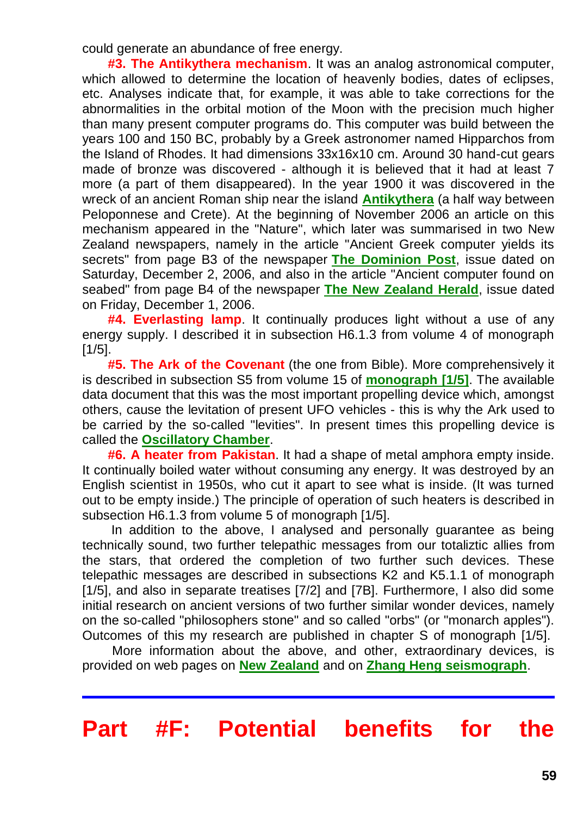could generate an abundance of free energy.

**#3. The Antikythera mechanism**. It was an analog astronomical computer, which allowed to determine the location of heavenly bodies, dates of eclipses, etc. Analyses indicate that, for example, it was able to take corrections for the abnormalities in the orbital motion of the Moon with the precision much higher than many present computer programs do. This computer was build between the years 100 and 150 BC, probably by a Greek astronomer named Hipparchos from the Island of Rhodes. It had dimensions 33x16x10 cm. Around 30 hand-cut gears made of bronze was discovered - although it is believed that it had at least 7 more (a part of them disappeared). In the year 1900 it was discovered in the wreck of an ancient Roman ship near the island **[Antikythera](http://www.google.com/search?q=antikythera+mechanism)** (a half way between Peloponnese and Crete). At the beginning of November 2006 an article on this mechanism appeared in the "Nature", which later was summarised in two New Zealand newspapers, namely in the article "Ancient Greek computer yields its secrets" from page B3 of the newspaper **[The Dominion Post](http://www.dominionpost.com/)**, issue dated on Saturday, December 2, 2006, and also in the article "Ancient computer found on seabed" from page B4 of the newspaper **[The New Zealand Herald](http://www.nzherald.co.nz/)**, issue dated on Friday, December 1, 2006.

**#4. Everlasting lamp**. It continually produces light without a use of any energy supply. I described it in subsection H6.1.3 from volume 4 of monograph [1/5].

**#5. The Ark of the Covenant** (the one from Bible). More comprehensively it is described in subsection S5 from volume 15 of **[monograph \[1/5\]](http://tornado.zxq.net/text_1_5.htm)**. The available data document that this was the most important propelling device which, amongst others, cause the levitation of present UFO vehicles - this is why the Ark used to be carried by the so-called "levities". In present times this propelling device is called the **[Oscillatory Chamber](http://tornado.zxq.net/oscillatory_chamber.htm)**.

**#6. A heater from Pakistan**. It had a shape of metal amphora empty inside. It continually boiled water without consuming any energy. It was destroyed by an English scientist in 1950s, who cut it apart to see what is inside. (It was turned out to be empty inside.) The principle of operation of such heaters is described in subsection H6.1.3 from volume 5 of monograph [1/5].

In addition to the above, I analysed and personally guarantee as being technically sound, two further telepathic messages from our totaliztic allies from the stars, that ordered the completion of two further such devices. These telepathic messages are described in subsections K2 and K5.1.1 of monograph [1/5], and also in separate treatises [7/2] and [7B]. Furthermore, I also did some initial research on ancient versions of two further similar wonder devices, namely on the so-called "philosophers stone" and so called "orbs" (or "monarch apples"). Outcomes of this my research are published in chapter S of monograph [1/5].

More information about the above, and other, extraordinary devices, is provided on web pages on **[New Zealand](http://tornado.zxq.net/newzealand.htm)** and on **[Zhang Heng seismograph](http://tornado.zxq.net/seismograph.htm)**.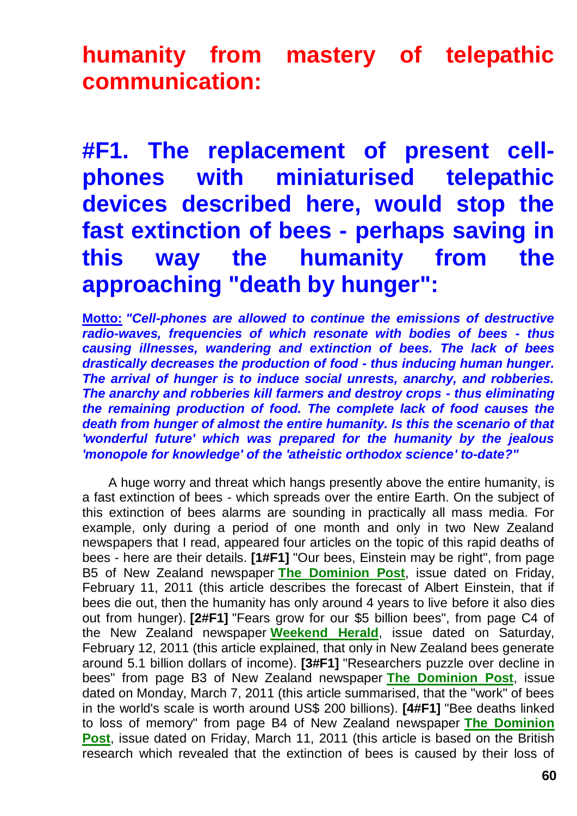**humanity from mastery of telepathic communication:**

**#F1. The replacement of present cellphones with miniaturised telepathic devices described here, would stop the fast extinction of bees - perhaps saving in this way the humanity from the approaching "death by hunger":**

**Motto:** *"Cell-phones are allowed to continue the emissions of destructive radio-waves, frequencies of which resonate with bodies of bees - thus causing illnesses, wandering and extinction of bees. The lack of bees drastically decreases the production of food - thus inducing human hunger. The arrival of hunger is to induce social unrests, anarchy, and robberies. The anarchy and robberies kill farmers and destroy crops - thus eliminating the remaining production of food. The complete lack of food causes the death from hunger of almost the entire humanity. Is this the scenario of that 'wonderful future' which was prepared for the humanity by the jealous 'monopole for knowledge' of the 'atheistic orthodox science' to-date?"*

A huge worry and threat which hangs presently above the entire humanity, is a fast extinction of bees - which spreads over the entire Earth. On the subject of this extinction of bees alarms are sounding in practically all mass media. For example, only during a period of one month and only in two New Zealand newspapers that I read, appeared four articles on the topic of this rapid deaths of bees - here are their details. **[1#F1]** "Our bees, Einstein may be right", from page B5 of New Zealand newspaper **[The Dominion Post](http://www.dominionpost.com/)**, issue dated on Friday, February 11, 2011 (this article describes the forecast of Albert Einstein, that if bees die out, then the humanity has only around 4 years to live before it also dies out from hunger). **[2#F1]** "Fears grow for our \$5 billion bees", from page C4 of the New Zealand newspaper **[Weekend Herald](http://www.nzherald.co.nz/)**, issue dated on Saturday, February 12, 2011 (this article explained, that only in New Zealand bees generate around 5.1 billion dollars of income). **[3#F1]** "Researchers puzzle over decline in bees" from page B3 of New Zealand newspaper **[The Dominion Post](http://www.dominionpost.com/)**, issue dated on Monday, March 7, 2011 (this article summarised, that the "work" of bees in the world's scale is worth around US\$ 200 billions). **[4#F1]** "Bee deaths linked to loss of memory" from page B4 of New Zealand newspaper **[The Dominion](http://www.dominionpost.com/)  [Post](http://www.dominionpost.com/)**, issue dated on Friday, March 11, 2011 (this article is based on the British research which revealed that the extinction of bees is caused by their loss of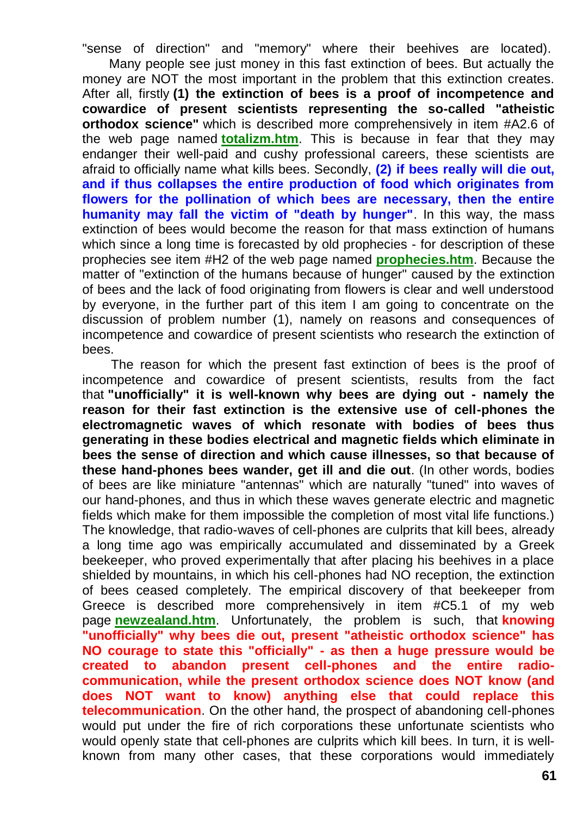"sense of direction" and "memory" where their beehives are located).

Many people see just money in this fast extinction of bees. But actually the money are NOT the most important in the problem that this extinction creates. After all, firstly **(1) the extinction of bees is a proof of incompetence and cowardice of present scientists representing the so-called "atheistic orthodox science"** which is described more comprehensively in item #A2.6 of the web page named **[totalizm.htm](http://tornado.zxq.net/totalizm.htm)**. This is because in fear that they may endanger their well-paid and cushy professional careers, these scientists are afraid to officially name what kills bees. Secondly, **(2) if bees really will die out, and if thus collapses the entire production of food which originates from flowers for the pollination of which bees are necessary, then the entire humanity may fall the victim of "death by hunger"**. In this way, the mass extinction of bees would become the reason for that mass extinction of humans which since a long time is forecasted by old prophecies - for description of these prophecies see item #H2 of the web page named **[prophecies.htm](http://tornado.zxq.net/prophecies.htm)**. Because the matter of "extinction of the humans because of hunger" caused by the extinction of bees and the lack of food originating from flowers is clear and well understood by everyone, in the further part of this item I am going to concentrate on the discussion of problem number (1), namely on reasons and consequences of incompetence and cowardice of present scientists who research the extinction of bees.

The reason for which the present fast extinction of bees is the proof of incompetence and cowardice of present scientists, results from the fact that **"unofficially" it is well-known why bees are dying out - namely the reason for their fast extinction is the extensive use of cell-phones the electromagnetic waves of which resonate with bodies of bees thus generating in these bodies electrical and magnetic fields which eliminate in bees the sense of direction and which cause illnesses, so that because of these hand-phones bees wander, get ill and die out**. (In other words, bodies of bees are like miniature "antennas" which are naturally "tuned" into waves of our hand-phones, and thus in which these waves generate electric and magnetic fields which make for them impossible the completion of most vital life functions.) The knowledge, that radio-waves of cell-phones are culprits that kill bees, already a long time ago was empirically accumulated and disseminated by a Greek beekeeper, who proved experimentally that after placing his beehives in a place shielded by mountains, in which his cell-phones had NO reception, the extinction of bees ceased completely. The empirical discovery of that beekeeper from Greece is described more comprehensively in item #C5.1 of my web page **[newzealand.htm](http://tornado.zxq.net/newzealand.htm)**. Unfortunately, the problem is such, that **knowing "unofficially" why bees die out, present "atheistic orthodox science" has NO courage to state this "officially" - as then a huge pressure would be created to abandon present cell-phones and the entire radiocommunication, while the present orthodox science does NOT know (and does NOT want to know) anything else that could replace this telecommunication**. On the other hand, the prospect of abandoning cell-phones would put under the fire of rich corporations these unfortunate scientists who would openly state that cell-phones are culprits which kill bees. In turn, it is wellknown from many other cases, that these corporations would immediately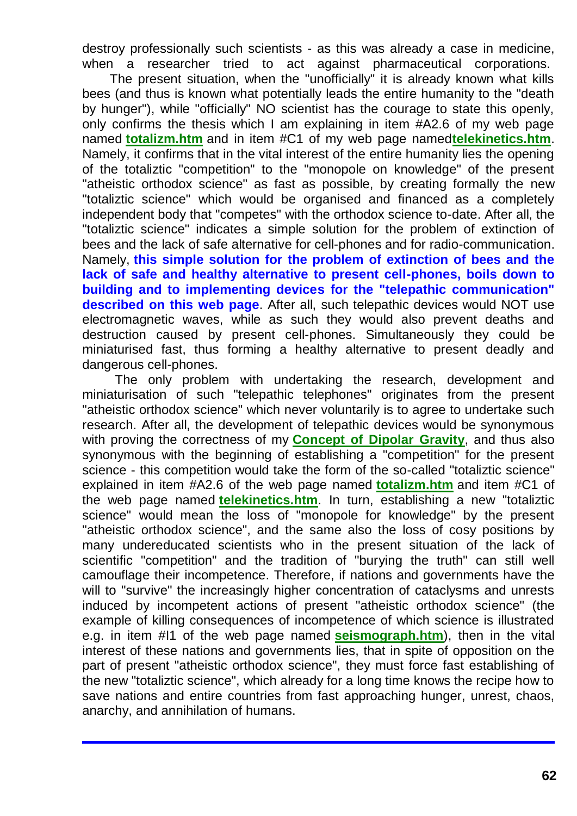destroy professionally such scientists - as this was already a case in medicine, when a researcher tried to act against pharmaceutical corporations.

The present situation, when the "unofficially" it is already known what kills bees (and thus is known what potentially leads the entire humanity to the "death by hunger"), while "officially" NO scientist has the courage to state this openly, only confirms the thesis which I am explaining in item #A2.6 of my web page named **[totalizm.htm](http://tornado.zxq.net/totalizm.htm)** and in item #C1 of my web page named**[telekinetics.htm](http://tornado.zxq.net/telekinetics.htm)**. Namely, it confirms that in the vital interest of the entire humanity lies the opening of the totaliztic "competition" to the "monopole on knowledge" of the present "atheistic orthodox science" as fast as possible, by creating formally the new "totaliztic science" which would be organised and financed as a completely independent body that "competes" with the orthodox science to-date. After all, the "totaliztic science" indicates a simple solution for the problem of extinction of bees and the lack of safe alternative for cell-phones and for radio-communication. Namely, **this simple solution for the problem of extinction of bees and the lack of safe and healthy alternative to present cell-phones, boils down to building and to implementing devices for the "telepathic communication" described on this web page**. After all, such telepathic devices would NOT use electromagnetic waves, while as such they would also prevent deaths and destruction caused by present cell-phones. Simultaneously they could be miniaturised fast, thus forming a healthy alternative to present deadly and dangerous cell-phones.

The only problem with undertaking the research, development and miniaturisation of such "telepathic telephones" originates from the present "atheistic orthodox science" which never voluntarily is to agree to undertake such research. After all, the development of telepathic devices would be synonymous with proving the correctness of my **[Concept of Dipolar Gravity](http://tornado.zxq.net/dipolar_gravity.htm)**, and thus also synonymous with the beginning of establishing a "competition" for the present science - this competition would take the form of the so-called "totaliztic science" explained in item #A2.6 of the web page named **[totalizm.htm](http://tornado.zxq.net/totalizm.htm)** and item #C1 of the web page named **[telekinetics.htm](http://tornado.zxq.net/telekinetics.htm)**. In turn, establishing a new "totaliztic science" would mean the loss of "monopole for knowledge" by the present "atheistic orthodox science", and the same also the loss of cosy positions by many undereducated scientists who in the present situation of the lack of scientific "competition" and the tradition of "burying the truth" can still well camouflage their incompetence. Therefore, if nations and governments have the will to "survive" the increasingly higher concentration of cataclysms and unrests induced by incompetent actions of present "atheistic orthodox science" (the example of killing consequences of incompetence of which science is illustrated e.g. in item #I1 of the web page named **[seismograph.htm](http://tornado.zxq.net/seismograph.htm)**), then in the vital interest of these nations and governments lies, that in spite of opposition on the part of present "atheistic orthodox science", they must force fast establishing of the new "totaliztic science", which already for a long time knows the recipe how to save nations and entire countries from fast approaching hunger, unrest, chaos, anarchy, and annihilation of humans.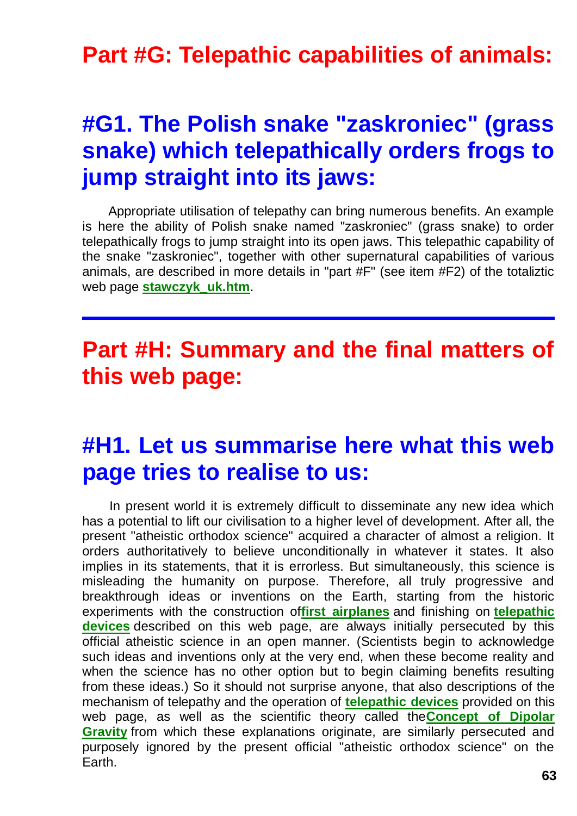#### **Part #G: Telepathic capabilities of animals:**

#### **#G1. The Polish snake "zaskroniec" (grass snake) which telepathically orders frogs to jump straight into its jaws:**

Appropriate utilisation of telepathy can bring numerous benefits. An example is here the ability of Polish snake named "zaskroniec" (grass snake) to order telepathically frogs to jump straight into its open jaws. This telepathic capability of the snake "zaskroniec", together with other supernatural capabilities of various animals, are described in more details in "part #F" (see item #F2) of the totaliztic web page **[stawczyk\\_uk.htm](http://tornado.zxq.net/stawczyk_uk.htm)**.

#### **Part #H: Summary and the final matters of this web page:**

#### **#H1. Let us summarise here what this web page tries to realise to us:**

In present world it is extremely difficult to disseminate any new idea which has a potential to lift our civilisation to a higher level of development. After all, the present "atheistic orthodox science" acquired a character of almost a religion. It orders authoritatively to believe unconditionally in whatever it states. It also implies in its statements, that it is errorless. But simultaneously, this science is misleading the humanity on purpose. Therefore, all truly progressive and breakthrough ideas or inventions on the Earth, starting from the historic experiments with the construction of**[first airplanes](http://tornado.zxq.net/mozajski_uk.htm)** and finishing on **[telepathic](http://tornado.zxq.net/timevehicle.htm)  [devices](http://tornado.zxq.net/timevehicle.htm)** described on this web page, are always initially persecuted by this official atheistic science in an open manner. (Scientists begin to acknowledge such ideas and inventions only at the very end, when these become reality and when the science has no other option but to begin claiming benefits resulting from these ideas.) So it should not surprise anyone, that also descriptions of the mechanism of telepathy and the operation of **[telepathic devices](http://tornado.zxq.net/telepathy.htm)** provided on this web page, as well as the scientific theory called the**[Concept of Dipolar](http://tornado.zxq.net/dipolar_gravity.htm)  [Gravity](http://tornado.zxq.net/dipolar_gravity.htm)** from which these explanations originate, are similarly persecuted and purposely ignored by the present official "atheistic orthodox science" on the Earth.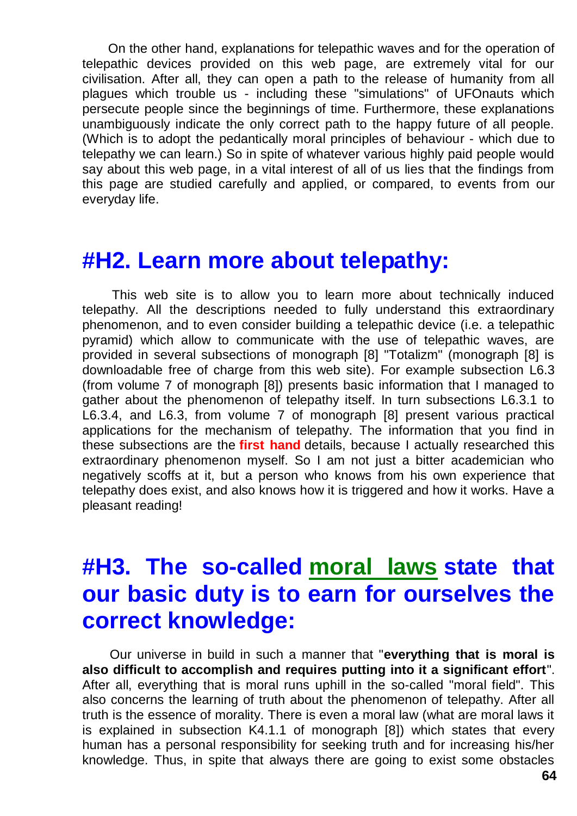On the other hand, explanations for telepathic waves and for the operation of telepathic devices provided on this web page, are extremely vital for our civilisation. After all, they can open a path to the release of humanity from all plagues which trouble us - including these "simulations" of UFOnauts which persecute people since the beginnings of time. Furthermore, these explanations unambiguously indicate the only correct path to the happy future of all people. (Which is to adopt the pedantically moral principles of behaviour - which due to telepathy we can learn.) So in spite of whatever various highly paid people would say about this web page, in a vital interest of all of us lies that the findings from this page are studied carefully and applied, or compared, to events from our everyday life.

#### **#H2. Learn more about telepathy:**

This web site is to allow you to learn more about technically induced telepathy. All the descriptions needed to fully understand this extraordinary phenomenon, and to even consider building a telepathic device (i.e. a telepathic pyramid) which allow to communicate with the use of telepathic waves, are provided in several subsections of monograph [8] "Totalizm" (monograph [8] is downloadable free of charge from this web site). For example subsection L6.3 (from volume 7 of monograph [8]) presents basic information that I managed to gather about the phenomenon of telepathy itself. In turn subsections L6.3.1 to L6.3.4, and L6.3, from volume 7 of monograph [8] present various practical applications for the mechanism of telepathy. The information that you find in these subsections are the **first hand** details, because I actually researched this extraordinary phenomenon myself. So I am not just a bitter academician who negatively scoffs at it, but a person who knows from his own experience that telepathy does exist, and also knows how it is triggered and how it works. Have a pleasant reading!

#### **#H3. The so-called [moral laws](http://tornado.zxq.net/totalizm.htm) state that our basic duty is to earn for ourselves the correct knowledge:**

Our universe in build in such a manner that "**everything that is moral is also difficult to accomplish and requires putting into it a significant effort**". After all, everything that is moral runs uphill in the so-called "moral field". This also concerns the learning of truth about the phenomenon of telepathy. After all truth is the essence of morality. There is even a moral law (what are moral laws it is explained in subsection K4.1.1 of monograph [8]) which states that every human has a personal responsibility for seeking truth and for increasing his/her knowledge. Thus, in spite that always there are going to exist some obstacles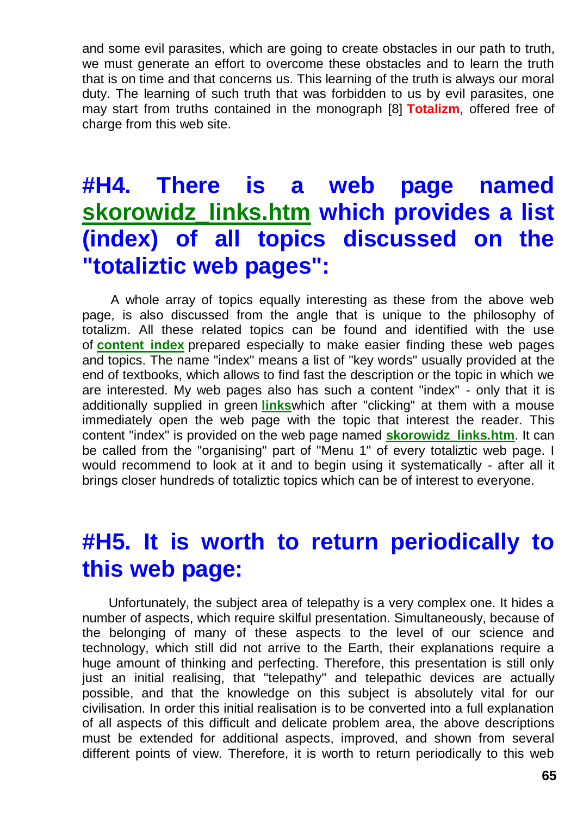and some evil parasites, which are going to create obstacles in our path to truth, we must generate an effort to overcome these obstacles and to learn the truth that is on time and that concerns us. This learning of the truth is always our moral duty. The learning of such truth that was forbidden to us by evil parasites, one may start from truths contained in the monograph [8] **Totalizm**, offered free of charge from this web site.

#### **#H4. There is a web page named [skorowidz\\_links.htm](http://tornado.zxq.net/skorowidz_links.htm) which provides a list (index) of all topics discussed on the "totaliztic web pages":**

A whole array of topics equally interesting as these from the above web page, is also discussed from the angle that is unique to the philosophy of totalizm. All these related topics can be found and identified with the use of **[content index](http://tornado.zxq.net/skorowidz_links.htm)** prepared especially to make easier finding these web pages and topics. The name "index" means a list of "key words" usually provided at the end of textbooks, which allows to find fast the description or the topic in which we are interested. My web pages also has such a content "index" - only that it is additionally supplied in green **[links](http://tornado.zxq.net/petone.htm)**which after "clicking" at them with a mouse immediately open the web page with the topic that interest the reader. This content "index" is provided on the web page named **[skorowidz\\_links.htm](http://tornado.zxq.net/skorowidz.htm)**. It can be called from the "organising" part of "Menu 1" of every totaliztic web page. I would recommend to look at it and to begin using it systematically - after all it brings closer hundreds of totaliztic topics which can be of interest to everyone.

#### **#H5. It is worth to return periodically to this web page:**

Unfortunately, the subject area of telepathy is a very complex one. It hides a number of aspects, which require skilful presentation. Simultaneously, because of the belonging of many of these aspects to the level of our science and technology, which still did not arrive to the Earth, their explanations require a huge amount of thinking and perfecting. Therefore, this presentation is still only just an initial realising, that "telepathy" and telepathic devices are actually possible, and that the knowledge on this subject is absolutely vital for our civilisation. In order this initial realisation is to be converted into a full explanation of all aspects of this difficult and delicate problem area, the above descriptions must be extended for additional aspects, improved, and shown from several different points of view. Therefore, it is worth to return periodically to this web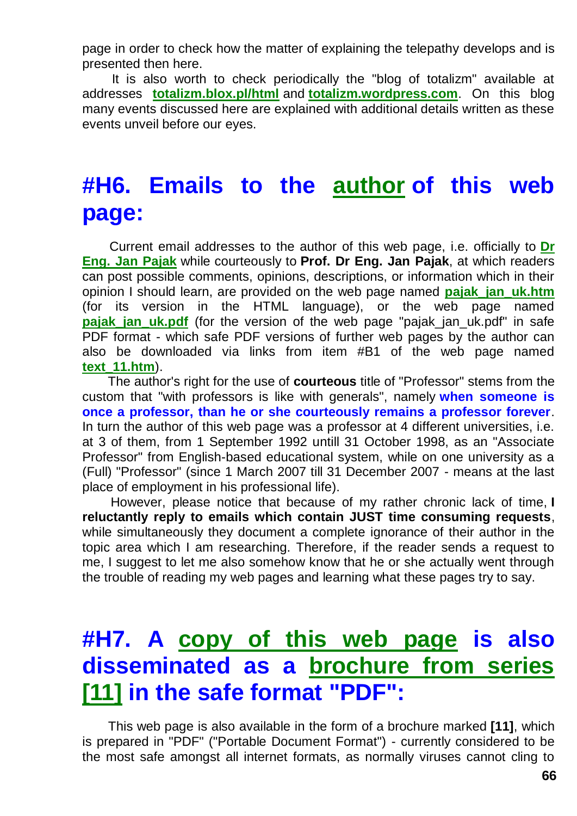page in order to check how the matter of explaining the telepathy develops and is presented then here.

It is also worth to check periodically the "blog of totalizm" available at addresses **[totalizm.blox.pl/html](http://totalizm.blox.pl/html/)** and **[totalizm.wordpress.com](http://totalizm.wordpress.com/)**. On this blog many events discussed here are explained with additional details written as these events unveil before our eyes.

# **#H6. Emails to the [author](http://tornado.zxq.net/pajak_jan_uk.htm) of this web page:**

Current email addresses to the author of this web page, i.e. officially to **[Dr](http://images.google.co.nz/images?hl=en&q=Jan+Pajak&btnG=Search+Images&gbv=1)  [Eng. Jan Pajak](http://images.google.co.nz/images?hl=en&q=Jan+Pajak&btnG=Search+Images&gbv=1)** while courteously to **Prof. Dr Eng. Jan Pajak**, at which readers can post possible comments, opinions, descriptions, or information which in their opinion I should learn, are provided on the web page named **[pajak\\_jan\\_uk.htm](http://tornado.zxq.net/pajak_jan_uk.htm)** (for its version in the HTML language), or the web page named **[pajak\\_jan\\_uk.pdf](http://tornado.zxq.net/pajak_jan_uk.pdf)** (for the version of the web page "pajak\_jan\_uk.pdf" in safe PDF format - which safe PDF versions of further web pages by the author can also be downloaded via links from item #B1 of the web page named **[text\\_11.htm](http://tornado.zxq.net/text_11.htm)**).

The author's right for the use of **courteous** title of "Professor" stems from the custom that "with professors is like with generals", namely **when someone is once a professor, than he or she courteously remains a professor forever**. In turn the author of this web page was a professor at 4 different universities, i.e. at 3 of them, from 1 September 1992 untill 31 October 1998, as an "Associate Professor" from English-based educational system, while on one university as a (Full) "Professor" (since 1 March 2007 till 31 December 2007 - means at the last place of employment in his professional life).

However, please notice that because of my rather chronic lack of time, **I reluctantly reply to emails which contain JUST time consuming requests**, while simultaneously they document a complete ignorance of their author in the topic area which I am researching. Therefore, if the reader sends a request to me, I suggest to let me also somehow know that he or she actually went through the trouble of reading my web pages and learning what these pages try to say.

#### **#H7. A [copy of this web page](http://tornado.zxq.net/telepathy.pdf) is also disseminated as a [brochure from series](http://tornado.zxq.net/text_11.htm)  [\[11\]](http://tornado.zxq.net/text_11.htm) in the safe format "PDF":**

This web page is also available in the form of a brochure marked **[11]**, which is prepared in "PDF" ("Portable Document Format") - currently considered to be the most safe amongst all internet formats, as normally viruses cannot cling to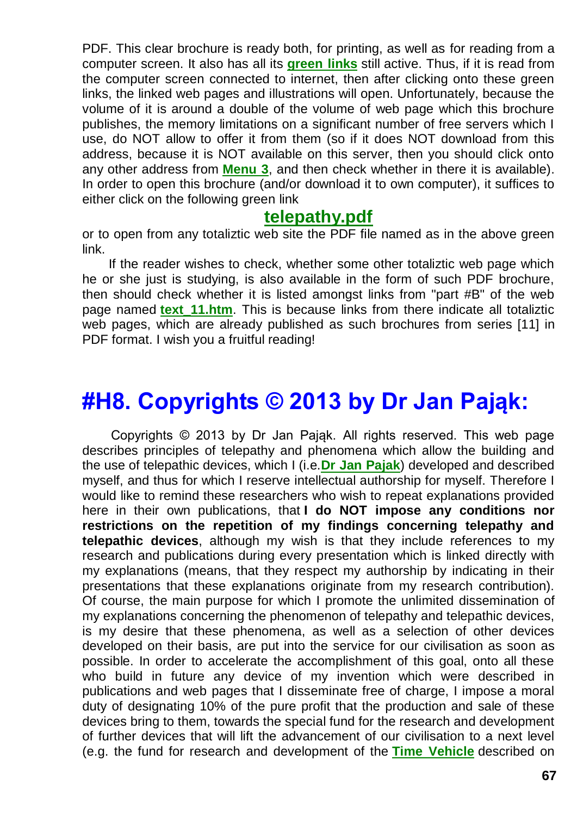PDF. This clear brochure is ready both, for printing, as well as for reading from a computer screen. It also has all its **[green links](http://tornado.zxq.net/telekinesis.htm)** still active. Thus, if it is read from the computer screen connected to internet, then after clicking onto these green links, the linked web pages and illustrations will open. Unfortunately, because the volume of it is around a double of the volume of web page which this brochure publishes, the memory limitations on a significant number of free servers which I use, do NOT allow to offer it from them (so if it does NOT download from this address, because it is NOT available on this server, then you should click onto any other address from **[Menu 3](http://tornado.zxq.net/menu.htm)**, and then check whether in there it is available). In order to open this brochure (and/or download it to own computer), it suffices to either click on the following green link

#### **[telepathy.pdf](http://tornado.zxq.net/telepathy.pdf)**

or to open from any totaliztic web site the PDF file named as in the above green link.

If the reader wishes to check, whether some other totaliztic web page which he or she just is studying, is also available in the form of such PDF brochure, then should check whether it is listed amongst links from "part #B" of the web page named **[text\\_11.htm](http://tornado.zxq.net/text_11.htm)**. This is because links from there indicate all totaliztic web pages, which are already published as such brochures from series [11] in PDF format. I wish you a fruitful reading!

# **#H8. Copyrights © 2013 by Dr Jan Pająk:**

Copyrights © 2013 by Dr Jan Pająk. All rights reserved. This web page describes principles of telepathy and phenomena which allow the building and the use of telepathic devices, which I (i.e.**[Dr Jan Pajak](http://tornado.zxq.net/pajak_jan_uk.htm)**) developed and described myself, and thus for which I reserve intellectual authorship for myself. Therefore I would like to remind these researchers who wish to repeat explanations provided here in their own publications, that **I do NOT impose any conditions nor restrictions on the repetition of my findings concerning telepathy and telepathic devices**, although my wish is that they include references to my research and publications during every presentation which is linked directly with my explanations (means, that they respect my authorship by indicating in their presentations that these explanations originate from my research contribution). Of course, the main purpose for which I promote the unlimited dissemination of my explanations concerning the phenomenon of telepathy and telepathic devices, is my desire that these phenomena, as well as a selection of other devices developed on their basis, are put into the service for our civilisation as soon as possible. In order to accelerate the accomplishment of this goal, onto all these who build in future any device of my invention which were described in publications and web pages that I disseminate free of charge, I impose a moral duty of designating 10% of the pure profit that the production and sale of these devices bring to them, towards the special fund for the research and development of further devices that will lift the advancement of our civilisation to a next level (e.g. the fund for research and development of the **[Time Vehicle](http://tornado.zxq.net/timevehicle.htm)** described on